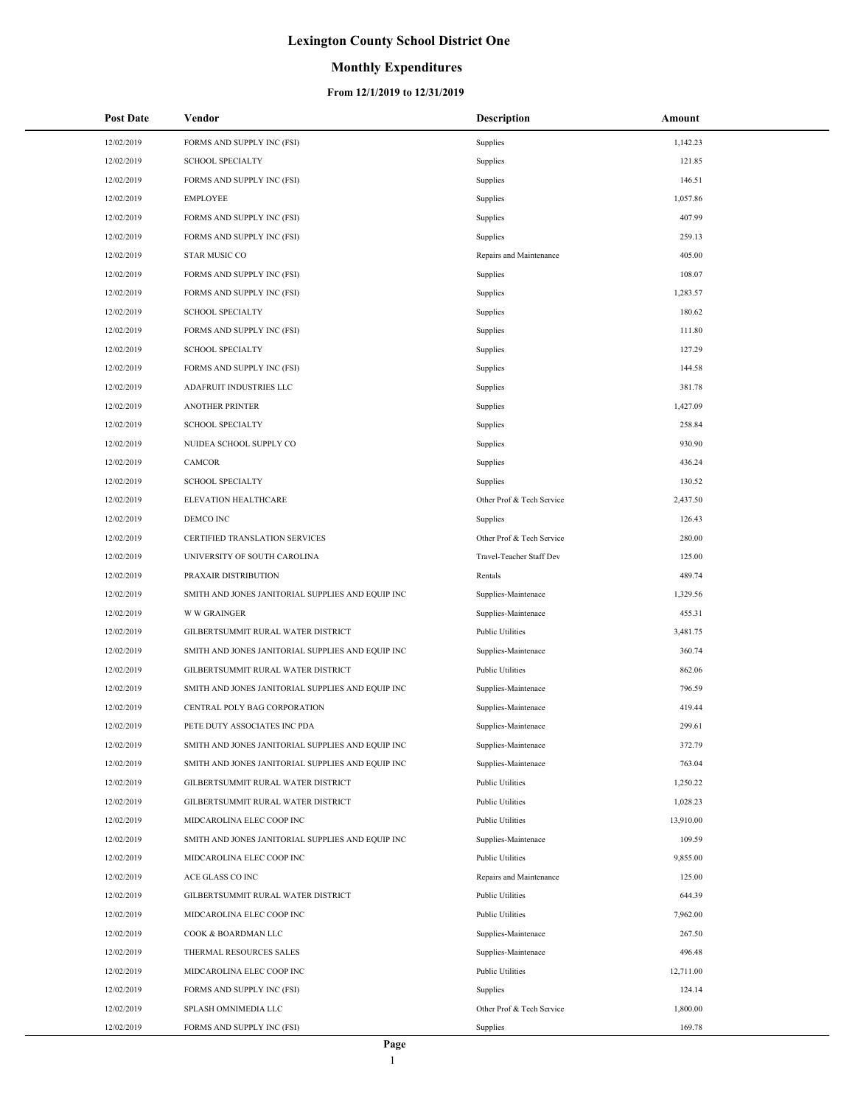## **Monthly Expenditures**

#### **From 12/1/2019 to 12/31/2019**

÷,

| <b>Post Date</b> | Vendor                                            | <b>Description</b>        | Amount    |
|------------------|---------------------------------------------------|---------------------------|-----------|
| 12/02/2019       | FORMS AND SUPPLY INC (FSI)                        | Supplies                  | 1,142.23  |
| 12/02/2019       | <b>SCHOOL SPECIALTY</b>                           | Supplies                  | 121.85    |
| 12/02/2019       | FORMS AND SUPPLY INC (FSI)                        | Supplies                  | 146.51    |
| 12/02/2019       | <b>EMPLOYEE</b>                                   | Supplies                  | 1,057.86  |
| 12/02/2019       | FORMS AND SUPPLY INC (FSI)                        | Supplies                  | 407.99    |
| 12/02/2019       | FORMS AND SUPPLY INC (FSI)                        | Supplies                  | 259.13    |
| 12/02/2019       | <b>STAR MUSIC CO</b>                              | Repairs and Maintenance   | 405.00    |
| 12/02/2019       | FORMS AND SUPPLY INC (FSI)                        | Supplies                  | 108.07    |
| 12/02/2019       | FORMS AND SUPPLY INC (FSI)                        | Supplies                  | 1,283.57  |
| 12/02/2019       | <b>SCHOOL SPECIALTY</b>                           | Supplies                  | 180.62    |
| 12/02/2019       | FORMS AND SUPPLY INC (FSI)                        | Supplies                  | 111.80    |
| 12/02/2019       | <b>SCHOOL SPECIALTY</b>                           | Supplies                  | 127.29    |
| 12/02/2019       | FORMS AND SUPPLY INC (FSI)                        | Supplies                  | 144.58    |
| 12/02/2019       | ADAFRUIT INDUSTRIES LLC                           | Supplies                  | 381.78    |
| 12/02/2019       | <b>ANOTHER PRINTER</b>                            | Supplies                  | 1,427.09  |
| 12/02/2019       | <b>SCHOOL SPECIALTY</b>                           | Supplies                  | 258.84    |
| 12/02/2019       | NUIDEA SCHOOL SUPPLY CO                           | Supplies                  | 930.90    |
| 12/02/2019       | CAMCOR                                            | Supplies                  | 436.24    |
| 12/02/2019       | <b>SCHOOL SPECIALTY</b>                           | Supplies                  | 130.52    |
| 12/02/2019       | ELEVATION HEALTHCARE                              | Other Prof & Tech Service | 2,437.50  |
| 12/02/2019       | DEMCO INC                                         | Supplies                  | 126.43    |
| 12/02/2019       | CERTIFIED TRANSLATION SERVICES                    | Other Prof & Tech Service | 280.00    |
| 12/02/2019       | UNIVERSITY OF SOUTH CAROLINA                      | Travel-Teacher Staff Dev  | 125.00    |
| 12/02/2019       | PRAXAIR DISTRIBUTION                              | Rentals                   | 489.74    |
| 12/02/2019       | SMITH AND JONES JANITORIAL SUPPLIES AND EQUIP INC | Supplies-Maintenace       | 1,329.56  |
| 12/02/2019       | <b>W W GRAINGER</b>                               | Supplies-Maintenace       | 455.31    |
| 12/02/2019       | GILBERTSUMMIT RURAL WATER DISTRICT                | <b>Public Utilities</b>   | 3,481.75  |
| 12/02/2019       | SMITH AND JONES JANITORIAL SUPPLIES AND EQUIP INC | Supplies-Maintenace       | 360.74    |
| 12/02/2019       | GILBERTSUMMIT RURAL WATER DISTRICT                | <b>Public Utilities</b>   | 862.06    |
| 12/02/2019       | SMITH AND JONES JANITORIAL SUPPLIES AND EQUIP INC | Supplies-Maintenace       | 796.59    |
| 12/02/2019       | CENTRAL POLY BAG CORPORATION                      | Supplies-Maintenace       | 419.44    |
| 12/02/2019       | PETE DUTY ASSOCIATES INC PDA                      | Supplies-Maintenace       | 299.61    |
| 12/02/2019       | SMITH AND JONES JANITORIAL SUPPLIES AND EQUIP INC | Supplies-Maintenace       | 372.79    |
| 12/02/2019       | SMITH AND JONES JANITORIAL SUPPLIES AND EQUIP INC | Supplies-Maintenace       | 763.04    |
| 12/02/2019       | GILBERTSUMMIT RURAL WATER DISTRICT                | <b>Public Utilities</b>   | 1,250.22  |
| 12/02/2019       | GILBERTSUMMIT RURAL WATER DISTRICT                | <b>Public Utilities</b>   | 1,028.23  |
| 12/02/2019       | MIDCAROLINA ELEC COOP INC                         | <b>Public Utilities</b>   | 13,910.00 |
| 12/02/2019       | SMITH AND JONES JANITORIAL SUPPLIES AND EQUIP INC | Supplies-Maintenace       | 109.59    |
| 12/02/2019       | MIDCAROLINA ELEC COOP INC                         | <b>Public Utilities</b>   | 9,855.00  |
| 12/02/2019       | ACE GLASS CO INC                                  | Repairs and Maintenance   | 125.00    |
| 12/02/2019       | GILBERTSUMMIT RURAL WATER DISTRICT                | <b>Public Utilities</b>   | 644.39    |
| 12/02/2019       | MIDCAROLINA ELEC COOP INC                         | <b>Public Utilities</b>   | 7,962.00  |
| 12/02/2019       | COOK & BOARDMAN LLC                               | Supplies-Maintenace       | 267.50    |
| 12/02/2019       | THERMAL RESOURCES SALES                           | Supplies-Maintenace       | 496.48    |
| 12/02/2019       | MIDCAROLINA ELEC COOP INC                         | <b>Public Utilities</b>   | 12,711.00 |
| 12/02/2019       | FORMS AND SUPPLY INC (FSI)                        | Supplies                  | 124.14    |
| 12/02/2019       | SPLASH OMNIMEDIA LLC                              | Other Prof & Tech Service | 1,800.00  |
| 12/02/2019       | FORMS AND SUPPLY INC (FSI)                        | Supplies                  | 169.78    |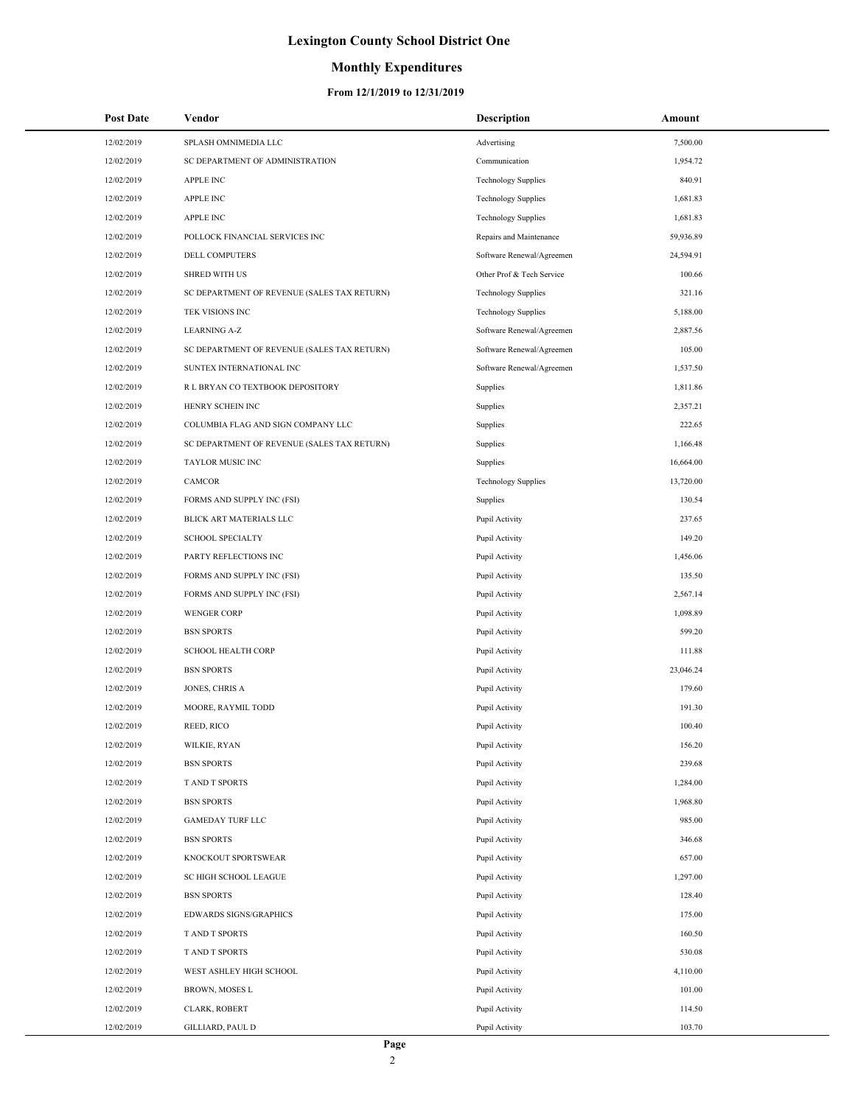## **Monthly Expenditures**

| <b>Post Date</b> | Vendor                                      | Description                | Amount    |
|------------------|---------------------------------------------|----------------------------|-----------|
| 12/02/2019       | SPLASH OMNIMEDIA LLC                        | Advertising                | 7,500.00  |
| 12/02/2019       | SC DEPARTMENT OF ADMINISTRATION             | Communication              | 1,954.72  |
| 12/02/2019       | <b>APPLE INC</b>                            | <b>Technology Supplies</b> | 840.91    |
| 12/02/2019       | <b>APPLE INC</b>                            | <b>Technology Supplies</b> | 1,681.83  |
| 12/02/2019       | <b>APPLE INC</b>                            | <b>Technology Supplies</b> | 1,681.83  |
| 12/02/2019       | POLLOCK FINANCIAL SERVICES INC              | Repairs and Maintenance    | 59,936.89 |
| 12/02/2019       | <b>DELL COMPUTERS</b>                       | Software Renewal/Agreemen  | 24,594.91 |
| 12/02/2019       | <b>SHRED WITH US</b>                        | Other Prof & Tech Service  | 100.66    |
| 12/02/2019       | SC DEPARTMENT OF REVENUE (SALES TAX RETURN) | <b>Technology Supplies</b> | 321.16    |
| 12/02/2019       | TEK VISIONS INC                             | <b>Technology Supplies</b> | 5,188.00  |
| 12/02/2019       | <b>LEARNING A-Z</b>                         | Software Renewal/Agreemen  | 2,887.56  |
| 12/02/2019       | SC DEPARTMENT OF REVENUE (SALES TAX RETURN) | Software Renewal/Agreemen  | 105.00    |
| 12/02/2019       | SUNTEX INTERNATIONAL INC                    | Software Renewal/Agreemen  | 1,537.50  |
| 12/02/2019       | R L BRYAN CO TEXTBOOK DEPOSITORY            | Supplies                   | 1,811.86  |
| 12/02/2019       | HENRY SCHEIN INC                            | Supplies                   | 2,357.21  |
| 12/02/2019       | COLUMBIA FLAG AND SIGN COMPANY LLC          | Supplies                   | 222.65    |
| 12/02/2019       | SC DEPARTMENT OF REVENUE (SALES TAX RETURN) | Supplies                   | 1,166.48  |
| 12/02/2019       | TAYLOR MUSIC INC                            | Supplies                   | 16,664.00 |
| 12/02/2019       | CAMCOR                                      | <b>Technology Supplies</b> | 13,720.00 |
| 12/02/2019       | FORMS AND SUPPLY INC (FSI)                  | Supplies                   | 130.54    |
| 12/02/2019       | BLICK ART MATERIALS LLC                     | Pupil Activity             | 237.65    |
| 12/02/2019       | <b>SCHOOL SPECIALTY</b>                     | Pupil Activity             | 149.20    |
| 12/02/2019       | PARTY REFLECTIONS INC                       | Pupil Activity             | 1,456.06  |
| 12/02/2019       | FORMS AND SUPPLY INC (FSI)                  | Pupil Activity             | 135.50    |
| 12/02/2019       | FORMS AND SUPPLY INC (FSI)                  | Pupil Activity             | 2,567.14  |
| 12/02/2019       | <b>WENGER CORP</b>                          | Pupil Activity             | 1,098.89  |
| 12/02/2019       | <b>BSN SPORTS</b>                           | Pupil Activity             | 599.20    |
| 12/02/2019       | <b>SCHOOL HEALTH CORP</b>                   | Pupil Activity             | 111.88    |
| 12/02/2019       | <b>BSN SPORTS</b>                           | Pupil Activity             | 23,046.24 |
| 12/02/2019       | JONES, CHRIS A                              | Pupil Activity             | 179.60    |
| 12/02/2019       | MOORE, RAYMIL TODD                          | Pupil Activity             | 191.30    |
| 12/02/2019       | REED, RICO                                  | Pupil Activity             | 100.40    |
| 12/02/2019       | WILKIE, RYAN                                | Pupil Activity             | 156.20    |
| 12/02/2019       | <b>BSN SPORTS</b>                           | Pupil Activity             | 239.68    |
| 12/02/2019       | T AND T SPORTS                              | Pupil Activity             | 1,284.00  |
| 12/02/2019       | <b>BSN SPORTS</b>                           | Pupil Activity             | 1,968.80  |
| 12/02/2019       | <b>GAMEDAY TURF LLC</b>                     | Pupil Activity             | 985.00    |
| 12/02/2019       | <b>BSN SPORTS</b>                           | Pupil Activity             | 346.68    |
| 12/02/2019       | KNOCKOUT SPORTSWEAR                         | Pupil Activity             | 657.00    |
| 12/02/2019       | <b>SC HIGH SCHOOL LEAGUE</b>                | Pupil Activity             | 1,297.00  |
| 12/02/2019       | <b>BSN SPORTS</b>                           | Pupil Activity             | 128.40    |
| 12/02/2019       | EDWARDS SIGNS/GRAPHICS                      | Pupil Activity             | 175.00    |
| 12/02/2019       | T AND T SPORTS                              | Pupil Activity             | 160.50    |
| 12/02/2019       | T AND T SPORTS                              | Pupil Activity             | 530.08    |
| 12/02/2019       | WEST ASHLEY HIGH SCHOOL                     | Pupil Activity             | 4,110.00  |
| 12/02/2019       | BROWN, MOSES L                              | Pupil Activity             | 101.00    |
| 12/02/2019       | CLARK, ROBERT                               | Pupil Activity             | 114.50    |
| 12/02/2019       | GILLIARD, PAUL D                            | Pupil Activity             | 103.70    |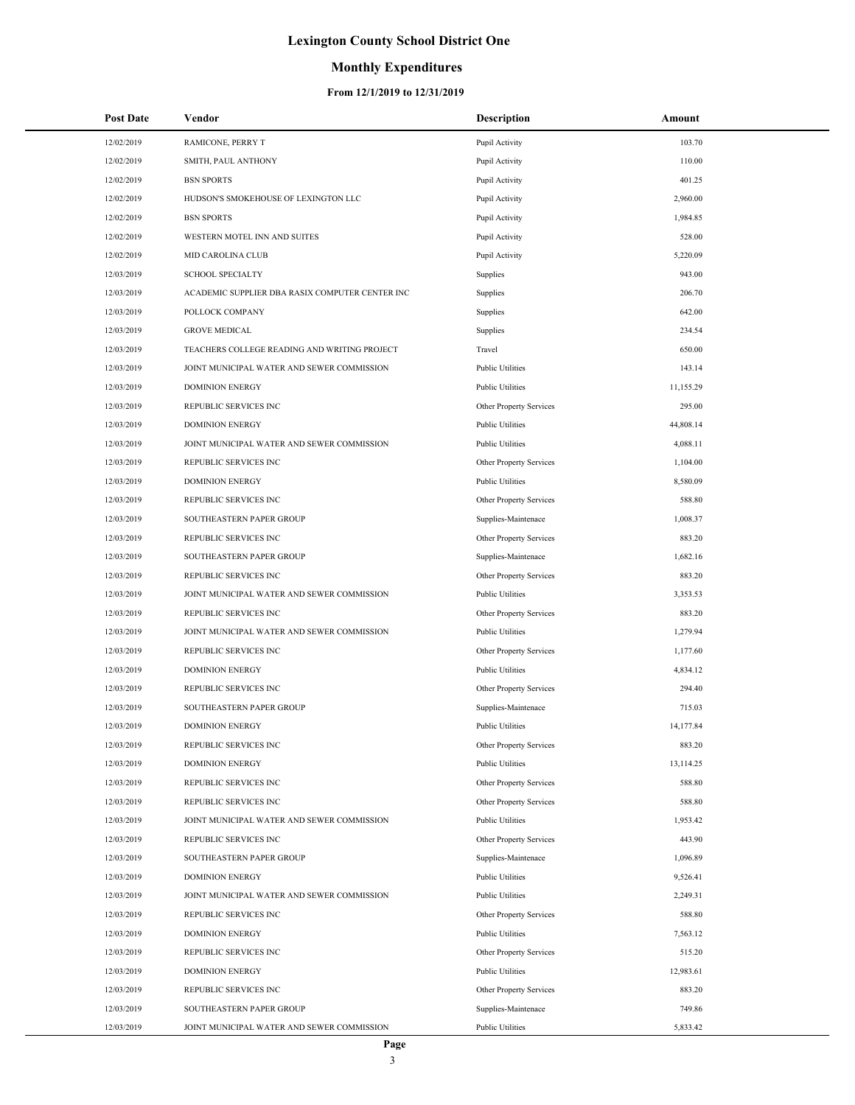## **Monthly Expenditures**

| <b>Post Date</b> | Vendor                                          | <b>Description</b>      | Amount    |
|------------------|-------------------------------------------------|-------------------------|-----------|
| 12/02/2019       | RAMICONE, PERRY T                               | Pupil Activity          | 103.70    |
| 12/02/2019       | SMITH, PAUL ANTHONY                             | Pupil Activity          | 110.00    |
| 12/02/2019       | <b>BSN SPORTS</b>                               | Pupil Activity          | 401.25    |
| 12/02/2019       | HUDSON'S SMOKEHOUSE OF LEXINGTON LLC            | Pupil Activity          | 2,960.00  |
| 12/02/2019       | <b>BSN SPORTS</b>                               | Pupil Activity          | 1,984.85  |
| 12/02/2019       | WESTERN MOTEL INN AND SUITES                    | Pupil Activity          | 528.00    |
| 12/02/2019       | MID CAROLINA CLUB                               | Pupil Activity          | 5,220.09  |
| 12/03/2019       | <b>SCHOOL SPECIALTY</b>                         | Supplies                | 943.00    |
| 12/03/2019       | ACADEMIC SUPPLIER DBA RASIX COMPUTER CENTER INC | Supplies                | 206.70    |
| 12/03/2019       | POLLOCK COMPANY                                 | Supplies                | 642.00    |
| 12/03/2019       | <b>GROVE MEDICAL</b>                            | Supplies                | 234.54    |
| 12/03/2019       | TEACHERS COLLEGE READING AND WRITING PROJECT    | Travel                  | 650.00    |
| 12/03/2019       | JOINT MUNICIPAL WATER AND SEWER COMMISSION      | <b>Public Utilities</b> | 143.14    |
| 12/03/2019       | <b>DOMINION ENERGY</b>                          | <b>Public Utilities</b> | 11,155.29 |
| 12/03/2019       | REPUBLIC SERVICES INC                           | Other Property Services | 295.00    |
| 12/03/2019       | <b>DOMINION ENERGY</b>                          | <b>Public Utilities</b> | 44,808.14 |
| 12/03/2019       | JOINT MUNICIPAL WATER AND SEWER COMMISSION      | <b>Public Utilities</b> | 4,088.11  |
| 12/03/2019       | REPUBLIC SERVICES INC                           | Other Property Services | 1,104.00  |
| 12/03/2019       | <b>DOMINION ENERGY</b>                          | <b>Public Utilities</b> | 8,580.09  |
| 12/03/2019       | REPUBLIC SERVICES INC                           | Other Property Services | 588.80    |
| 12/03/2019       | SOUTHEASTERN PAPER GROUP                        | Supplies-Maintenace     | 1,008.37  |
| 12/03/2019       | REPUBLIC SERVICES INC                           | Other Property Services | 883.20    |
| 12/03/2019       | SOUTHEASTERN PAPER GROUP                        | Supplies-Maintenace     | 1,682.16  |
| 12/03/2019       | REPUBLIC SERVICES INC                           | Other Property Services | 883.20    |
| 12/03/2019       | JOINT MUNICIPAL WATER AND SEWER COMMISSION      | <b>Public Utilities</b> | 3,353.53  |
| 12/03/2019       | REPUBLIC SERVICES INC                           | Other Property Services | 883.20    |
| 12/03/2019       | JOINT MUNICIPAL WATER AND SEWER COMMISSION      | <b>Public Utilities</b> | 1,279.94  |
| 12/03/2019       | REPUBLIC SERVICES INC                           | Other Property Services | 1,177.60  |
| 12/03/2019       | <b>DOMINION ENERGY</b>                          | Public Utilities        | 4,834.12  |
| 12/03/2019       | REPUBLIC SERVICES INC                           | Other Property Services | 294.40    |
| 12/03/2019       | SOUTHEASTERN PAPER GROUP                        | Supplies-Maintenace     | 715.03    |
| 12/03/2019       | <b>DOMINION ENERGY</b>                          | <b>Public Utilities</b> | 14,177.84 |
| 12/03/2019       | REPUBLIC SERVICES INC                           | Other Property Services | 883.20    |
| 12/03/2019       | <b>DOMINION ENERGY</b>                          | Public Utilities        | 13,114.25 |
| 12/03/2019       | REPUBLIC SERVICES INC                           | Other Property Services | 588.80    |
| 12/03/2019       | REPUBLIC SERVICES INC                           | Other Property Services | 588.80    |
| 12/03/2019       | JOINT MUNICIPAL WATER AND SEWER COMMISSION      | Public Utilities        | 1,953.42  |
| 12/03/2019       | REPUBLIC SERVICES INC                           | Other Property Services | 443.90    |
| 12/03/2019       | SOUTHEASTERN PAPER GROUP                        | Supplies-Maintenace     | 1,096.89  |
| 12/03/2019       | <b>DOMINION ENERGY</b>                          | Public Utilities        | 9,526.41  |
| 12/03/2019       | JOINT MUNICIPAL WATER AND SEWER COMMISSION      | <b>Public Utilities</b> | 2,249.31  |
| 12/03/2019       | REPUBLIC SERVICES INC                           | Other Property Services | 588.80    |
| 12/03/2019       | <b>DOMINION ENERGY</b>                          | Public Utilities        | 7,563.12  |
| 12/03/2019       | REPUBLIC SERVICES INC                           | Other Property Services | 515.20    |
| 12/03/2019       | <b>DOMINION ENERGY</b>                          | Public Utilities        | 12,983.61 |
| 12/03/2019       | REPUBLIC SERVICES INC                           | Other Property Services | 883.20    |
| 12/03/2019       | SOUTHEASTERN PAPER GROUP                        | Supplies-Maintenace     | 749.86    |
| 12/03/2019       | JOINT MUNICIPAL WATER AND SEWER COMMISSION      | Public Utilities        | 5,833.42  |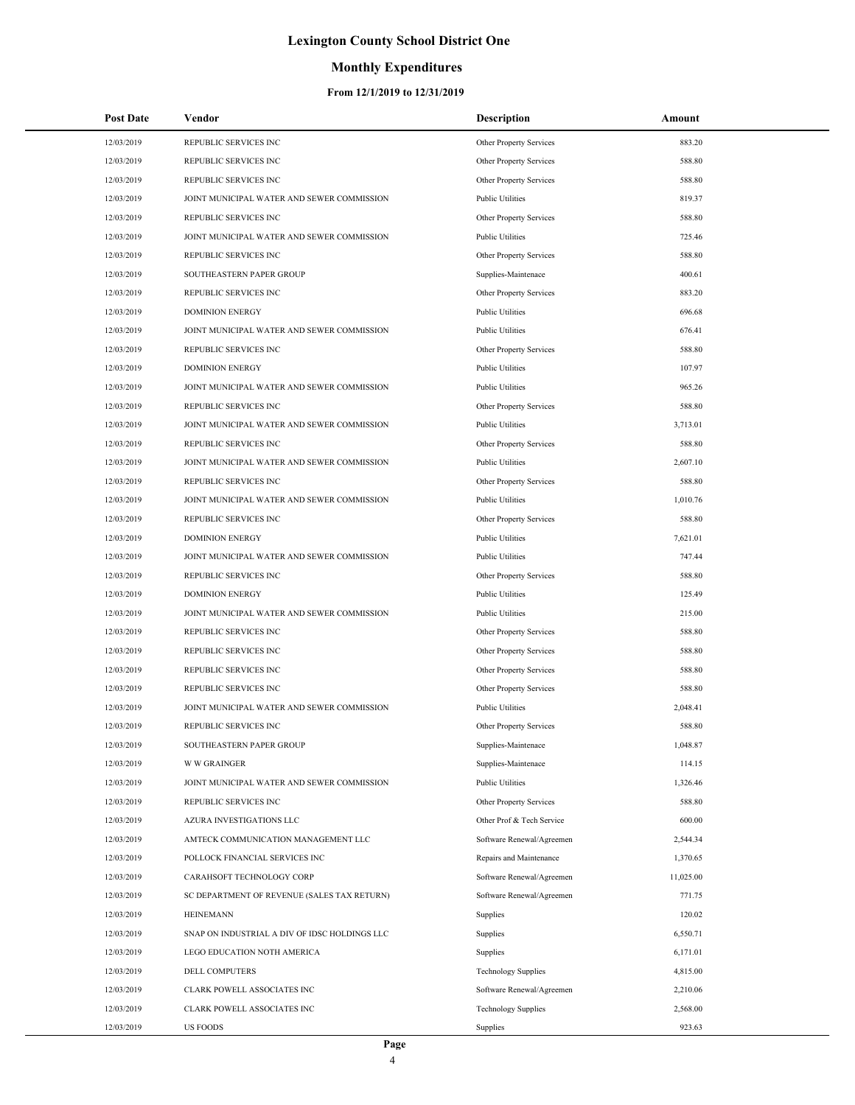## **Monthly Expenditures**

| <b>Post Date</b> | Vendor                                        | Description                | Amount    |
|------------------|-----------------------------------------------|----------------------------|-----------|
| 12/03/2019       | REPUBLIC SERVICES INC                         | Other Property Services    | 883.20    |
| 12/03/2019       | REPUBLIC SERVICES INC                         | Other Property Services    | 588.80    |
| 12/03/2019       | REPUBLIC SERVICES INC                         | Other Property Services    | 588.80    |
| 12/03/2019       | JOINT MUNICIPAL WATER AND SEWER COMMISSION    | <b>Public Utilities</b>    | 819.37    |
| 12/03/2019       | REPUBLIC SERVICES INC                         | Other Property Services    | 588.80    |
| 12/03/2019       | JOINT MUNICIPAL WATER AND SEWER COMMISSION    | <b>Public Utilities</b>    | 725.46    |
| 12/03/2019       | REPUBLIC SERVICES INC                         | Other Property Services    | 588.80    |
| 12/03/2019       | SOUTHEASTERN PAPER GROUP                      | Supplies-Maintenace        | 400.61    |
| 12/03/2019       | REPUBLIC SERVICES INC                         | Other Property Services    | 883.20    |
| 12/03/2019       | <b>DOMINION ENERGY</b>                        | <b>Public Utilities</b>    | 696.68    |
| 12/03/2019       | JOINT MUNICIPAL WATER AND SEWER COMMISSION    | <b>Public Utilities</b>    | 676.41    |
| 12/03/2019       | REPUBLIC SERVICES INC                         | Other Property Services    | 588.80    |
| 12/03/2019       | <b>DOMINION ENERGY</b>                        | <b>Public Utilities</b>    | 107.97    |
| 12/03/2019       | JOINT MUNICIPAL WATER AND SEWER COMMISSION    | <b>Public Utilities</b>    | 965.26    |
| 12/03/2019       | REPUBLIC SERVICES INC                         | Other Property Services    | 588.80    |
| 12/03/2019       | JOINT MUNICIPAL WATER AND SEWER COMMISSION    | <b>Public Utilities</b>    | 3,713.01  |
| 12/03/2019       | REPUBLIC SERVICES INC                         | Other Property Services    | 588.80    |
| 12/03/2019       | JOINT MUNICIPAL WATER AND SEWER COMMISSION    | <b>Public Utilities</b>    | 2,607.10  |
| 12/03/2019       | REPUBLIC SERVICES INC                         | Other Property Services    | 588.80    |
| 12/03/2019       | JOINT MUNICIPAL WATER AND SEWER COMMISSION    | <b>Public Utilities</b>    | 1,010.76  |
| 12/03/2019       | REPUBLIC SERVICES INC                         | Other Property Services    | 588.80    |
| 12/03/2019       | <b>DOMINION ENERGY</b>                        | <b>Public Utilities</b>    | 7,621.01  |
| 12/03/2019       | JOINT MUNICIPAL WATER AND SEWER COMMISSION    | <b>Public Utilities</b>    | 747.44    |
| 12/03/2019       | REPUBLIC SERVICES INC                         | Other Property Services    | 588.80    |
| 12/03/2019       | <b>DOMINION ENERGY</b>                        | <b>Public Utilities</b>    | 125.49    |
| 12/03/2019       | JOINT MUNICIPAL WATER AND SEWER COMMISSION    | <b>Public Utilities</b>    | 215.00    |
| 12/03/2019       | REPUBLIC SERVICES INC                         | Other Property Services    | 588.80    |
| 12/03/2019       | REPUBLIC SERVICES INC                         | Other Property Services    | 588.80    |
| 12/03/2019       | REPUBLIC SERVICES INC                         | Other Property Services    | 588.80    |
| 12/03/2019       | REPUBLIC SERVICES INC                         | Other Property Services    | 588.80    |
| 12/03/2019       | JOINT MUNICIPAL WATER AND SEWER COMMISSION    | <b>Public Utilities</b>    | 2,048.41  |
| 12/03/2019       | REPUBLIC SERVICES INC                         | Other Property Services    | 588.80    |
| 12/03/2019       | SOUTHEASTERN PAPER GROUP                      | Supplies-Maintenace        | 1,048.87  |
| 12/03/2019       | <b>W W GRAINGER</b>                           | Supplies-Maintenace        | 114.15    |
| 12/03/2019       | JOINT MUNICIPAL WATER AND SEWER COMMISSION    | <b>Public Utilities</b>    | 1,326.46  |
| 12/03/2019       | REPUBLIC SERVICES INC                         | Other Property Services    | 588.80    |
| 12/03/2019       | AZURA INVESTIGATIONS LLC                      | Other Prof & Tech Service  | 600.00    |
| 12/03/2019       | AMTECK COMMUNICATION MANAGEMENT LLC           | Software Renewal/Agreemen  | 2,544.34  |
| 12/03/2019       | POLLOCK FINANCIAL SERVICES INC                | Repairs and Maintenance    | 1,370.65  |
| 12/03/2019       | CARAHSOFT TECHNOLOGY CORP                     | Software Renewal/Agreemen  | 11,025.00 |
| 12/03/2019       | SC DEPARTMENT OF REVENUE (SALES TAX RETURN)   | Software Renewal/Agreemen  | 771.75    |
| 12/03/2019       | <b>HEINEMANN</b>                              | Supplies                   | 120.02    |
| 12/03/2019       | SNAP ON INDUSTRIAL A DIV OF IDSC HOLDINGS LLC | Supplies                   | 6,550.71  |
| 12/03/2019       | LEGO EDUCATION NOTH AMERICA                   | Supplies                   | 6,171.01  |
| 12/03/2019       | DELL COMPUTERS                                | <b>Technology Supplies</b> | 4,815.00  |
| 12/03/2019       | CLARK POWELL ASSOCIATES INC                   | Software Renewal/Agreemen  | 2,210.06  |
| 12/03/2019       | CLARK POWELL ASSOCIATES INC                   | <b>Technology Supplies</b> | 2,568.00  |
| 12/03/2019       | <b>US FOODS</b>                               | Supplies                   | 923.63    |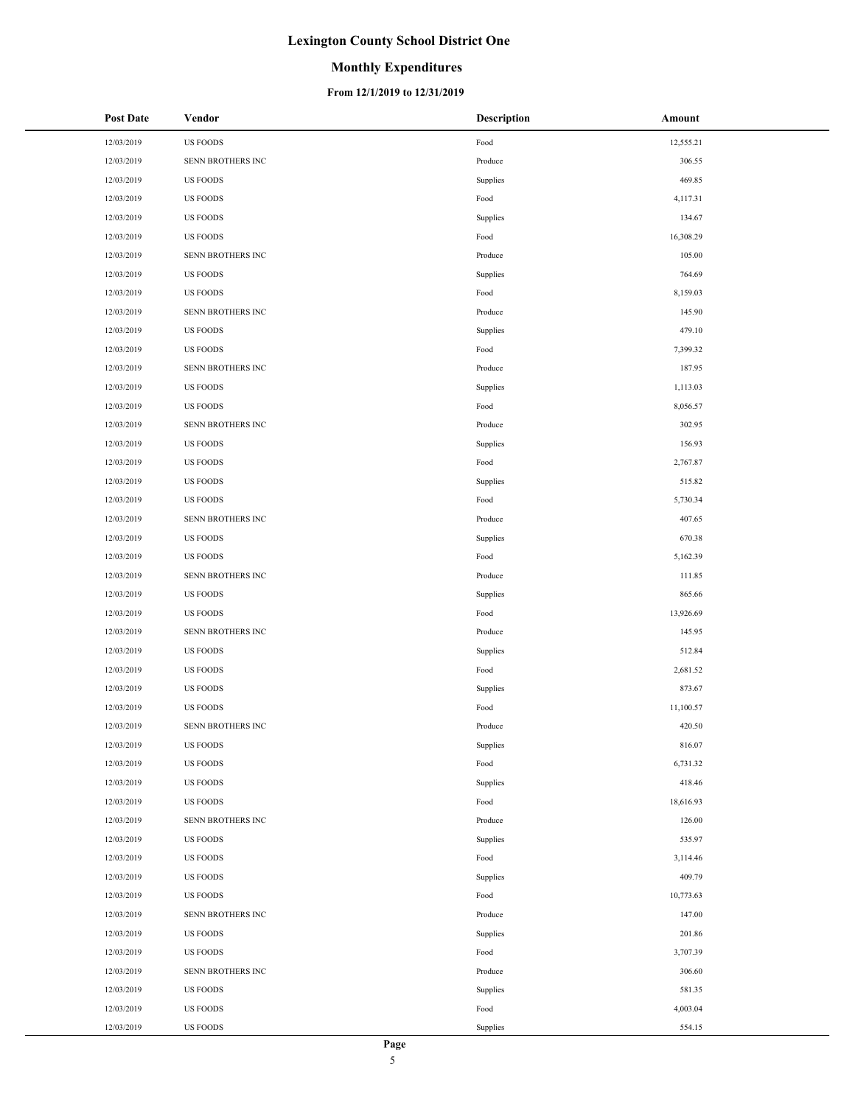#### **Monthly Expenditures**

| <b>Post Date</b> | Vendor            | <b>Description</b> | Amount    |
|------------------|-------------------|--------------------|-----------|
| 12/03/2019       | <b>US FOODS</b>   | Food               | 12,555.21 |
| 12/03/2019       | SENN BROTHERS INC | Produce            | 306.55    |
| 12/03/2019       | US FOODS          | Supplies           | 469.85    |
| 12/03/2019       | <b>US FOODS</b>   | Food               | 4,117.31  |
| 12/03/2019       | <b>US FOODS</b>   | Supplies           | 134.67    |
| 12/03/2019       | <b>US FOODS</b>   | Food               | 16,308.29 |
| 12/03/2019       | SENN BROTHERS INC | Produce            | 105.00    |
| 12/03/2019       | US FOODS          | Supplies           | 764.69    |
| 12/03/2019       | <b>US FOODS</b>   | Food               | 8,159.03  |
| 12/03/2019       | SENN BROTHERS INC | Produce            | 145.90    |
| 12/03/2019       | US FOODS          | Supplies           | 479.10    |
| 12/03/2019       | <b>US FOODS</b>   | Food               | 7,399.32  |
| 12/03/2019       | SENN BROTHERS INC | Produce            | 187.95    |
| 12/03/2019       | <b>US FOODS</b>   | Supplies           | 1,113.03  |
| 12/03/2019       | US FOODS          | Food               | 8,056.57  |
| 12/03/2019       | SENN BROTHERS INC | Produce            | 302.95    |
| 12/03/2019       | US FOODS          | Supplies           | 156.93    |
| 12/03/2019       | <b>US FOODS</b>   | Food               | 2,767.87  |
| 12/03/2019       | <b>US FOODS</b>   | Supplies           | 515.82    |
| 12/03/2019       | <b>US FOODS</b>   | Food               | 5,730.34  |
| 12/03/2019       | SENN BROTHERS INC | Produce            | 407.65    |
| 12/03/2019       | <b>US FOODS</b>   | Supplies           | 670.38    |
| 12/03/2019       | US FOODS          | Food               | 5,162.39  |
| 12/03/2019       | SENN BROTHERS INC | Produce            | 111.85    |
| 12/03/2019       | <b>US FOODS</b>   | Supplies           | 865.66    |
| 12/03/2019       | <b>US FOODS</b>   | Food               | 13,926.69 |
| 12/03/2019       | SENN BROTHERS INC | Produce            | 145.95    |
| 12/03/2019       | <b>US FOODS</b>   | Supplies           | 512.84    |
| 12/03/2019       | <b>US FOODS</b>   | Food               | 2,681.52  |
| 12/03/2019       | <b>US FOODS</b>   | Supplies           | 873.67    |
| 12/03/2019       | <b>US FOODS</b>   | Food               | 11,100.57 |
| 12/03/2019       | SENN BROTHERS INC | Produce            | 420.50    |
| 12/03/2019       | <b>US FOODS</b>   | Supplies           | 816.07    |
| 12/03/2019       | US FOODS          | Food               | 6,731.32  |
| 12/03/2019       | <b>US FOODS</b>   | Supplies           | 418.46    |
| 12/03/2019       | US FOODS          | Food               | 18,616.93 |
| 12/03/2019       | SENN BROTHERS INC | Produce            | 126.00    |
| 12/03/2019       | US FOODS          | Supplies           | 535.97    |
| 12/03/2019       | US FOODS          | Food               | 3,114.46  |
| 12/03/2019       | <b>US FOODS</b>   | Supplies           | 409.79    |
| 12/03/2019       | US FOODS          | Food               | 10,773.63 |
| 12/03/2019       | SENN BROTHERS INC | Produce            | 147.00    |
| 12/03/2019       | US FOODS          | Supplies           | 201.86    |
| 12/03/2019       | US FOODS          | Food               | 3,707.39  |
| 12/03/2019       | SENN BROTHERS INC | Produce            | 306.60    |
| 12/03/2019       | US FOODS          | Supplies           | 581.35    |
| 12/03/2019       | US FOODS          | Food               | 4,003.04  |
| 12/03/2019       | <b>US FOODS</b>   | Supplies           | 554.15    |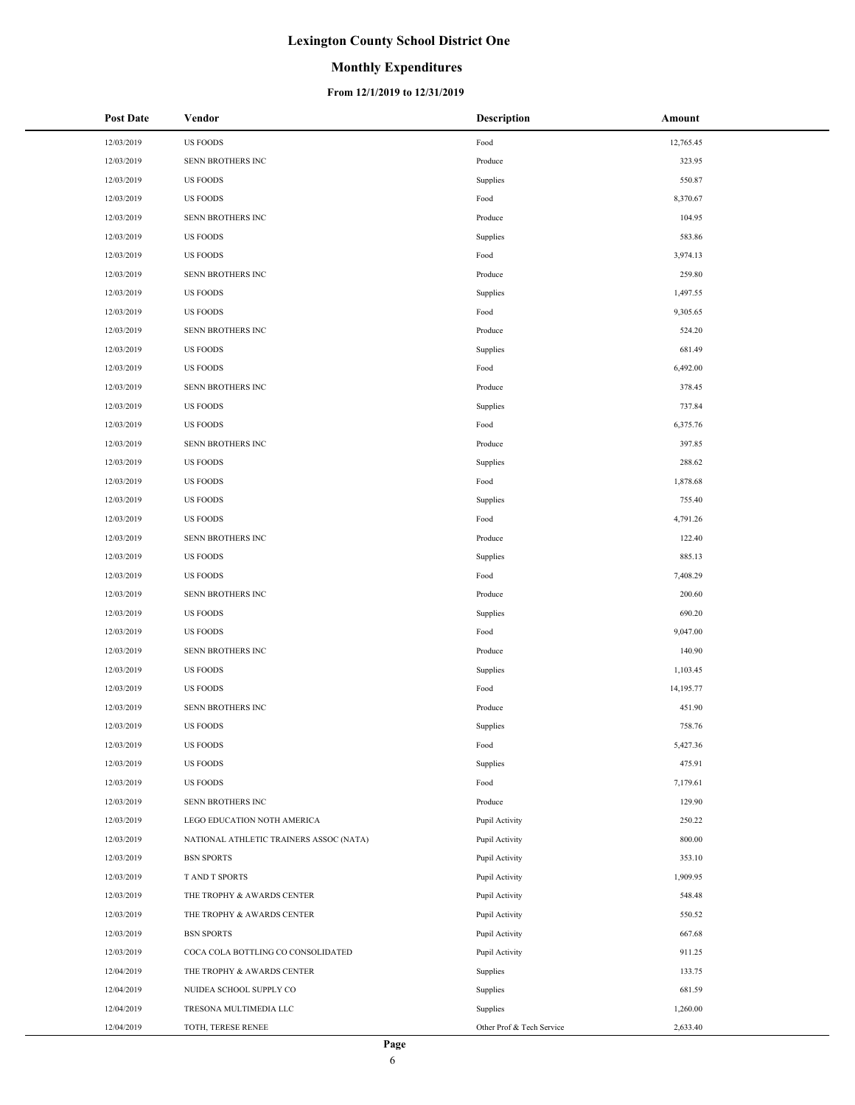## **Monthly Expenditures**

| <b>Post Date</b> | Vendor                                  | <b>Description</b>        | Amount    |
|------------------|-----------------------------------------|---------------------------|-----------|
| 12/03/2019       | <b>US FOODS</b>                         | Food                      | 12,765.45 |
| 12/03/2019       | SENN BROTHERS INC                       | Produce                   | 323.95    |
| 12/03/2019       | <b>US FOODS</b>                         | Supplies                  | 550.87    |
| 12/03/2019       | <b>US FOODS</b>                         | Food                      | 8,370.67  |
| 12/03/2019       | SENN BROTHERS INC                       | Produce                   | 104.95    |
| 12/03/2019       | <b>US FOODS</b>                         | Supplies                  | 583.86    |
| 12/03/2019       | <b>US FOODS</b>                         | Food                      | 3,974.13  |
| 12/03/2019       | SENN BROTHERS INC                       | Produce                   | 259.80    |
| 12/03/2019       | <b>US FOODS</b>                         | Supplies                  | 1,497.55  |
| 12/03/2019       | <b>US FOODS</b>                         | Food                      | 9,305.65  |
| 12/03/2019       | SENN BROTHERS INC                       | Produce                   | 524.20    |
| 12/03/2019       | <b>US FOODS</b>                         | Supplies                  | 681.49    |
| 12/03/2019       | <b>US FOODS</b>                         | Food                      | 6,492.00  |
| 12/03/2019       | SENN BROTHERS INC                       | Produce                   | 378.45    |
| 12/03/2019       | <b>US FOODS</b>                         | Supplies                  | 737.84    |
| 12/03/2019       | <b>US FOODS</b>                         | Food                      | 6,375.76  |
| 12/03/2019       | SENN BROTHERS INC                       | Produce                   | 397.85    |
| 12/03/2019       | <b>US FOODS</b>                         | Supplies                  | 288.62    |
| 12/03/2019       | <b>US FOODS</b>                         | Food                      | 1,878.68  |
| 12/03/2019       | <b>US FOODS</b>                         | Supplies                  | 755.40    |
| 12/03/2019       | <b>US FOODS</b>                         | Food                      | 4,791.26  |
| 12/03/2019       | SENN BROTHERS INC                       | Produce                   | 122.40    |
| 12/03/2019       | <b>US FOODS</b>                         | Supplies                  | 885.13    |
| 12/03/2019       | <b>US FOODS</b>                         | Food                      | 7,408.29  |
| 12/03/2019       | SENN BROTHERS INC                       | Produce                   | 200.60    |
| 12/03/2019       | <b>US FOODS</b>                         | Supplies                  | 690.20    |
| 12/03/2019       | <b>US FOODS</b>                         | Food                      | 9,047.00  |
| 12/03/2019       | SENN BROTHERS INC                       | Produce                   | 140.90    |
| 12/03/2019       | <b>US FOODS</b>                         | Supplies                  | 1,103.45  |
| 12/03/2019       | <b>US FOODS</b>                         | Food                      | 14,195.77 |
| 12/03/2019       | SENN BROTHERS INC                       | Produce                   | 451.90    |
| 12/03/2019       | <b>US FOODS</b>                         | Supplies                  | 758.76    |
| 12/03/2019       | <b>US FOODS</b>                         | Food                      | 5,427.36  |
| 12/03/2019       | <b>US FOODS</b>                         | Supplies                  | 475.91    |
| 12/03/2019       | <b>US FOODS</b>                         | Food                      | 7,179.61  |
| 12/03/2019       | SENN BROTHERS INC                       | Produce                   | 129.90    |
| 12/03/2019       | LEGO EDUCATION NOTH AMERICA             | Pupil Activity            | 250.22    |
| 12/03/2019       | NATIONAL ATHLETIC TRAINERS ASSOC (NATA) | Pupil Activity            | 800.00    |
| 12/03/2019       | <b>BSN SPORTS</b>                       | Pupil Activity            | 353.10    |
| 12/03/2019       | T AND T SPORTS                          | Pupil Activity            | 1,909.95  |
| 12/03/2019       | THE TROPHY & AWARDS CENTER              | Pupil Activity            | 548.48    |
| 12/03/2019       | THE TROPHY & AWARDS CENTER              | Pupil Activity            | 550.52    |
| 12/03/2019       | <b>BSN SPORTS</b>                       | Pupil Activity            | 667.68    |
| 12/03/2019       | COCA COLA BOTTLING CO CONSOLIDATED      | Pupil Activity            | 911.25    |
| 12/04/2019       | THE TROPHY & AWARDS CENTER              | Supplies                  | 133.75    |
| 12/04/2019       | NUIDEA SCHOOL SUPPLY CO                 | Supplies                  | 681.59    |
| 12/04/2019       | TRESONA MULTIMEDIA LLC                  | Supplies                  | 1,260.00  |
| 12/04/2019       | TOTH, TERESE RENEE                      | Other Prof & Tech Service | 2,633.40  |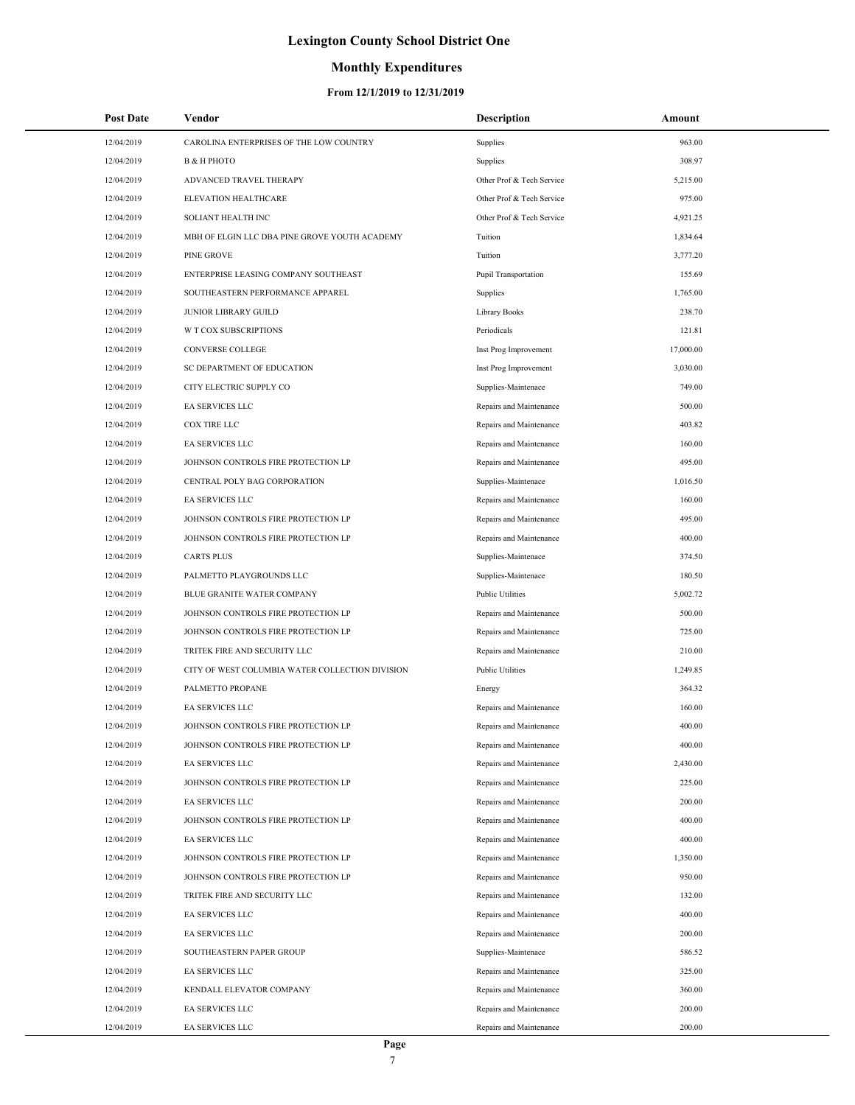## **Monthly Expenditures**

| <b>Post Date</b> | Vendor                                          | Description               | Amount    |
|------------------|-------------------------------------------------|---------------------------|-----------|
| 12/04/2019       | CAROLINA ENTERPRISES OF THE LOW COUNTRY         | Supplies                  | 963.00    |
| 12/04/2019       | <b>B &amp; H PHOTO</b>                          | Supplies                  | 308.97    |
| 12/04/2019       | ADVANCED TRAVEL THERAPY                         | Other Prof & Tech Service | 5,215.00  |
| 12/04/2019       | <b>ELEVATION HEALTHCARE</b>                     | Other Prof & Tech Service | 975.00    |
| 12/04/2019       | SOLIANT HEALTH INC                              | Other Prof & Tech Service | 4,921.25  |
| 12/04/2019       | MBH OF ELGIN LLC DBA PINE GROVE YOUTH ACADEMY   | Tuition                   | 1,834.64  |
| 12/04/2019       | PINE GROVE                                      | Tuition                   | 3,777.20  |
| 12/04/2019       | ENTERPRISE LEASING COMPANY SOUTHEAST            | Pupil Transportation      | 155.69    |
| 12/04/2019       | SOUTHEASTERN PERFORMANCE APPAREL                | Supplies                  | 1,765.00  |
| 12/04/2019       | <b>JUNIOR LIBRARY GUILD</b>                     | Library Books             | 238.70    |
| 12/04/2019       | <b>W T COX SUBSCRIPTIONS</b>                    | Periodicals               | 121.81    |
| 12/04/2019       | CONVERSE COLLEGE                                | Inst Prog Improvement     | 17,000.00 |
| 12/04/2019       | SC DEPARTMENT OF EDUCATION                      | Inst Prog Improvement     | 3,030.00  |
| 12/04/2019       | CITY ELECTRIC SUPPLY CO                         | Supplies-Maintenace       | 749.00    |
| 12/04/2019       | <b>EA SERVICES LLC</b>                          | Repairs and Maintenance   | 500.00    |
| 12/04/2019       | COX TIRE LLC                                    | Repairs and Maintenance   | 403.82    |
| 12/04/2019       | EA SERVICES LLC                                 | Repairs and Maintenance   | 160.00    |
| 12/04/2019       | JOHNSON CONTROLS FIRE PROTECTION LP             | Repairs and Maintenance   | 495.00    |
| 12/04/2019       | CENTRAL POLY BAG CORPORATION                    | Supplies-Maintenace       | 1,016.50  |
| 12/04/2019       | EA SERVICES LLC                                 | Repairs and Maintenance   | 160.00    |
| 12/04/2019       | JOHNSON CONTROLS FIRE PROTECTION LP             | Repairs and Maintenance   | 495.00    |
| 12/04/2019       | JOHNSON CONTROLS FIRE PROTECTION LP             | Repairs and Maintenance   | 400.00    |
| 12/04/2019       | <b>CARTS PLUS</b>                               | Supplies-Maintenace       | 374.50    |
| 12/04/2019       | PALMETTO PLAYGROUNDS LLC                        | Supplies-Maintenace       | 180.50    |
| 12/04/2019       | BLUE GRANITE WATER COMPANY                      | <b>Public Utilities</b>   | 5,002.72  |
| 12/04/2019       | JOHNSON CONTROLS FIRE PROTECTION LP             | Repairs and Maintenance   | 500.00    |
| 12/04/2019       | JOHNSON CONTROLS FIRE PROTECTION LP             | Repairs and Maintenance   | 725.00    |
| 12/04/2019       | TRITEK FIRE AND SECURITY LLC                    | Repairs and Maintenance   | 210.00    |
| 12/04/2019       | CITY OF WEST COLUMBIA WATER COLLECTION DIVISION | <b>Public Utilities</b>   | 1,249.85  |
| 12/04/2019       | PALMETTO PROPANE                                | Energy                    | 364.32    |
| 12/04/2019       | EA SERVICES LLC                                 | Repairs and Maintenance   | 160.00    |
| 12/04/2019       | JOHNSON CONTROLS FIRE PROTECTION LP             | Repairs and Maintenance   | 400.00    |
| 12/04/2019       | JOHNSON CONTROLS FIRE PROTECTION LP             | Repairs and Maintenance   | 400.00    |
| 12/04/2019       | EA SERVICES LLC                                 | Repairs and Maintenance   | 2,430.00  |
| 12/04/2019       | JOHNSON CONTROLS FIRE PROTECTION LP             | Repairs and Maintenance   | 225.00    |
| 12/04/2019       | EA SERVICES LLC                                 | Repairs and Maintenance   | 200.00    |
| 12/04/2019       | JOHNSON CONTROLS FIRE PROTECTION LP             | Repairs and Maintenance   | 400.00    |
| 12/04/2019       | EA SERVICES LLC                                 | Repairs and Maintenance   | 400.00    |
| 12/04/2019       | JOHNSON CONTROLS FIRE PROTECTION LP             | Repairs and Maintenance   | 1,350.00  |
| 12/04/2019       | JOHNSON CONTROLS FIRE PROTECTION LP             | Repairs and Maintenance   | 950.00    |
| 12/04/2019       | TRITEK FIRE AND SECURITY LLC                    | Repairs and Maintenance   | 132.00    |
| 12/04/2019       | EA SERVICES LLC                                 | Repairs and Maintenance   | 400.00    |
| 12/04/2019       | EA SERVICES LLC                                 | Repairs and Maintenance   | 200.00    |
| 12/04/2019       | SOUTHEASTERN PAPER GROUP                        | Supplies-Maintenace       | 586.52    |
| 12/04/2019       | EA SERVICES LLC                                 | Repairs and Maintenance   | 325.00    |
| 12/04/2019       | KENDALL ELEVATOR COMPANY                        | Repairs and Maintenance   | 360.00    |
| 12/04/2019       | EA SERVICES LLC                                 | Repairs and Maintenance   | 200.00    |
| 12/04/2019       | EA SERVICES LLC                                 | Repairs and Maintenance   | 200.00    |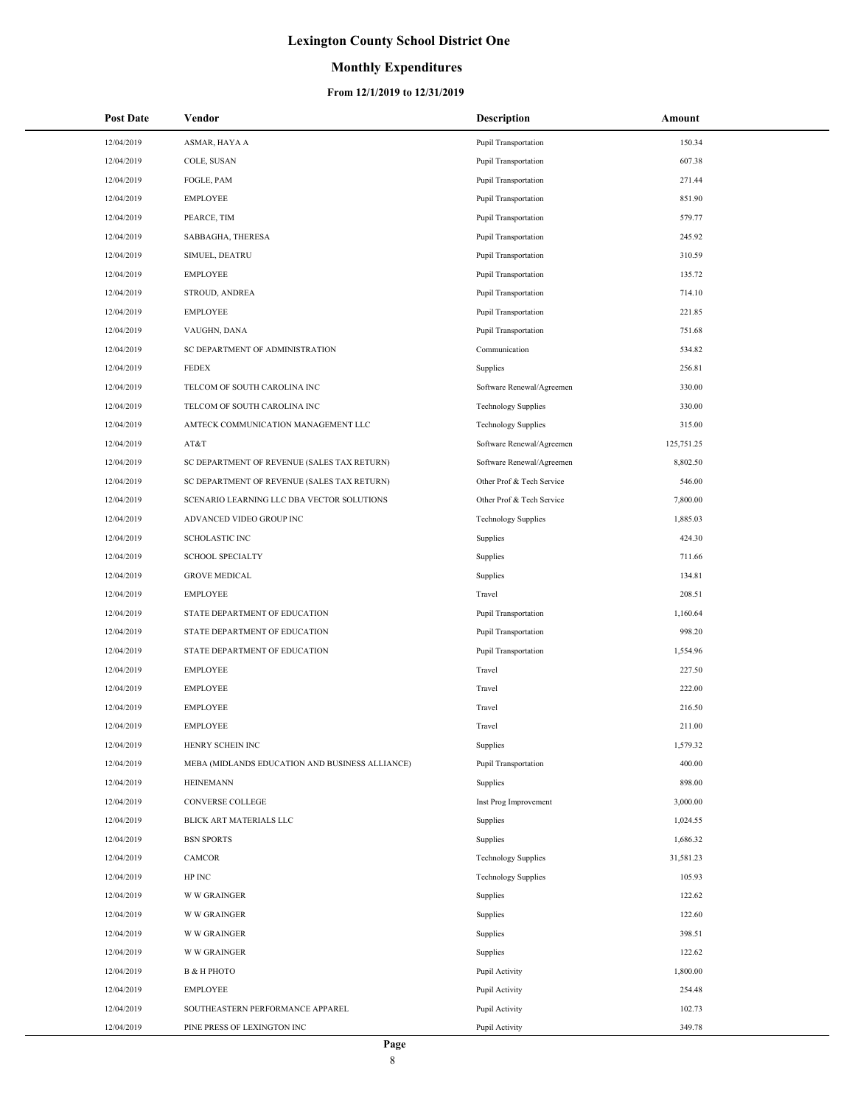## **Monthly Expenditures**

| <b>Post Date</b> | Vendor                                          | Description                 | Amount     |
|------------------|-------------------------------------------------|-----------------------------|------------|
| 12/04/2019       | ASMAR, HAYA A                                   | <b>Pupil Transportation</b> | 150.34     |
| 12/04/2019       | COLE, SUSAN                                     | <b>Pupil Transportation</b> | 607.38     |
| 12/04/2019       | FOGLE, PAM                                      | <b>Pupil Transportation</b> | 271.44     |
| 12/04/2019       | <b>EMPLOYEE</b>                                 | Pupil Transportation        | 851.90     |
| 12/04/2019       | PEARCE, TIM                                     | Pupil Transportation        | 579.77     |
| 12/04/2019       | SABBAGHA, THERESA                               | Pupil Transportation        | 245.92     |
| 12/04/2019       | SIMUEL, DEATRU                                  | <b>Pupil Transportation</b> | 310.59     |
| 12/04/2019       | <b>EMPLOYEE</b>                                 | Pupil Transportation        | 135.72     |
| 12/04/2019       | STROUD, ANDREA                                  | <b>Pupil Transportation</b> | 714.10     |
| 12/04/2019       | <b>EMPLOYEE</b>                                 | Pupil Transportation        | 221.85     |
| 12/04/2019       | VAUGHN, DANA                                    | <b>Pupil Transportation</b> | 751.68     |
| 12/04/2019       | SC DEPARTMENT OF ADMINISTRATION                 | Communication               | 534.82     |
| 12/04/2019       | <b>FEDEX</b>                                    | Supplies                    | 256.81     |
| 12/04/2019       | TELCOM OF SOUTH CAROLINA INC                    | Software Renewal/Agreemen   | 330.00     |
| 12/04/2019       | TELCOM OF SOUTH CAROLINA INC                    | <b>Technology Supplies</b>  | 330.00     |
| 12/04/2019       | AMTECK COMMUNICATION MANAGEMENT LLC             | <b>Technology Supplies</b>  | 315.00     |
| 12/04/2019       | AT&T                                            | Software Renewal/Agreemen   | 125,751.25 |
| 12/04/2019       | SC DEPARTMENT OF REVENUE (SALES TAX RETURN)     | Software Renewal/Agreemen   | 8,802.50   |
| 12/04/2019       | SC DEPARTMENT OF REVENUE (SALES TAX RETURN)     | Other Prof & Tech Service   | 546.00     |
| 12/04/2019       | SCENARIO LEARNING LLC DBA VECTOR SOLUTIONS      | Other Prof & Tech Service   | 7,800.00   |
| 12/04/2019       | ADVANCED VIDEO GROUP INC                        | <b>Technology Supplies</b>  | 1,885.03   |
| 12/04/2019       | <b>SCHOLASTIC INC</b>                           | Supplies                    | 424.30     |
| 12/04/2019       | <b>SCHOOL SPECIALTY</b>                         | Supplies                    | 711.66     |
| 12/04/2019       | <b>GROVE MEDICAL</b>                            | Supplies                    | 134.81     |
| 12/04/2019       | <b>EMPLOYEE</b>                                 | Travel                      | 208.51     |
| 12/04/2019       | STATE DEPARTMENT OF EDUCATION                   | <b>Pupil Transportation</b> | 1,160.64   |
| 12/04/2019       | STATE DEPARTMENT OF EDUCATION                   | <b>Pupil Transportation</b> | 998.20     |
| 12/04/2019       | STATE DEPARTMENT OF EDUCATION                   | Pupil Transportation        | 1,554.96   |
| 12/04/2019       | <b>EMPLOYEE</b>                                 | Travel                      | 227.50     |
| 12/04/2019       | <b>EMPLOYEE</b>                                 | Travel                      | 222.00     |
| 12/04/2019       | <b>EMPLOYEE</b>                                 | Travel                      | 216.50     |
| 12/04/2019       | <b>EMPLOYEE</b>                                 | Travel                      | 211.00     |
| 12/04/2019       | HENRY SCHEIN INC                                | Supplies                    | 1,579.32   |
| 12/04/2019       | MEBA (MIDLANDS EDUCATION AND BUSINESS ALLIANCE) | Pupil Transportation        | 400.00     |
| 12/04/2019       | <b>HEINEMANN</b>                                | Supplies                    | 898.00     |
| 12/04/2019       | CONVERSE COLLEGE                                | Inst Prog Improvement       | 3,000.00   |
| 12/04/2019       | BLICK ART MATERIALS LLC                         | Supplies                    | 1,024.55   |
| 12/04/2019       | <b>BSN SPORTS</b>                               | Supplies                    | 1,686.32   |
| 12/04/2019       | CAMCOR                                          | <b>Technology Supplies</b>  | 31,581.23  |
| 12/04/2019       | HP INC                                          | <b>Technology Supplies</b>  | 105.93     |
| 12/04/2019       | <b>W W GRAINGER</b>                             | Supplies                    | 122.62     |
| 12/04/2019       | <b>W W GRAINGER</b>                             | Supplies                    | 122.60     |
| 12/04/2019       | <b>W W GRAINGER</b>                             | Supplies                    | 398.51     |
| 12/04/2019       | <b>W W GRAINGER</b>                             | Supplies                    | 122.62     |
| 12/04/2019       | <b>B &amp; H PHOTO</b>                          | Pupil Activity              | 1,800.00   |
| 12/04/2019       | <b>EMPLOYEE</b>                                 | Pupil Activity              | 254.48     |
| 12/04/2019       | SOUTHEASTERN PERFORMANCE APPAREL                | Pupil Activity              | 102.73     |
| 12/04/2019       | PINE PRESS OF LEXINGTON INC                     | Pupil Activity              | 349.78     |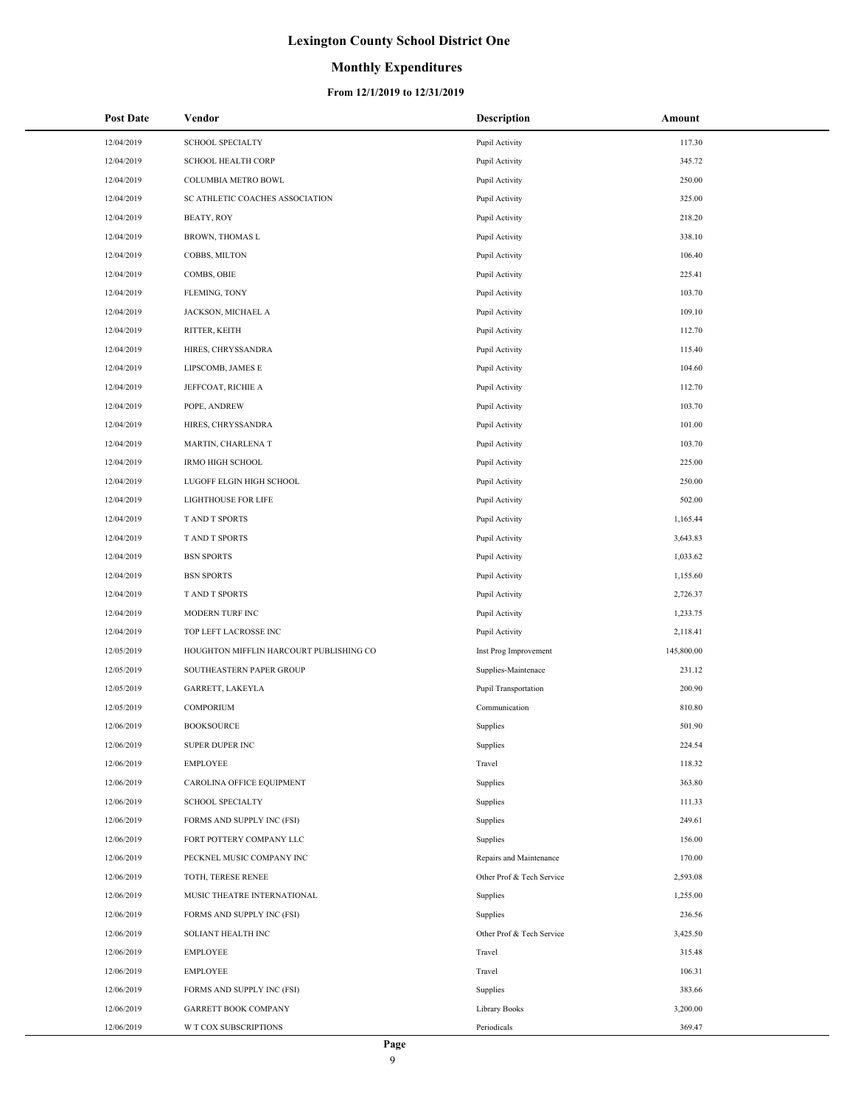## **Monthly Expenditures**

| <b>Post Date</b> | Vendor                                  | <b>Description</b>        | Amount     |
|------------------|-----------------------------------------|---------------------------|------------|
| 12/04/2019       | <b>SCHOOL SPECIALTY</b>                 | Pupil Activity            | 117.30     |
| 12/04/2019       | <b>SCHOOL HEALTH CORP</b>               | Pupil Activity            | 345.72     |
| 12/04/2019       | COLUMBIA METRO BOWL                     | Pupil Activity            | 250.00     |
| 12/04/2019       | SC ATHLETIC COACHES ASSOCIATION         | Pupil Activity            | 325.00     |
| 12/04/2019       | BEATY, ROY                              | Pupil Activity            | 218.20     |
| 12/04/2019       | BROWN, THOMAS L                         | Pupil Activity            | 338.10     |
| 12/04/2019       | COBBS, MILTON                           | Pupil Activity            | 106.40     |
| 12/04/2019       | COMBS, OBIE                             | Pupil Activity            | 225.41     |
| 12/04/2019       | FLEMING, TONY                           | Pupil Activity            | 103.70     |
| 12/04/2019       | JACKSON, MICHAEL A                      | Pupil Activity            | 109.10     |
| 12/04/2019       | RITTER, KEITH                           | Pupil Activity            | 112.70     |
| 12/04/2019       | HIRES, CHRYSSANDRA                      | Pupil Activity            | 115.40     |
| 12/04/2019       | LIPSCOMB, JAMES E                       | Pupil Activity            | 104.60     |
| 12/04/2019       | JEFFCOAT, RICHIE A                      | Pupil Activity            | 112.70     |
| 12/04/2019       | POPE, ANDREW                            | Pupil Activity            | 103.70     |
| 12/04/2019       | HIRES, CHRYSSANDRA                      | Pupil Activity            | 101.00     |
| 12/04/2019       | MARTIN, CHARLENA T                      | Pupil Activity            | 103.70     |
| 12/04/2019       | <b>IRMO HIGH SCHOOL</b>                 | Pupil Activity            | 225.00     |
| 12/04/2019       | LUGOFF ELGIN HIGH SCHOOL                | Pupil Activity            | 250.00     |
| 12/04/2019       | <b>LIGHTHOUSE FOR LIFE</b>              | Pupil Activity            | 502.00     |
| 12/04/2019       | T AND T SPORTS                          | Pupil Activity            | 1,165.44   |
| 12/04/2019       | T AND T SPORTS                          | Pupil Activity            | 3,643.83   |
| 12/04/2019       | <b>BSN SPORTS</b>                       | Pupil Activity            | 1,033.62   |
| 12/04/2019       | <b>BSN SPORTS</b>                       | Pupil Activity            | 1,155.60   |
| 12/04/2019       | T AND T SPORTS                          | Pupil Activity            | 2,726.37   |
| 12/04/2019       | MODERN TURF INC                         | Pupil Activity            | 1,233.75   |
| 12/04/2019       | TOP LEFT LACROSSE INC                   | Pupil Activity            | 2,118.41   |
| 12/05/2019       | HOUGHTON MIFFLIN HARCOURT PUBLISHING CO | Inst Prog Improvement     | 145,800.00 |
| 12/05/2019       | SOUTHEASTERN PAPER GROUP                | Supplies-Maintenace       | 231.12     |
| 12/05/2019       | GARRETT, LAKEYLA                        | Pupil Transportation      | 200.90     |
| 12/05/2019       | COMPORIUM                               | Communication             | 810.80     |
| 12/06/2019       | <b>BOOKSOURCE</b>                       | Supplies                  | 501.90     |
| 12/06/2019       | <b>SUPER DUPER INC</b>                  | Supplies                  | 224.54     |
| 12/06/2019       | <b>EMPLOYEE</b>                         | Travel                    | 118.32     |
| 12/06/2019       | CAROLINA OFFICE EQUIPMENT               | Supplies                  | 363.80     |
| 12/06/2019       | <b>SCHOOL SPECIALTY</b>                 | Supplies                  | 111.33     |
| 12/06/2019       | FORMS AND SUPPLY INC (FSI)              | Supplies                  | 249.61     |
| 12/06/2019       | FORT POTTERY COMPANY LLC                | Supplies                  | 156.00     |
| 12/06/2019       | PECKNEL MUSIC COMPANY INC               | Repairs and Maintenance   | 170.00     |
| 12/06/2019       | TOTH, TERESE RENEE                      | Other Prof & Tech Service | 2,593.08   |
| 12/06/2019       | MUSIC THEATRE INTERNATIONAL             | Supplies                  | 1,255.00   |
| 12/06/2019       | FORMS AND SUPPLY INC (FSI)              | Supplies                  | 236.56     |
| 12/06/2019       | SOLIANT HEALTH INC                      | Other Prof & Tech Service | 3,425.50   |
| 12/06/2019       | <b>EMPLOYEE</b>                         | Travel                    | 315.48     |
| 12/06/2019       | <b>EMPLOYEE</b>                         | Travel                    | 106.31     |
| 12/06/2019       | FORMS AND SUPPLY INC (FSI)              | Supplies                  | 383.66     |
| 12/06/2019       | <b>GARRETT BOOK COMPANY</b>             | Library Books             | 3,200.00   |
| 12/06/2019       | W T COX SUBSCRIPTIONS                   | Periodicals               | 369.47     |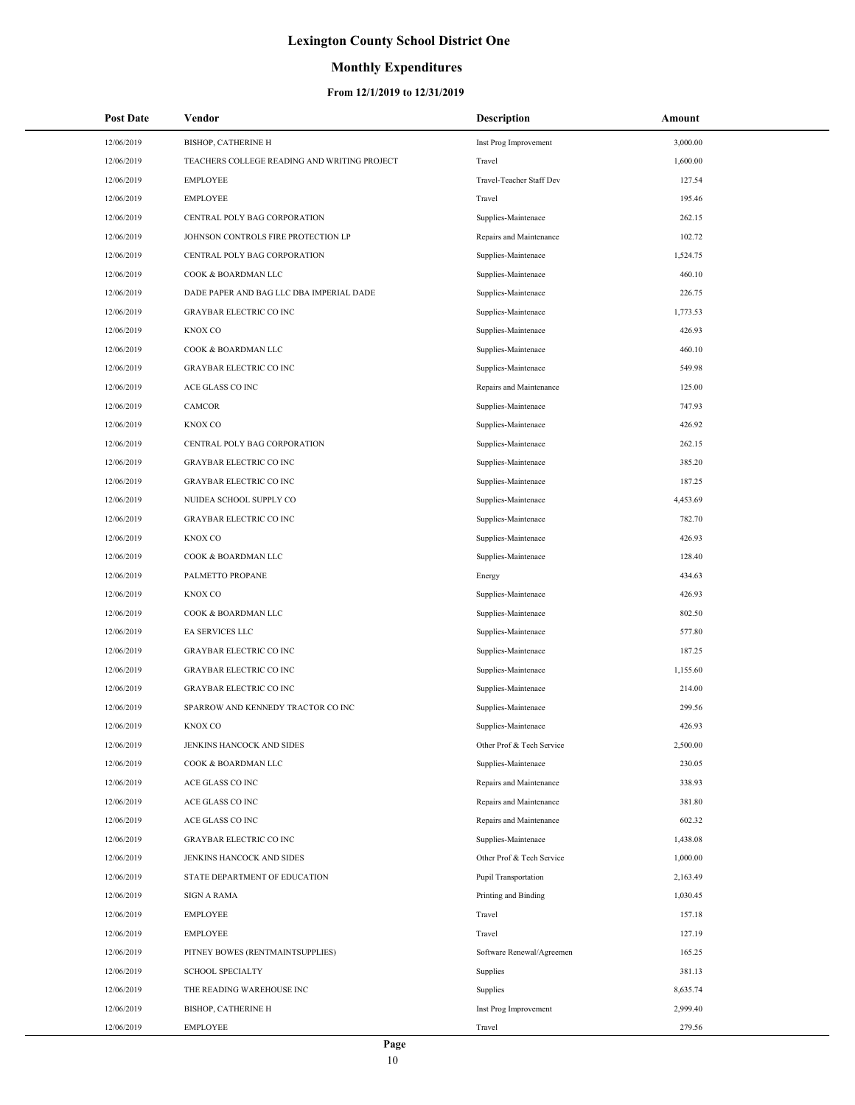## **Monthly Expenditures**

| <b>Post Date</b> | Vendor                                       | <b>Description</b>        | Amount   |
|------------------|----------------------------------------------|---------------------------|----------|
| 12/06/2019       | BISHOP, CATHERINE H                          | Inst Prog Improvement     | 3,000.00 |
| 12/06/2019       | TEACHERS COLLEGE READING AND WRITING PROJECT | Travel                    | 1,600.00 |
| 12/06/2019       | <b>EMPLOYEE</b>                              | Travel-Teacher Staff Dev  | 127.54   |
| 12/06/2019       | <b>EMPLOYEE</b>                              | Travel                    | 195.46   |
| 12/06/2019       | CENTRAL POLY BAG CORPORATION                 | Supplies-Maintenace       | 262.15   |
| 12/06/2019       | JOHNSON CONTROLS FIRE PROTECTION LP          | Repairs and Maintenance   | 102.72   |
| 12/06/2019       | CENTRAL POLY BAG CORPORATION                 | Supplies-Maintenace       | 1,524.75 |
| 12/06/2019       | COOK & BOARDMAN LLC                          | Supplies-Maintenace       | 460.10   |
| 12/06/2019       | DADE PAPER AND BAG LLC DBA IMPERIAL DADE     | Supplies-Maintenace       | 226.75   |
| 12/06/2019       | <b>GRAYBAR ELECTRIC CO INC</b>               | Supplies-Maintenace       | 1,773.53 |
| 12/06/2019       | KNOX CO                                      | Supplies-Maintenace       | 426.93   |
| 12/06/2019       | COOK & BOARDMAN LLC                          | Supplies-Maintenace       | 460.10   |
| 12/06/2019       | <b>GRAYBAR ELECTRIC CO INC</b>               | Supplies-Maintenace       | 549.98   |
| 12/06/2019       | ACE GLASS CO INC                             | Repairs and Maintenance   | 125.00   |
| 12/06/2019       | CAMCOR                                       | Supplies-Maintenace       | 747.93   |
| 12/06/2019       | KNOX CO                                      | Supplies-Maintenace       | 426.92   |
| 12/06/2019       | CENTRAL POLY BAG CORPORATION                 | Supplies-Maintenace       | 262.15   |
| 12/06/2019       | <b>GRAYBAR ELECTRIC CO INC</b>               | Supplies-Maintenace       | 385.20   |
| 12/06/2019       | <b>GRAYBAR ELECTRIC CO INC</b>               | Supplies-Maintenace       | 187.25   |
| 12/06/2019       | NUIDEA SCHOOL SUPPLY CO                      | Supplies-Maintenace       | 4,453.69 |
| 12/06/2019       | <b>GRAYBAR ELECTRIC CO INC</b>               | Supplies-Maintenace       | 782.70   |
| 12/06/2019       | KNOX CO                                      | Supplies-Maintenace       | 426.93   |
| 12/06/2019       | COOK & BOARDMAN LLC                          | Supplies-Maintenace       | 128.40   |
| 12/06/2019       | PALMETTO PROPANE                             | Energy                    | 434.63   |
| 12/06/2019       | KNOX CO                                      | Supplies-Maintenace       | 426.93   |
| 12/06/2019       | COOK & BOARDMAN LLC                          | Supplies-Maintenace       | 802.50   |
| 12/06/2019       | EA SERVICES LLC                              | Supplies-Maintenace       | 577.80   |
| 12/06/2019       | <b>GRAYBAR ELECTRIC CO INC</b>               | Supplies-Maintenace       | 187.25   |
| 12/06/2019       | <b>GRAYBAR ELECTRIC CO INC</b>               | Supplies-Maintenace       | 1,155.60 |
| 12/06/2019       | <b>GRAYBAR ELECTRIC CO INC</b>               | Supplies-Maintenace       | 214.00   |
| 12/06/2019       | SPARROW AND KENNEDY TRACTOR CO INC           | Supplies-Maintenace       | 299.56   |
| 12/06/2019       | KNOX CO                                      | Supplies-Maintenace       | 426.93   |
| 12/06/2019       | JENKINS HANCOCK AND SIDES                    | Other Prof & Tech Service | 2,500.00 |
| 12/06/2019       | COOK & BOARDMAN LLC                          | Supplies-Maintenace       | 230.05   |
| 12/06/2019       | ACE GLASS CO INC                             | Repairs and Maintenance   | 338.93   |
| 12/06/2019       | ACE GLASS CO INC                             | Repairs and Maintenance   | 381.80   |
| 12/06/2019       | ACE GLASS CO INC                             | Repairs and Maintenance   | 602.32   |
| 12/06/2019       | <b>GRAYBAR ELECTRIC CO INC</b>               | Supplies-Maintenace       | 1,438.08 |
| 12/06/2019       | JENKINS HANCOCK AND SIDES                    | Other Prof & Tech Service | 1,000.00 |
| 12/06/2019       | STATE DEPARTMENT OF EDUCATION                | Pupil Transportation      | 2,163.49 |
| 12/06/2019       | <b>SIGN A RAMA</b>                           | Printing and Binding      | 1,030.45 |
| 12/06/2019       | <b>EMPLOYEE</b>                              | Travel                    | 157.18   |
| 12/06/2019       | <b>EMPLOYEE</b>                              | Travel                    | 127.19   |
| 12/06/2019       | PITNEY BOWES (RENTMAINTSUPPLIES)             | Software Renewal/Agreemen | 165.25   |
| 12/06/2019       | <b>SCHOOL SPECIALTY</b>                      | Supplies                  | 381.13   |
| 12/06/2019       | THE READING WAREHOUSE INC                    | Supplies                  | 8,635.74 |
| 12/06/2019       | BISHOP, CATHERINE H                          | Inst Prog Improvement     | 2,999.40 |
| 12/06/2019       | <b>EMPLOYEE</b>                              | Travel                    | 279.56   |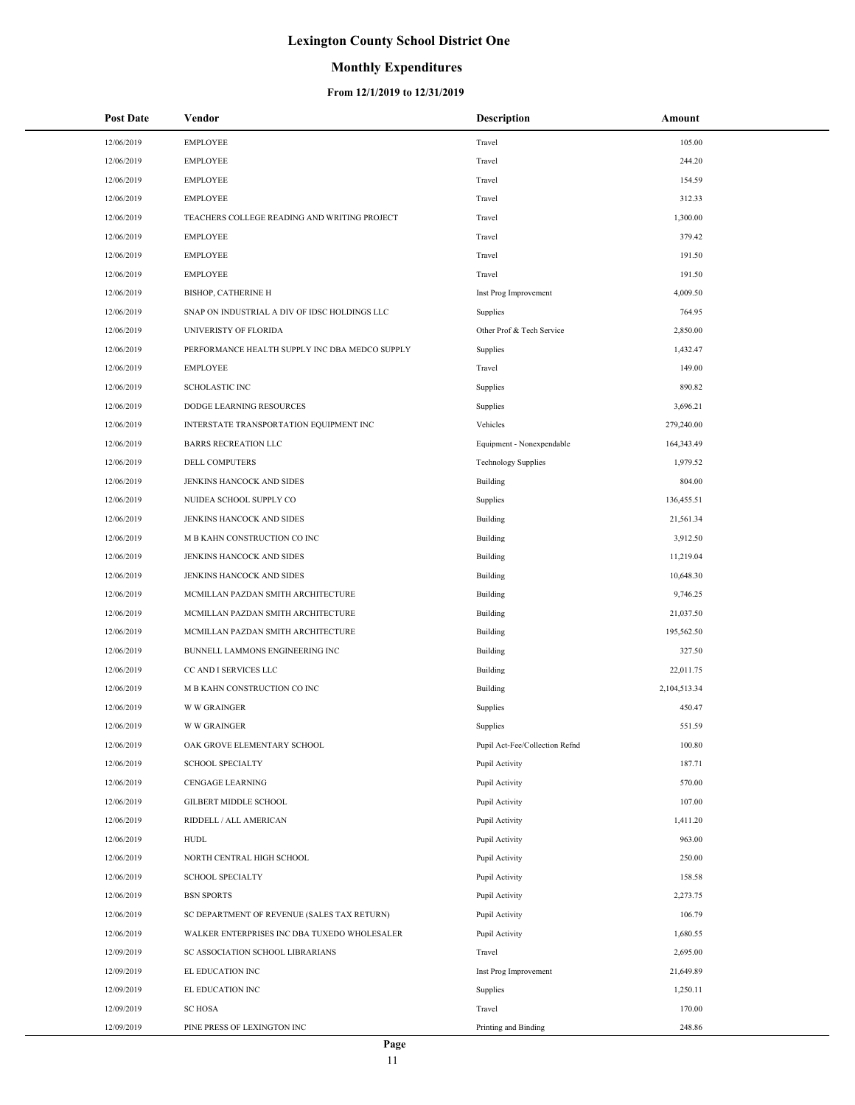## **Monthly Expenditures**

#### **From 12/1/2019 to 12/31/2019**

| <b>Post Date</b> | Vendor                                         | <b>Description</b>             | Amount       |
|------------------|------------------------------------------------|--------------------------------|--------------|
| 12/06/2019       | <b>EMPLOYEE</b>                                | Travel                         | 105.00       |
| 12/06/2019       | <b>EMPLOYEE</b>                                | Travel                         | 244.20       |
| 12/06/2019       | <b>EMPLOYEE</b>                                | Travel                         | 154.59       |
| 12/06/2019       | <b>EMPLOYEE</b>                                | Travel                         | 312.33       |
| 12/06/2019       | TEACHERS COLLEGE READING AND WRITING PROJECT   | Travel                         | 1,300.00     |
| 12/06/2019       | <b>EMPLOYEE</b>                                | Travel                         | 379.42       |
| 12/06/2019       | <b>EMPLOYEE</b>                                | Travel                         | 191.50       |
| 12/06/2019       | <b>EMPLOYEE</b>                                | Travel                         | 191.50       |
| 12/06/2019       | <b>BISHOP, CATHERINE H</b>                     | Inst Prog Improvement          | 4,009.50     |
| 12/06/2019       | SNAP ON INDUSTRIAL A DIV OF IDSC HOLDINGS LLC  | Supplies                       | 764.95       |
| 12/06/2019       | UNIVERISTY OF FLORIDA                          | Other Prof & Tech Service      | 2,850.00     |
| 12/06/2019       | PERFORMANCE HEALTH SUPPLY INC DBA MEDCO SUPPLY | Supplies                       | 1,432.47     |
| 12/06/2019       | <b>EMPLOYEE</b>                                | Travel                         | 149.00       |
| 12/06/2019       | <b>SCHOLASTIC INC</b>                          | Supplies                       | 890.82       |
| 12/06/2019       | DODGE LEARNING RESOURCES                       | Supplies                       | 3,696.21     |
| 12/06/2019       | INTERSTATE TRANSPORTATION EQUIPMENT INC        | Vehicles                       | 279,240.00   |
| 12/06/2019       | <b>BARRS RECREATION LLC</b>                    | Equipment - Nonexpendable      | 164,343.49   |
| 12/06/2019       | DELL COMPUTERS                                 | <b>Technology Supplies</b>     | 1,979.52     |
| 12/06/2019       | JENKINS HANCOCK AND SIDES                      | Building                       | 804.00       |
| 12/06/2019       | NUIDEA SCHOOL SUPPLY CO                        | Supplies                       | 136,455.51   |
| 12/06/2019       | JENKINS HANCOCK AND SIDES                      | Building                       | 21,561.34    |
| 12/06/2019       | M B KAHN CONSTRUCTION CO INC                   | Building                       | 3,912.50     |
| 12/06/2019       | JENKINS HANCOCK AND SIDES                      | Building                       | 11,219.04    |
| 12/06/2019       | JENKINS HANCOCK AND SIDES                      | Building                       | 10,648.30    |
| 12/06/2019       | MCMILLAN PAZDAN SMITH ARCHITECTURE             | Building                       | 9,746.25     |
| 12/06/2019       | MCMILLAN PAZDAN SMITH ARCHITECTURE             | Building                       | 21,037.50    |
| 12/06/2019       | MCMILLAN PAZDAN SMITH ARCHITECTURE             | Building                       | 195,562.50   |
| 12/06/2019       | BUNNELL LAMMONS ENGINEERING INC                | Building                       | 327.50       |
| 12/06/2019       | CC AND I SERVICES LLC                          | Building                       | 22,011.75    |
| 12/06/2019       | M B KAHN CONSTRUCTION CO INC                   | Building                       | 2,104,513.34 |
| 12/06/2019       | <b>W W GRAINGER</b>                            | Supplies                       | 450.47       |
| 12/06/2019       | <b>W W GRAINGER</b>                            | Supplies                       | 551.59       |
| 12/06/2019       | OAK GROVE ELEMENTARY SCHOOL                    | Pupil Act-Fee/Collection Refnd | 100.80       |
| 12/06/2019       | <b>SCHOOL SPECIALTY</b>                        | Pupil Activity                 | 187.71       |
| 12/06/2019       | CENGAGE LEARNING                               | Pupil Activity                 | 570.00       |
| 12/06/2019       | GILBERT MIDDLE SCHOOL                          | Pupil Activity                 | 107.00       |
| 12/06/2019       | RIDDELL / ALL AMERICAN                         | Pupil Activity                 | 1,411.20     |
| 12/06/2019       | <b>HUDL</b>                                    | Pupil Activity                 | 963.00       |
| 12/06/2019       | NORTH CENTRAL HIGH SCHOOL                      | Pupil Activity                 | 250.00       |
| 12/06/2019       | <b>SCHOOL SPECIALTY</b>                        | Pupil Activity                 | 158.58       |
| 12/06/2019       | <b>BSN SPORTS</b>                              | Pupil Activity                 | 2,273.75     |
| 12/06/2019       | SC DEPARTMENT OF REVENUE (SALES TAX RETURN)    | Pupil Activity                 | 106.79       |
| 12/06/2019       | WALKER ENTERPRISES INC DBA TUXEDO WHOLESALER   | Pupil Activity                 | 1,680.55     |
| 12/09/2019       | SC ASSOCIATION SCHOOL LIBRARIANS               | Travel                         | 2,695.00     |
| 12/09/2019       | EL EDUCATION INC                               | Inst Prog Improvement          | 21,649.89    |
| 12/09/2019       | EL EDUCATION INC                               | Supplies                       | 1,250.11     |
| 12/09/2019       | <b>SC HOSA</b>                                 | Travel                         | 170.00       |
| 12/09/2019       | PINE PRESS OF LEXINGTON INC                    | Printing and Binding           | 248.86       |

 $\overline{\phantom{a}}$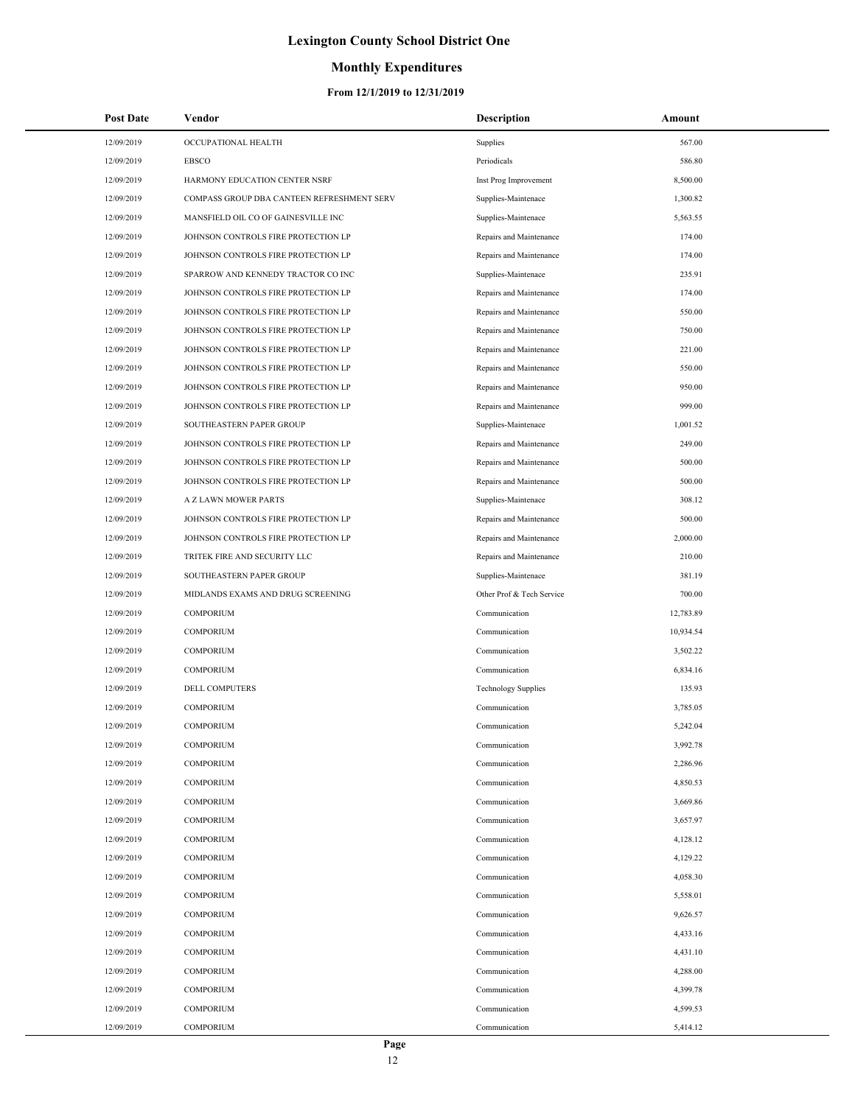## **Monthly Expenditures**

| <b>Post Date</b> | Vendor                                     | <b>Description</b>         | Amount    |
|------------------|--------------------------------------------|----------------------------|-----------|
| 12/09/2019       | OCCUPATIONAL HEALTH                        | Supplies                   | 567.00    |
| 12/09/2019       | EBSCO                                      | Periodicals                | 586.80    |
| 12/09/2019       | HARMONY EDUCATION CENTER NSRF              | Inst Prog Improvement      | 8,500.00  |
| 12/09/2019       | COMPASS GROUP DBA CANTEEN REFRESHMENT SERV | Supplies-Maintenace        | 1,300.82  |
| 12/09/2019       | MANSFIELD OIL CO OF GAINESVILLE INC        | Supplies-Maintenace        | 5,563.55  |
| 12/09/2019       | JOHNSON CONTROLS FIRE PROTECTION LP        | Repairs and Maintenance    | 174.00    |
| 12/09/2019       | JOHNSON CONTROLS FIRE PROTECTION LP        | Repairs and Maintenance    | 174.00    |
| 12/09/2019       | SPARROW AND KENNEDY TRACTOR CO INC         | Supplies-Maintenace        | 235.91    |
| 12/09/2019       | JOHNSON CONTROLS FIRE PROTECTION LP        | Repairs and Maintenance    | 174.00    |
| 12/09/2019       | JOHNSON CONTROLS FIRE PROTECTION LP        | Repairs and Maintenance    | 550.00    |
| 12/09/2019       | JOHNSON CONTROLS FIRE PROTECTION LP        | Repairs and Maintenance    | 750.00    |
| 12/09/2019       | JOHNSON CONTROLS FIRE PROTECTION LP        | Repairs and Maintenance    | 221.00    |
| 12/09/2019       | JOHNSON CONTROLS FIRE PROTECTION LP        | Repairs and Maintenance    | 550.00    |
| 12/09/2019       | JOHNSON CONTROLS FIRE PROTECTION LP        | Repairs and Maintenance    | 950.00    |
| 12/09/2019       | JOHNSON CONTROLS FIRE PROTECTION LP        | Repairs and Maintenance    | 999.00    |
| 12/09/2019       | SOUTHEASTERN PAPER GROUP                   | Supplies-Maintenace        | 1,001.52  |
| 12/09/2019       | JOHNSON CONTROLS FIRE PROTECTION LP        | Repairs and Maintenance    | 249.00    |
| 12/09/2019       | JOHNSON CONTROLS FIRE PROTECTION LP        | Repairs and Maintenance    | 500.00    |
| 12/09/2019       | JOHNSON CONTROLS FIRE PROTECTION LP        | Repairs and Maintenance    | 500.00    |
| 12/09/2019       | A Z LAWN MOWER PARTS                       | Supplies-Maintenace        | 308.12    |
| 12/09/2019       | JOHNSON CONTROLS FIRE PROTECTION LP        | Repairs and Maintenance    | 500.00    |
| 12/09/2019       | JOHNSON CONTROLS FIRE PROTECTION LP        | Repairs and Maintenance    | 2,000.00  |
| 12/09/2019       | TRITEK FIRE AND SECURITY LLC               | Repairs and Maintenance    | 210.00    |
| 12/09/2019       | SOUTHEASTERN PAPER GROUP                   | Supplies-Maintenace        | 381.19    |
| 12/09/2019       | MIDLANDS EXAMS AND DRUG SCREENING          | Other Prof & Tech Service  | 700.00    |
| 12/09/2019       | <b>COMPORIUM</b>                           | Communication              | 12,783.89 |
| 12/09/2019       | <b>COMPORIUM</b>                           | Communication              | 10,934.54 |
| 12/09/2019       | <b>COMPORIUM</b>                           | Communication              | 3,502.22  |
| 12/09/2019       | <b>COMPORIUM</b>                           | Communication              | 6,834.16  |
| 12/09/2019       | <b>DELL COMPUTERS</b>                      | <b>Technology Supplies</b> | 135.93    |
| 12/09/2019       | <b>COMPORIUM</b>                           | Communication              | 3,785.05  |
| 12/09/2019       | <b>COMPORIUM</b>                           | Communication              | 5,242.04  |
| 12/09/2019       | <b>COMPORIUM</b>                           | Communication              | 3,992.78  |
| 12/09/2019       | <b>COMPORIUM</b>                           | Communication              | 2,286.96  |
| 12/09/2019       | <b>COMPORIUM</b>                           | Communication              | 4,850.53  |
| 12/09/2019       | <b>COMPORIUM</b>                           | Communication              | 3,669.86  |
| 12/09/2019       | COMPORIUM                                  | Communication              | 3,657.97  |
| 12/09/2019       | COMPORIUM                                  | Communication              | 4,128.12  |
| 12/09/2019       | <b>COMPORIUM</b>                           | Communication              | 4,129.22  |
| 12/09/2019       | COMPORIUM                                  | Communication              | 4,058.30  |
| 12/09/2019       | <b>COMPORIUM</b>                           | Communication              | 5,558.01  |
| 12/09/2019       | <b>COMPORIUM</b>                           | Communication              | 9,626.57  |
| 12/09/2019       | COMPORIUM                                  | Communication              | 4,433.16  |
| 12/09/2019       | COMPORIUM                                  | Communication              | 4,431.10  |
| 12/09/2019       | COMPORIUM                                  | Communication              | 4,288.00  |
| 12/09/2019       | COMPORIUM                                  | Communication              | 4,399.78  |
| 12/09/2019       | <b>COMPORIUM</b>                           | Communication              | 4,599.53  |
| 12/09/2019       | <b>COMPORIUM</b>                           | Communication              | 5,414.12  |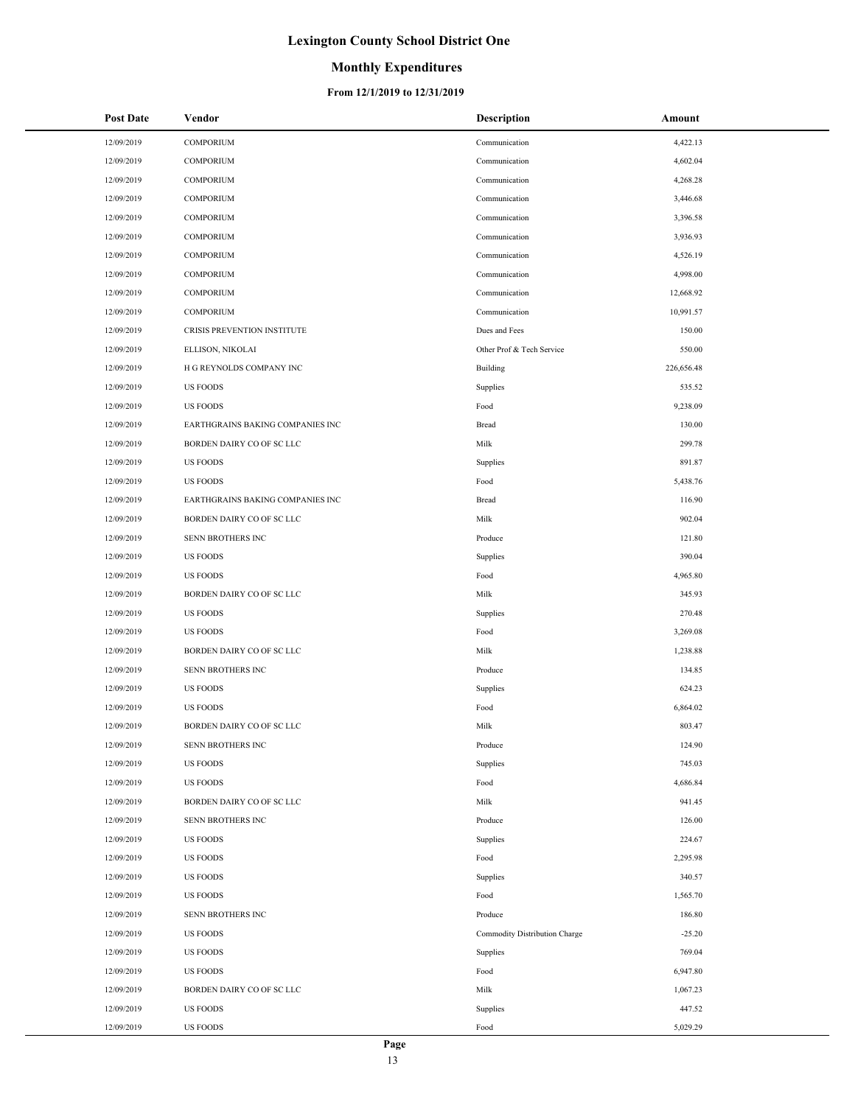## **Monthly Expenditures**

| Post Date  | Vendor                           | <b>Description</b>            | Amount     |
|------------|----------------------------------|-------------------------------|------------|
| 12/09/2019 | <b>COMPORIUM</b>                 | Communication                 | 4,422.13   |
| 12/09/2019 | <b>COMPORIUM</b>                 | Communication                 | 4,602.04   |
| 12/09/2019 | <b>COMPORIUM</b>                 | Communication                 | 4,268.28   |
| 12/09/2019 | <b>COMPORIUM</b>                 | Communication                 | 3,446.68   |
| 12/09/2019 | <b>COMPORIUM</b>                 | Communication                 | 3,396.58   |
| 12/09/2019 | <b>COMPORIUM</b>                 | Communication                 | 3,936.93   |
| 12/09/2019 | <b>COMPORIUM</b>                 | Communication                 | 4,526.19   |
| 12/09/2019 | <b>COMPORIUM</b>                 | Communication                 | 4,998.00   |
| 12/09/2019 | <b>COMPORIUM</b>                 | Communication                 | 12,668.92  |
| 12/09/2019 | <b>COMPORIUM</b>                 | Communication                 | 10,991.57  |
| 12/09/2019 | CRISIS PREVENTION INSTITUTE      | Dues and Fees                 | 150.00     |
| 12/09/2019 | ELLISON, NIKOLAI                 | Other Prof & Tech Service     | 550.00     |
| 12/09/2019 | H G REYNOLDS COMPANY INC         | Building                      | 226,656.48 |
| 12/09/2019 | <b>US FOODS</b>                  | Supplies                      | 535.52     |
| 12/09/2019 | <b>US FOODS</b>                  | Food                          | 9,238.09   |
| 12/09/2019 | EARTHGRAINS BAKING COMPANIES INC | Bread                         | 130.00     |
| 12/09/2019 | BORDEN DAIRY CO OF SC LLC        | Milk                          | 299.78     |
| 12/09/2019 | <b>US FOODS</b>                  | Supplies                      | 891.87     |
| 12/09/2019 | <b>US FOODS</b>                  | Food                          | 5,438.76   |
| 12/09/2019 | EARTHGRAINS BAKING COMPANIES INC | Bread                         | 116.90     |
| 12/09/2019 | BORDEN DAIRY CO OF SC LLC        | Milk                          | 902.04     |
| 12/09/2019 | SENN BROTHERS INC                | Produce                       | 121.80     |
| 12/09/2019 | <b>US FOODS</b>                  | Supplies                      | 390.04     |
| 12/09/2019 | <b>US FOODS</b>                  | Food                          | 4,965.80   |
| 12/09/2019 | BORDEN DAIRY CO OF SC LLC        | Milk                          | 345.93     |
| 12/09/2019 | <b>US FOODS</b>                  | Supplies                      | 270.48     |
| 12/09/2019 | <b>US FOODS</b>                  | Food                          | 3,269.08   |
| 12/09/2019 | BORDEN DAIRY CO OF SC LLC        | Milk                          | 1,238.88   |
| 12/09/2019 | SENN BROTHERS INC                | Produce                       | 134.85     |
| 12/09/2019 | <b>US FOODS</b>                  | Supplies                      | 624.23     |
| 12/09/2019 | <b>US FOODS</b>                  | Food                          | 6,864.02   |
| 12/09/2019 | <b>BORDEN DAIRY CO OF SC LLC</b> | Milk                          | 803.47     |
| 12/09/2019 | SENN BROTHERS INC                | Produce                       | 124.90     |
| 12/09/2019 | <b>US FOODS</b>                  | Supplies                      | 745.03     |
| 12/09/2019 | <b>US FOODS</b>                  | Food                          | 4,686.84   |
| 12/09/2019 | BORDEN DAIRY CO OF SC LLC        | Milk                          | 941.45     |
| 12/09/2019 | SENN BROTHERS INC                | Produce                       | 126.00     |
| 12/09/2019 | <b>US FOODS</b>                  | Supplies                      | 224.67     |
| 12/09/2019 | <b>US FOODS</b>                  | Food                          | 2,295.98   |
| 12/09/2019 | <b>US FOODS</b>                  | Supplies                      | 340.57     |
| 12/09/2019 | <b>US FOODS</b>                  | Food                          | 1,565.70   |
| 12/09/2019 | SENN BROTHERS INC                | Produce                       | 186.80     |
| 12/09/2019 | <b>US FOODS</b>                  | Commodity Distribution Charge | $-25.20$   |
| 12/09/2019 | <b>US FOODS</b>                  | Supplies                      | 769.04     |
| 12/09/2019 | <b>US FOODS</b>                  | Food                          | 6,947.80   |
| 12/09/2019 | BORDEN DAIRY CO OF SC LLC        | Milk                          | 1,067.23   |
| 12/09/2019 | <b>US FOODS</b>                  | Supplies                      | 447.52     |
| 12/09/2019 | <b>US FOODS</b>                  | Food                          | 5,029.29   |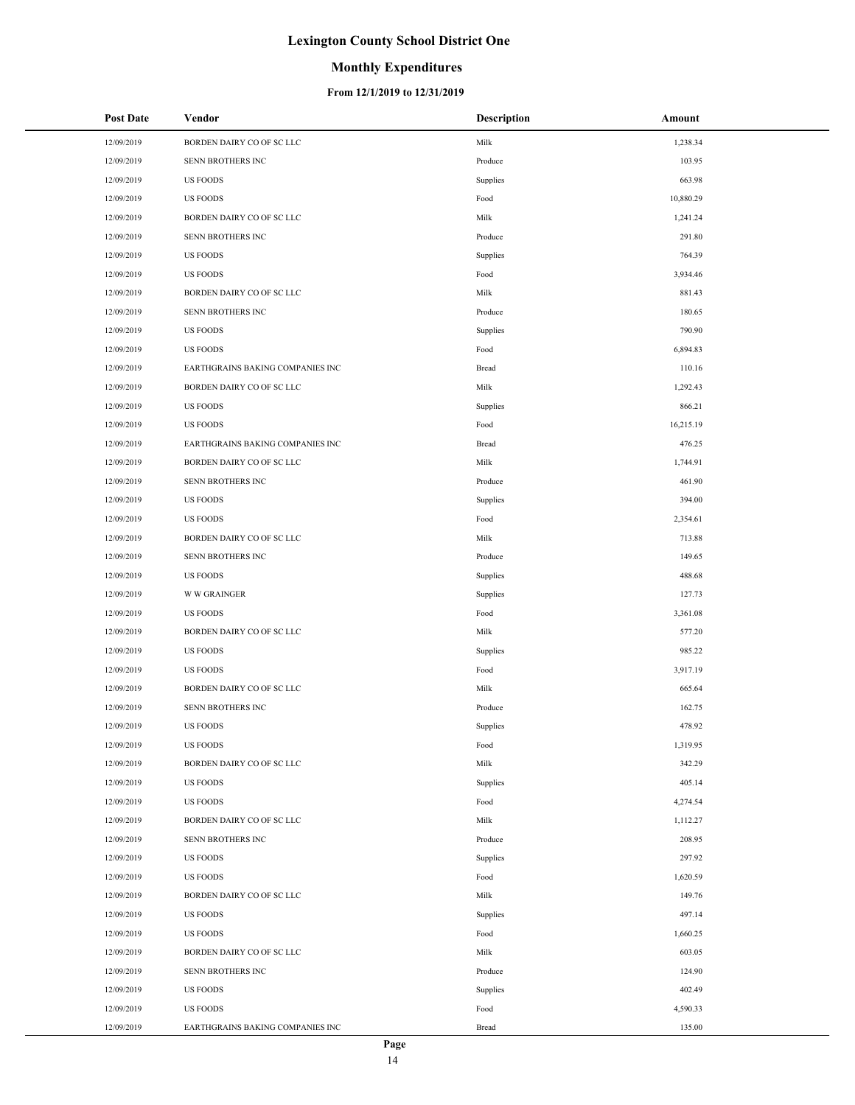## **Monthly Expenditures**

| <b>Post Date</b> | Vendor                           | <b>Description</b> | Amount    |
|------------------|----------------------------------|--------------------|-----------|
| 12/09/2019       | BORDEN DAIRY CO OF SC LLC        | Milk               | 1,238.34  |
| 12/09/2019       | SENN BROTHERS INC                | Produce            | 103.95    |
| 12/09/2019       | <b>US FOODS</b>                  | Supplies           | 663.98    |
| 12/09/2019       | <b>US FOODS</b>                  | Food               | 10,880.29 |
| 12/09/2019       | BORDEN DAIRY CO OF SC LLC        | Milk               | 1,241.24  |
| 12/09/2019       | SENN BROTHERS INC                | Produce            | 291.80    |
| 12/09/2019       | <b>US FOODS</b>                  | Supplies           | 764.39    |
| 12/09/2019       | <b>US FOODS</b>                  | Food               | 3,934.46  |
| 12/09/2019       | BORDEN DAIRY CO OF SC LLC        | Milk               | 881.43    |
| 12/09/2019       | SENN BROTHERS INC                | Produce            | 180.65    |
| 12/09/2019       | <b>US FOODS</b>                  | Supplies           | 790.90    |
| 12/09/2019       | <b>US FOODS</b>                  | Food               | 6,894.83  |
| 12/09/2019       | EARTHGRAINS BAKING COMPANIES INC | Bread              | 110.16    |
| 12/09/2019       | BORDEN DAIRY CO OF SC LLC        | Milk               | 1,292.43  |
| 12/09/2019       | <b>US FOODS</b>                  | Supplies           | 866.21    |
| 12/09/2019       | <b>US FOODS</b>                  | Food               | 16,215.19 |
| 12/09/2019       | EARTHGRAINS BAKING COMPANIES INC | Bread              | 476.25    |
| 12/09/2019       | BORDEN DAIRY CO OF SC LLC        | Milk               | 1,744.91  |
| 12/09/2019       | SENN BROTHERS INC                | Produce            | 461.90    |
| 12/09/2019       | US FOODS                         | Supplies           | 394.00    |
| 12/09/2019       | <b>US FOODS</b>                  | Food               | 2,354.61  |
| 12/09/2019       | BORDEN DAIRY CO OF SC LLC        | Milk               | 713.88    |
| 12/09/2019       | SENN BROTHERS INC                | Produce            | 149.65    |
| 12/09/2019       | US FOODS                         | Supplies           | 488.68    |
| 12/09/2019       | <b>W W GRAINGER</b>              | Supplies           | 127.73    |
| 12/09/2019       | US FOODS                         | Food               | 3,361.08  |
| 12/09/2019       | BORDEN DAIRY CO OF SC LLC        | Milk               | 577.20    |
| 12/09/2019       | <b>US FOODS</b>                  | Supplies           | 985.22    |
| 12/09/2019       | <b>US FOODS</b>                  | Food               | 3,917.19  |
| 12/09/2019       | BORDEN DAIRY CO OF SC LLC        | Milk               | 665.64    |
| 12/09/2019       | SENN BROTHERS INC                | Produce            | 162.75    |
| 12/09/2019       | <b>US FOODS</b>                  | Supplies           | 478.92    |
| 12/09/2019       | <b>US FOODS</b>                  | Food               | 1,319.95  |
| 12/09/2019       | BORDEN DAIRY CO OF SC LLC        | Milk               | 342.29    |
| 12/09/2019       | US FOODS                         | Supplies           | 405.14    |
| 12/09/2019       | US FOODS                         | Food               | 4,274.54  |
| 12/09/2019       | BORDEN DAIRY CO OF SC LLC        | Milk               | 1,112.27  |
| 12/09/2019       | SENN BROTHERS INC                | Produce            | 208.95    |
| 12/09/2019       | <b>US FOODS</b>                  | Supplies           | 297.92    |
| 12/09/2019       | <b>US FOODS</b>                  | Food               | 1,620.59  |
| 12/09/2019       | BORDEN DAIRY CO OF SC LLC        | Milk               | 149.76    |
| 12/09/2019       | US FOODS                         | Supplies           | 497.14    |
| 12/09/2019       | US FOODS                         | Food               | 1,660.25  |
| 12/09/2019       | BORDEN DAIRY CO OF SC LLC        | Milk               | 603.05    |
| 12/09/2019       | SENN BROTHERS INC                | Produce            | 124.90    |
| 12/09/2019       | US FOODS                         | Supplies           | 402.49    |
| 12/09/2019       | <b>US FOODS</b>                  | Food               | 4,590.33  |
| 12/09/2019       | EARTHGRAINS BAKING COMPANIES INC | Bread              | 135.00    |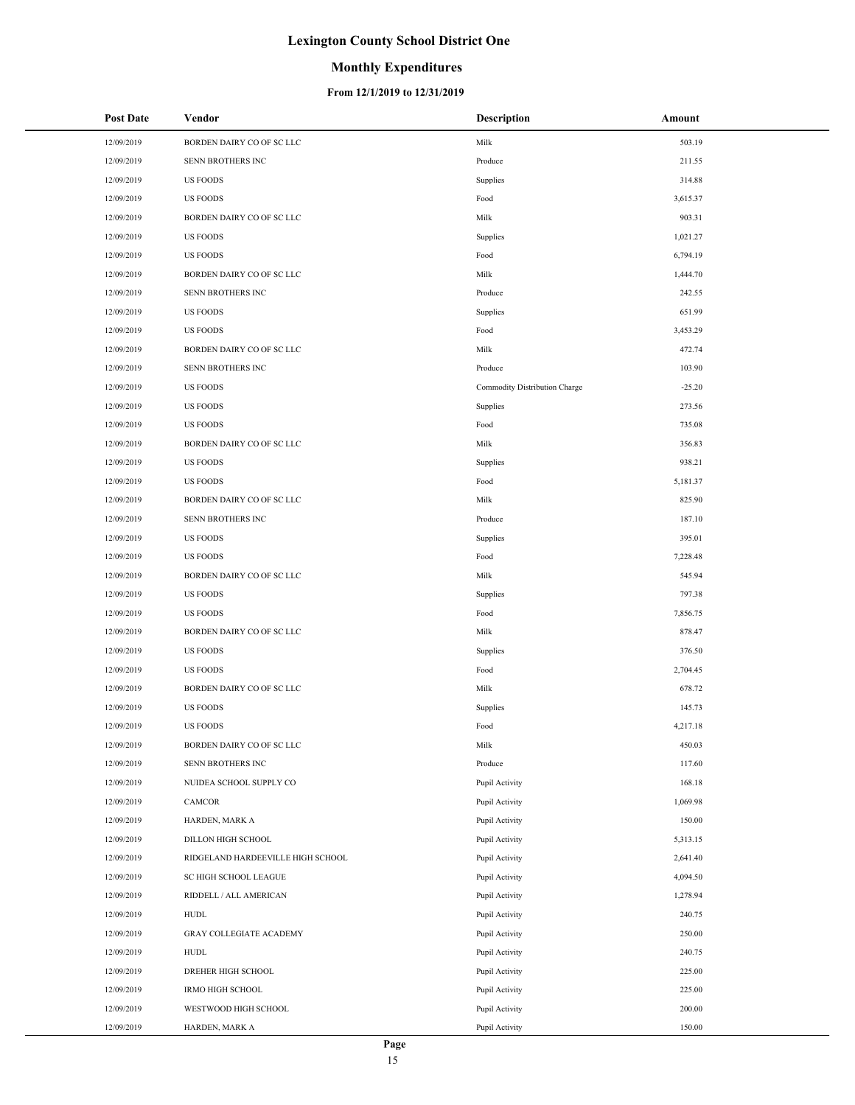## **Monthly Expenditures**

| Post Date  | Vendor                            | <b>Description</b>            | Amount   |
|------------|-----------------------------------|-------------------------------|----------|
| 12/09/2019 | BORDEN DAIRY CO OF SC LLC         | Milk                          | 503.19   |
| 12/09/2019 | SENN BROTHERS INC                 | Produce                       | 211.55   |
| 12/09/2019 | <b>US FOODS</b>                   | Supplies                      | 314.88   |
| 12/09/2019 | <b>US FOODS</b>                   | Food                          | 3,615.37 |
| 12/09/2019 | BORDEN DAIRY CO OF SC LLC         | Milk                          | 903.31   |
| 12/09/2019 | <b>US FOODS</b>                   | Supplies                      | 1,021.27 |
| 12/09/2019 | <b>US FOODS</b>                   | Food                          | 6,794.19 |
| 12/09/2019 | BORDEN DAIRY CO OF SC LLC         | Milk                          | 1,444.70 |
| 12/09/2019 | SENN BROTHERS INC                 | Produce                       | 242.55   |
| 12/09/2019 | <b>US FOODS</b>                   | Supplies                      | 651.99   |
| 12/09/2019 | <b>US FOODS</b>                   | Food                          | 3,453.29 |
| 12/09/2019 | BORDEN DAIRY CO OF SC LLC         | Milk                          | 472.74   |
| 12/09/2019 | SENN BROTHERS INC                 | Produce                       | 103.90   |
| 12/09/2019 | <b>US FOODS</b>                   | Commodity Distribution Charge | $-25.20$ |
| 12/09/2019 | <b>US FOODS</b>                   | Supplies                      | 273.56   |
| 12/09/2019 | <b>US FOODS</b>                   | Food                          | 735.08   |
| 12/09/2019 | BORDEN DAIRY CO OF SC LLC         | Milk                          | 356.83   |
| 12/09/2019 | <b>US FOODS</b>                   | Supplies                      | 938.21   |
| 12/09/2019 | <b>US FOODS</b>                   | Food                          | 5,181.37 |
| 12/09/2019 | BORDEN DAIRY CO OF SC LLC         | Milk                          | 825.90   |
| 12/09/2019 | SENN BROTHERS INC                 | Produce                       | 187.10   |
| 12/09/2019 | <b>US FOODS</b>                   | Supplies                      | 395.01   |
| 12/09/2019 | <b>US FOODS</b>                   | Food                          | 7,228.48 |
| 12/09/2019 | BORDEN DAIRY CO OF SC LLC         | Milk                          | 545.94   |
| 12/09/2019 | <b>US FOODS</b>                   | Supplies                      | 797.38   |
| 12/09/2019 | <b>US FOODS</b>                   | Food                          | 7,856.75 |
| 12/09/2019 | BORDEN DAIRY CO OF SC LLC         | Milk                          | 878.47   |
| 12/09/2019 | <b>US FOODS</b>                   | Supplies                      | 376.50   |
| 12/09/2019 | <b>US FOODS</b>                   | Food                          | 2,704.45 |
| 12/09/2019 | BORDEN DAIRY CO OF SC LLC         | Milk                          | 678.72   |
| 12/09/2019 | <b>US FOODS</b>                   | Supplies                      | 145.73   |
| 12/09/2019 | <b>US FOODS</b>                   | Food                          | 4,217.18 |
| 12/09/2019 | BORDEN DAIRY CO OF SC LLC         | Milk                          | 450.03   |
| 12/09/2019 | SENN BROTHERS INC                 | Produce                       | 117.60   |
| 12/09/2019 | NUIDEA SCHOOL SUPPLY CO           | Pupil Activity                | 168.18   |
| 12/09/2019 | CAMCOR                            | Pupil Activity                | 1,069.98 |
| 12/09/2019 | HARDEN, MARK A                    | Pupil Activity                | 150.00   |
| 12/09/2019 | DILLON HIGH SCHOOL                | Pupil Activity                | 5,313.15 |
| 12/09/2019 | RIDGELAND HARDEEVILLE HIGH SCHOOL | Pupil Activity                | 2,641.40 |
| 12/09/2019 | <b>SC HIGH SCHOOL LEAGUE</b>      | Pupil Activity                | 4,094.50 |
| 12/09/2019 | RIDDELL / ALL AMERICAN            | Pupil Activity                | 1,278.94 |
| 12/09/2019 | <b>HUDL</b>                       | Pupil Activity                | 240.75   |
| 12/09/2019 | <b>GRAY COLLEGIATE ACADEMY</b>    | Pupil Activity                | 250.00   |
| 12/09/2019 | HUDL                              | Pupil Activity                | 240.75   |
| 12/09/2019 | DREHER HIGH SCHOOL                | Pupil Activity                | 225.00   |
| 12/09/2019 | <b>IRMO HIGH SCHOOL</b>           | Pupil Activity                | 225.00   |
| 12/09/2019 | WESTWOOD HIGH SCHOOL              | Pupil Activity                | 200.00   |
| 12/09/2019 | HARDEN, MARK A                    | Pupil Activity                | 150.00   |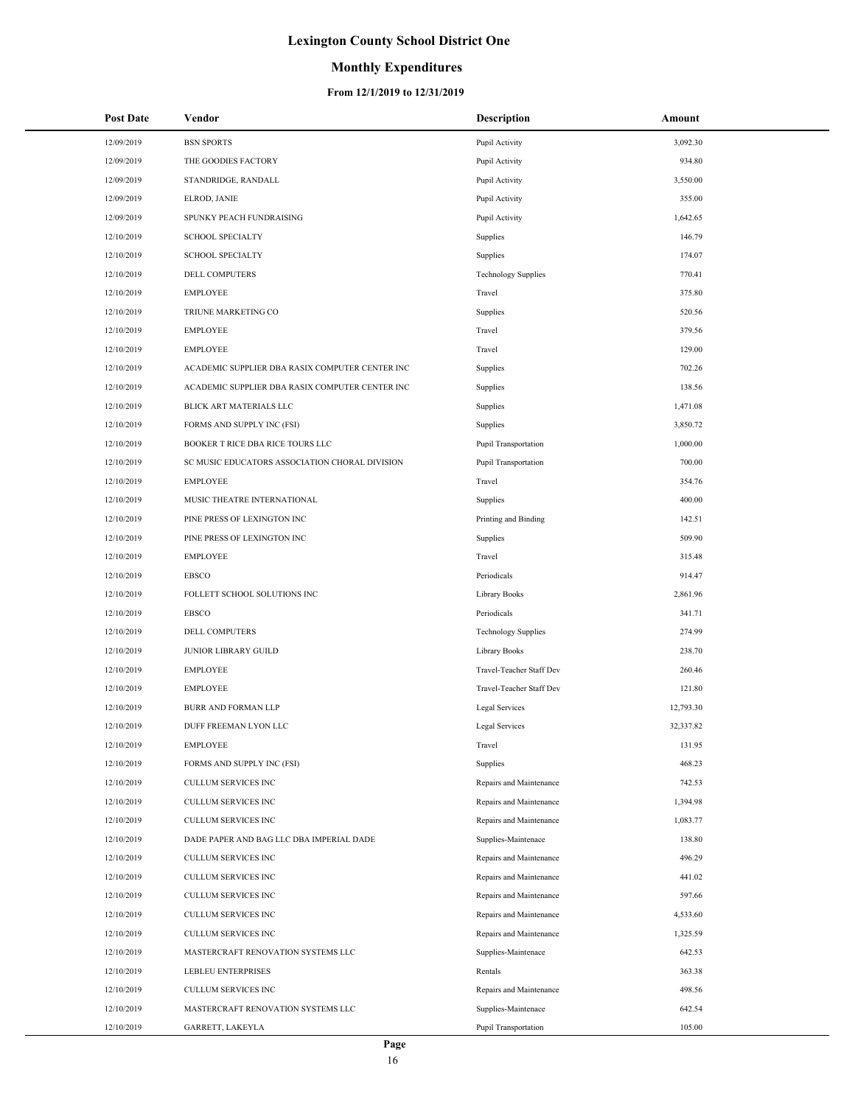## **Monthly Expenditures**

| <b>Post Date</b> | Vendor                                          | <b>Description</b>          | Amount    |
|------------------|-------------------------------------------------|-----------------------------|-----------|
| 12/09/2019       | <b>BSN SPORTS</b>                               | Pupil Activity              | 3,092.30  |
| 12/09/2019       | THE GOODIES FACTORY                             | Pupil Activity              | 934.80    |
| 12/09/2019       | STANDRIDGE, RANDALL                             | Pupil Activity              | 3,550.00  |
| 12/09/2019       | ELROD, JANIE                                    | Pupil Activity              | 355.00    |
| 12/09/2019       | SPUNKY PEACH FUNDRAISING                        | Pupil Activity              | 1,642.65  |
| 12/10/2019       | <b>SCHOOL SPECIALTY</b>                         | Supplies                    | 146.79    |
| 12/10/2019       | <b>SCHOOL SPECIALTY</b>                         | Supplies                    | 174.07    |
| 12/10/2019       | DELL COMPUTERS                                  | <b>Technology Supplies</b>  | 770.41    |
| 12/10/2019       | <b>EMPLOYEE</b>                                 | Travel                      | 375.80    |
| 12/10/2019       | TRIUNE MARKETING CO                             | Supplies                    | 520.56    |
| 12/10/2019       | <b>EMPLOYEE</b>                                 | Travel                      | 379.56    |
| 12/10/2019       | <b>EMPLOYEE</b>                                 | Travel                      | 129.00    |
| 12/10/2019       | ACADEMIC SUPPLIER DBA RASIX COMPUTER CENTER INC | Supplies                    | 702.26    |
| 12/10/2019       | ACADEMIC SUPPLIER DBA RASIX COMPUTER CENTER INC | Supplies                    | 138.56    |
| 12/10/2019       | BLICK ART MATERIALS LLC                         | Supplies                    | 1,471.08  |
| 12/10/2019       | FORMS AND SUPPLY INC (FSI)                      | Supplies                    | 3,850.72  |
| 12/10/2019       | BOOKER T RICE DBA RICE TOURS LLC                | Pupil Transportation        | 1,000.00  |
| 12/10/2019       | SC MUSIC EDUCATORS ASSOCIATION CHORAL DIVISION  | <b>Pupil Transportation</b> | 700.00    |
| 12/10/2019       | <b>EMPLOYEE</b>                                 | Travel                      | 354.76    |
| 12/10/2019       | MUSIC THEATRE INTERNATIONAL                     | Supplies                    | 400.00    |
| 12/10/2019       | PINE PRESS OF LEXINGTON INC                     | Printing and Binding        | 142.51    |
| 12/10/2019       | PINE PRESS OF LEXINGTON INC                     | Supplies                    | 509.90    |
| 12/10/2019       | <b>EMPLOYEE</b>                                 | Travel                      | 315.48    |
| 12/10/2019       | <b>EBSCO</b>                                    | Periodicals                 | 914.47    |
| 12/10/2019       | FOLLETT SCHOOL SOLUTIONS INC                    | Library Books               | 2,861.96  |
| 12/10/2019       | <b>EBSCO</b>                                    | Periodicals                 | 341.71    |
| 12/10/2019       | <b>DELL COMPUTERS</b>                           | <b>Technology Supplies</b>  | 274.99    |
| 12/10/2019       | JUNIOR LIBRARY GUILD                            | Library Books               | 238.70    |
| 12/10/2019       | <b>EMPLOYEE</b>                                 | Travel-Teacher Staff Dev    | 260.46    |
| 12/10/2019       | <b>EMPLOYEE</b>                                 | Travel-Teacher Staff Dev    | 121.80    |
| 12/10/2019       | <b>BURR AND FORMAN LLP</b>                      | Legal Services              | 12,793.30 |
| 12/10/2019       | DUFF FREEMAN LYON LLC                           | Legal Services              | 32,337.82 |
| 12/10/2019       | <b>EMPLOYEE</b>                                 | Travel                      | 131.95    |
| 12/10/2019       | FORMS AND SUPPLY INC (FSI)                      | Supplies                    | 468.23    |
| 12/10/2019       | CULLUM SERVICES INC                             | Repairs and Maintenance     | 742.53    |
| 12/10/2019       | CULLUM SERVICES INC                             | Repairs and Maintenance     | 1,394.98  |
| 12/10/2019       | CULLUM SERVICES INC                             | Repairs and Maintenance     | 1,083.77  |
| 12/10/2019       | DADE PAPER AND BAG LLC DBA IMPERIAL DADE        | Supplies-Maintenace         | 138.80    |
| 12/10/2019       | CULLUM SERVICES INC                             | Repairs and Maintenance     | 496.29    |
| 12/10/2019       | CULLUM SERVICES INC                             | Repairs and Maintenance     | 441.02    |
| 12/10/2019       | CULLUM SERVICES INC                             | Repairs and Maintenance     | 597.66    |
| 12/10/2019       | CULLUM SERVICES INC                             | Repairs and Maintenance     | 4,533.60  |
| 12/10/2019       | CULLUM SERVICES INC                             | Repairs and Maintenance     | 1,325.59  |
| 12/10/2019       | MASTERCRAFT RENOVATION SYSTEMS LLC              | Supplies-Maintenace         | 642.53    |
| 12/10/2019       | LEBLEU ENTERPRISES                              | Rentals                     | 363.38    |
| 12/10/2019       | CULLUM SERVICES INC                             | Repairs and Maintenance     | 498.56    |
| 12/10/2019       | MASTERCRAFT RENOVATION SYSTEMS LLC              | Supplies-Maintenace         | 642.54    |
| 12/10/2019       | GARRETT, LAKEYLA                                | <b>Pupil Transportation</b> | 105.00    |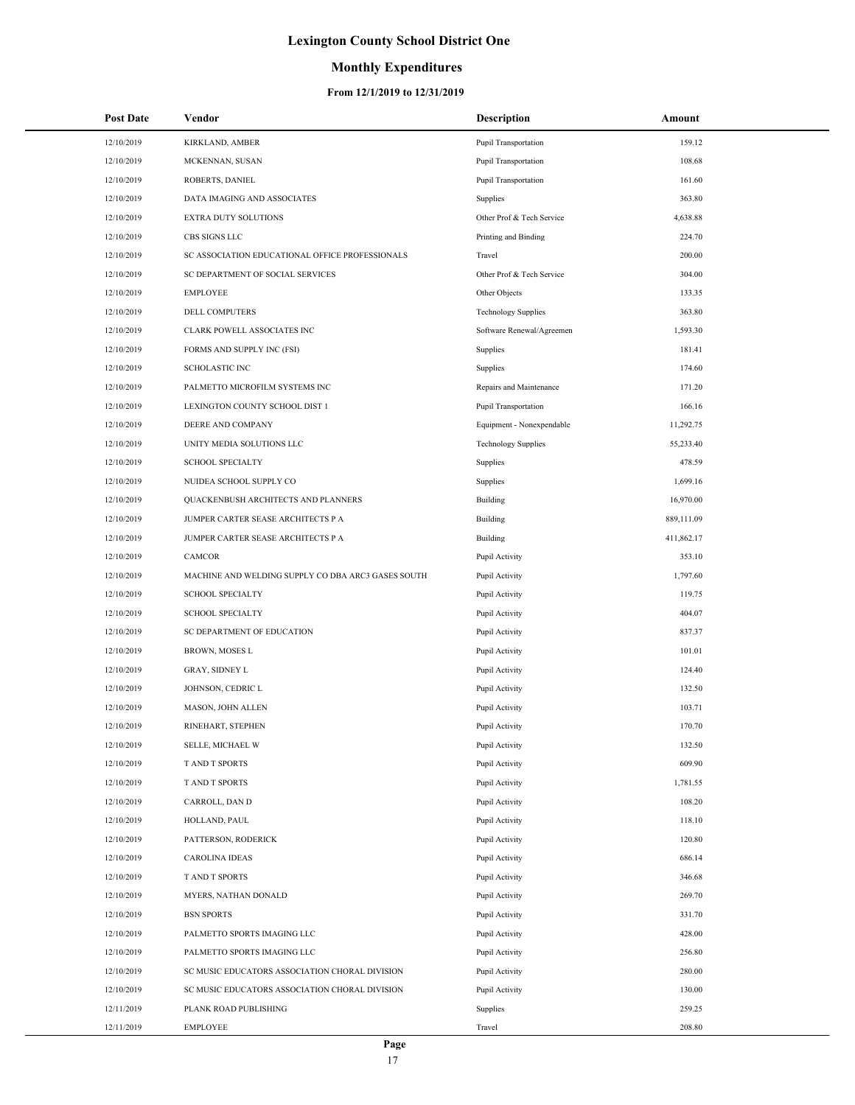## **Monthly Expenditures**

| <b>Post Date</b> | Vendor                                             | <b>Description</b>          | Amount     |
|------------------|----------------------------------------------------|-----------------------------|------------|
| 12/10/2019       | <b>KIRKLAND, AMBER</b>                             | <b>Pupil Transportation</b> | 159.12     |
| 12/10/2019       | MCKENNAN, SUSAN                                    | <b>Pupil Transportation</b> | 108.68     |
| 12/10/2019       | ROBERTS, DANIEL                                    | Pupil Transportation        | 161.60     |
| 12/10/2019       | DATA IMAGING AND ASSOCIATES                        | Supplies                    | 363.80     |
| 12/10/2019       | EXTRA DUTY SOLUTIONS                               | Other Prof & Tech Service   | 4,638.88   |
| 12/10/2019       | CBS SIGNS LLC                                      | Printing and Binding        | 224.70     |
| 12/10/2019       | SC ASSOCIATION EDUCATIONAL OFFICE PROFESSIONALS    | Travel                      | 200.00     |
| 12/10/2019       | SC DEPARTMENT OF SOCIAL SERVICES                   | Other Prof & Tech Service   | 304.00     |
| 12/10/2019       | <b>EMPLOYEE</b>                                    | Other Objects               | 133.35     |
| 12/10/2019       | <b>DELL COMPUTERS</b>                              | <b>Technology Supplies</b>  | 363.80     |
| 12/10/2019       | CLARK POWELL ASSOCIATES INC                        | Software Renewal/Agreemen   | 1,593.30   |
| 12/10/2019       | FORMS AND SUPPLY INC (FSI)                         | Supplies                    | 181.41     |
| 12/10/2019       | <b>SCHOLASTIC INC</b>                              | Supplies                    | 174.60     |
| 12/10/2019       | PALMETTO MICROFILM SYSTEMS INC                     | Repairs and Maintenance     | 171.20     |
| 12/10/2019       | LEXINGTON COUNTY SCHOOL DIST 1                     | <b>Pupil Transportation</b> | 166.16     |
| 12/10/2019       | DEERE AND COMPANY                                  | Equipment - Nonexpendable   | 11,292.75  |
| 12/10/2019       | UNITY MEDIA SOLUTIONS LLC                          | <b>Technology Supplies</b>  | 55,233.40  |
| 12/10/2019       | <b>SCHOOL SPECIALTY</b>                            | Supplies                    | 478.59     |
| 12/10/2019       | NUIDEA SCHOOL SUPPLY CO                            | Supplies                    | 1,699.16   |
| 12/10/2019       | QUACKENBUSH ARCHITECTS AND PLANNERS                | Building                    | 16,970.00  |
| 12/10/2019       | JUMPER CARTER SEASE ARCHITECTS P A                 | Building                    | 889,111.09 |
| 12/10/2019       | JUMPER CARTER SEASE ARCHITECTS P A                 | Building                    | 411,862.17 |
| 12/10/2019       | CAMCOR                                             | Pupil Activity              | 353.10     |
| 12/10/2019       | MACHINE AND WELDING SUPPLY CO DBA ARC3 GASES SOUTH | Pupil Activity              | 1,797.60   |
| 12/10/2019       | <b>SCHOOL SPECIALTY</b>                            | Pupil Activity              | 119.75     |
| 12/10/2019       | <b>SCHOOL SPECIALTY</b>                            | Pupil Activity              | 404.07     |
| 12/10/2019       | SC DEPARTMENT OF EDUCATION                         | Pupil Activity              | 837.37     |
| 12/10/2019       | <b>BROWN, MOSES L</b>                              | Pupil Activity              | 101.01     |
| 12/10/2019       | <b>GRAY, SIDNEY L</b>                              | Pupil Activity              | 124.40     |
| 12/10/2019       | JOHNSON, CEDRIC L                                  | Pupil Activity              | 132.50     |
| 12/10/2019       | MASON, JOHN ALLEN                                  | Pupil Activity              | 103.71     |
| 12/10/2019       | RINEHART, STEPHEN                                  | Pupil Activity              | 170.70     |
| 12/10/2019       | SELLE, MICHAEL W                                   | Pupil Activity              | 132.50     |
| 12/10/2019       | T AND T SPORTS                                     | Pupil Activity              | 609.90     |
| 12/10/2019       | T AND T SPORTS                                     | Pupil Activity              | 1,781.55   |
| 12/10/2019       | CARROLL, DAN D                                     | Pupil Activity              | 108.20     |
| 12/10/2019       | HOLLAND, PAUL                                      | Pupil Activity              | 118.10     |
| 12/10/2019       | PATTERSON, RODERICK                                | Pupil Activity              | 120.80     |
| 12/10/2019       | <b>CAROLINA IDEAS</b>                              | Pupil Activity              | 686.14     |
| 12/10/2019       | T AND T SPORTS                                     | Pupil Activity              | 346.68     |
| 12/10/2019       | MYERS, NATHAN DONALD                               | Pupil Activity              | 269.70     |
| 12/10/2019       | <b>BSN SPORTS</b>                                  | Pupil Activity              | 331.70     |
| 12/10/2019       | PALMETTO SPORTS IMAGING LLC                        | Pupil Activity              | 428.00     |
| 12/10/2019       | PALMETTO SPORTS IMAGING LLC                        | Pupil Activity              | 256.80     |
| 12/10/2019       | SC MUSIC EDUCATORS ASSOCIATION CHORAL DIVISION     | Pupil Activity              | 280.00     |
| 12/10/2019       | SC MUSIC EDUCATORS ASSOCIATION CHORAL DIVISION     | Pupil Activity              | 130.00     |
| 12/11/2019       | PLANK ROAD PUBLISHING                              | Supplies                    | 259.25     |
| 12/11/2019       | <b>EMPLOYEE</b>                                    | Travel                      | 208.80     |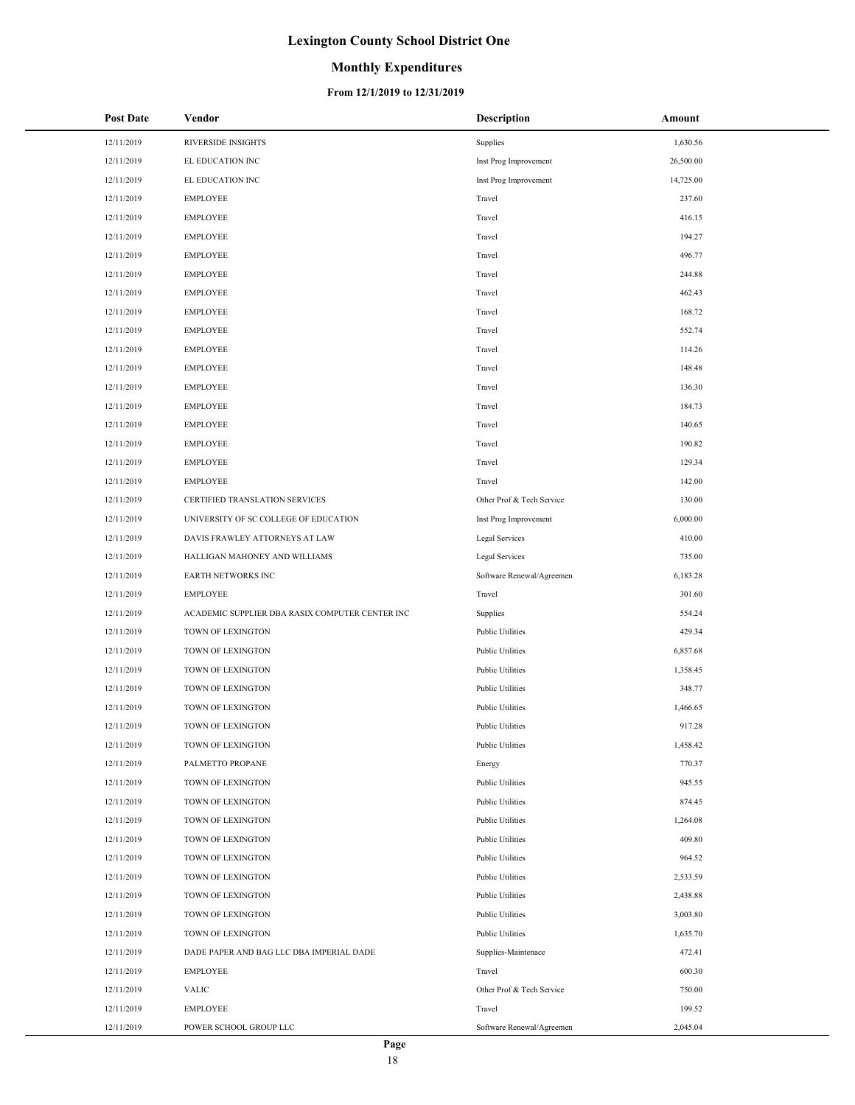## **Monthly Expenditures**

#### **From 12/1/2019 to 12/31/2019**

| <b>Post Date</b> | Vendor                                          | <b>Description</b>        | Amount    |
|------------------|-------------------------------------------------|---------------------------|-----------|
| 12/11/2019       | <b>RIVERSIDE INSIGHTS</b>                       | Supplies                  | 1,630.56  |
| 12/11/2019       | EL EDUCATION INC                                | Inst Prog Improvement     | 26,500.00 |
| 12/11/2019       | EL EDUCATION INC                                | Inst Prog Improvement     | 14,725.00 |
| 12/11/2019       | <b>EMPLOYEE</b>                                 | Travel                    | 237.60    |
| 12/11/2019       | <b>EMPLOYEE</b>                                 | Travel                    | 416.15    |
| 12/11/2019       | <b>EMPLOYEE</b>                                 | Travel                    | 194.27    |
| 12/11/2019       | <b>EMPLOYEE</b>                                 | Travel                    | 496.77    |
| 12/11/2019       | <b>EMPLOYEE</b>                                 | Travel                    | 244.88    |
| 12/11/2019       | <b>EMPLOYEE</b>                                 | Travel                    | 462.43    |
| 12/11/2019       | <b>EMPLOYEE</b>                                 | Travel                    | 168.72    |
| 12/11/2019       | <b>EMPLOYEE</b>                                 | Travel                    | 552.74    |
| 12/11/2019       | <b>EMPLOYEE</b>                                 | Travel                    | 114.26    |
| 12/11/2019       | <b>EMPLOYEE</b>                                 | Travel                    | 148.48    |
| 12/11/2019       | <b>EMPLOYEE</b>                                 | Travel                    | 136.30    |
| 12/11/2019       | <b>EMPLOYEE</b>                                 | Travel                    | 184.73    |
| 12/11/2019       | <b>EMPLOYEE</b>                                 | Travel                    | 140.65    |
| 12/11/2019       | <b>EMPLOYEE</b>                                 | Travel                    | 190.82    |
| 12/11/2019       | <b>EMPLOYEE</b>                                 | Travel                    | 129.34    |
| 12/11/2019       | <b>EMPLOYEE</b>                                 | Travel                    | 142.00    |
| 12/11/2019       | CERTIFIED TRANSLATION SERVICES                  | Other Prof & Tech Service | 130.00    |
| 12/11/2019       | UNIVERSITY OF SC COLLEGE OF EDUCATION           | Inst Prog Improvement     | 6,000.00  |
| 12/11/2019       | DAVIS FRAWLEY ATTORNEYS AT LAW                  | Legal Services            | 410.00    |
| 12/11/2019       | HALLIGAN MAHONEY AND WILLIAMS                   | Legal Services            | 735.00    |
| 12/11/2019       | EARTH NETWORKS INC                              | Software Renewal/Agreemen | 6,183.28  |
| 12/11/2019       | <b>EMPLOYEE</b>                                 | Travel                    | 301.60    |
| 12/11/2019       | ACADEMIC SUPPLIER DBA RASIX COMPUTER CENTER INC | Supplies                  | 554.24    |
| 12/11/2019       | TOWN OF LEXINGTON                               | <b>Public Utilities</b>   | 429.34    |
| 12/11/2019       | TOWN OF LEXINGTON                               | <b>Public Utilities</b>   | 6,857.68  |
| 12/11/2019       | TOWN OF LEXINGTON                               | <b>Public Utilities</b>   | 1,358.45  |
| 12/11/2019       | TOWN OF LEXINGTON                               | <b>Public Utilities</b>   | 348.77    |
| 12/11/2019       | TOWN OF LEXINGTON                               | <b>Public Utilities</b>   | 1,466.65  |
| 12/11/2019       | <b>TOWN OF LEXINGTON</b>                        | <b>Public Utilities</b>   | 917.28    |
| 12/11/2019       | TOWN OF LEXINGTON                               | Public Utilities          | 1,458.42  |
| 12/11/2019       | PALMETTO PROPANE                                | Energy                    | 770.37    |
| 12/11/2019       | TOWN OF LEXINGTON                               | <b>Public Utilities</b>   | 945.55    |
| 12/11/2019       | TOWN OF LEXINGTON                               | <b>Public Utilities</b>   | 874.45    |
| 12/11/2019       | TOWN OF LEXINGTON                               | <b>Public Utilities</b>   | 1,264.08  |
| 12/11/2019       | TOWN OF LEXINGTON                               | <b>Public Utilities</b>   | 409.80    |
| 12/11/2019       | TOWN OF LEXINGTON                               | <b>Public Utilities</b>   | 964.52    |
| 12/11/2019       | TOWN OF LEXINGTON                               | <b>Public Utilities</b>   | 2,533.59  |
| 12/11/2019       | TOWN OF LEXINGTON                               | <b>Public Utilities</b>   | 2,438.88  |
| 12/11/2019       | TOWN OF LEXINGTON                               | <b>Public Utilities</b>   | 3,003.80  |
| 12/11/2019       | TOWN OF LEXINGTON                               | <b>Public Utilities</b>   | 1,635.70  |
| 12/11/2019       | DADE PAPER AND BAG LLC DBA IMPERIAL DADE        | Supplies-Maintenace       | 472.41    |
| 12/11/2019       | <b>EMPLOYEE</b>                                 | Travel                    | 600.30    |
| 12/11/2019       | <b>VALIC</b>                                    | Other Prof & Tech Service | 750.00    |
| 12/11/2019       | <b>EMPLOYEE</b>                                 | Travel                    | 199.52    |
| 12/11/2019       | POWER SCHOOL GROUP LLC                          | Software Renewal/Agreemen | 2,045.04  |

 $\overline{a}$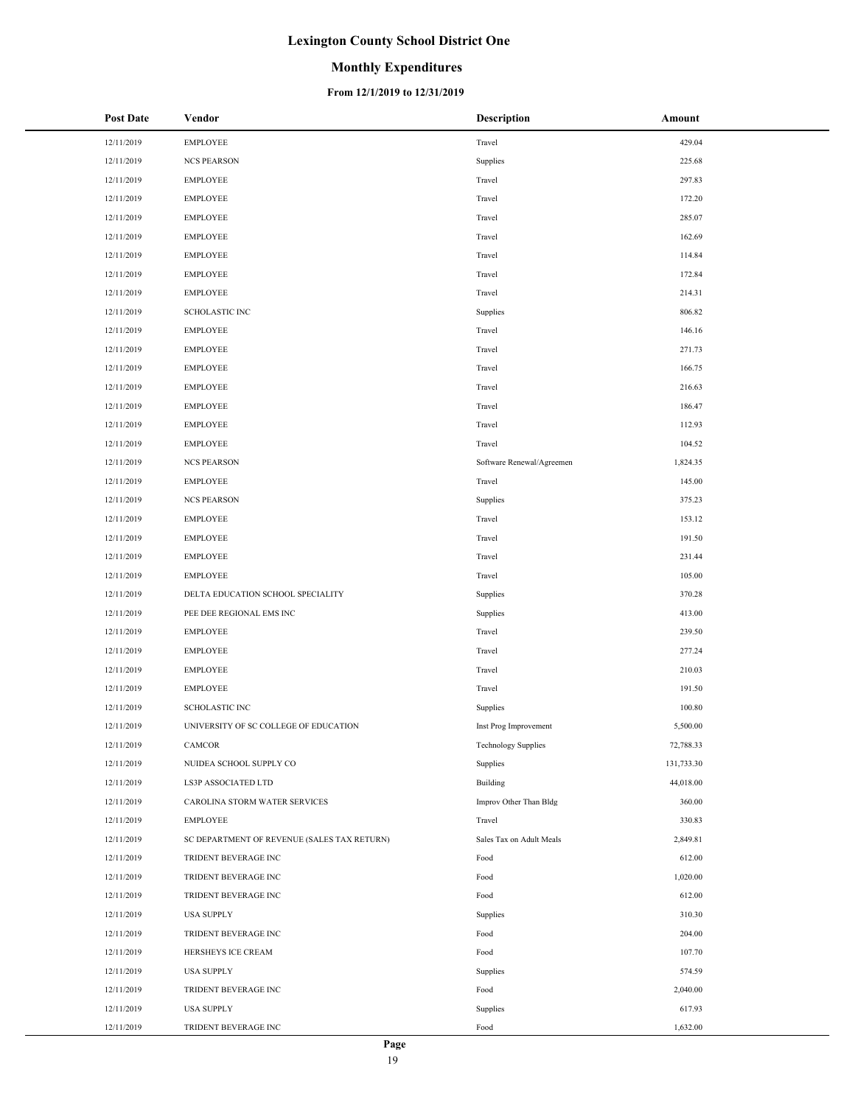## **Monthly Expenditures**

| <b>Post Date</b> | Vendor                                      | Description                | Amount     |
|------------------|---------------------------------------------|----------------------------|------------|
| 12/11/2019       | <b>EMPLOYEE</b>                             | Travel                     | 429.04     |
| 12/11/2019       | <b>NCS PEARSON</b>                          | Supplies                   | 225.68     |
| 12/11/2019       | <b>EMPLOYEE</b>                             | Travel                     | 297.83     |
| 12/11/2019       | <b>EMPLOYEE</b>                             | Travel                     | 172.20     |
| 12/11/2019       | <b>EMPLOYEE</b>                             | Travel                     | 285.07     |
| 12/11/2019       | <b>EMPLOYEE</b>                             | Travel                     | 162.69     |
| 12/11/2019       | <b>EMPLOYEE</b>                             | Travel                     | 114.84     |
| 12/11/2019       | <b>EMPLOYEE</b>                             | Travel                     | 172.84     |
| 12/11/2019       | <b>EMPLOYEE</b>                             | Travel                     | 214.31     |
| 12/11/2019       | <b>SCHOLASTIC INC</b>                       | Supplies                   | 806.82     |
| 12/11/2019       | <b>EMPLOYEE</b>                             | Travel                     | 146.16     |
| 12/11/2019       | <b>EMPLOYEE</b>                             | Travel                     | 271.73     |
| 12/11/2019       | <b>EMPLOYEE</b>                             | Travel                     | 166.75     |
| 12/11/2019       | <b>EMPLOYEE</b>                             | Travel                     | 216.63     |
| 12/11/2019       | <b>EMPLOYEE</b>                             | Travel                     | 186.47     |
| 12/11/2019       | <b>EMPLOYEE</b>                             | Travel                     | 112.93     |
| 12/11/2019       | <b>EMPLOYEE</b>                             | Travel                     | 104.52     |
| 12/11/2019       | <b>NCS PEARSON</b>                          | Software Renewal/Agreemen  | 1,824.35   |
| 12/11/2019       | <b>EMPLOYEE</b>                             | Travel                     | 145.00     |
| 12/11/2019       | <b>NCS PEARSON</b>                          | Supplies                   | 375.23     |
| 12/11/2019       | <b>EMPLOYEE</b>                             | Travel                     | 153.12     |
| 12/11/2019       | <b>EMPLOYEE</b>                             | Travel                     | 191.50     |
| 12/11/2019       | <b>EMPLOYEE</b>                             | Travel                     | 231.44     |
| 12/11/2019       | <b>EMPLOYEE</b>                             | Travel                     | 105.00     |
| 12/11/2019       | DELTA EDUCATION SCHOOL SPECIALITY           | Supplies                   | 370.28     |
| 12/11/2019       | PEE DEE REGIONAL EMS INC                    | Supplies                   | 413.00     |
| 12/11/2019       | <b>EMPLOYEE</b>                             | Travel                     | 239.50     |
| 12/11/2019       | <b>EMPLOYEE</b>                             | Travel                     | 277.24     |
| 12/11/2019       | <b>EMPLOYEE</b>                             | Travel                     | 210.03     |
| 12/11/2019       | <b>EMPLOYEE</b>                             | Travel                     | 191.50     |
| 12/11/2019       | <b>SCHOLASTIC INC</b>                       | Supplies                   | 100.80     |
| 12/11/2019       | UNIVERSITY OF SC COLLEGE OF EDUCATION       | Inst Prog Improvement      | 5,500.00   |
| 12/11/2019       | CAMCOR                                      | <b>Technology Supplies</b> | 72,788.33  |
| 12/11/2019       | NUIDEA SCHOOL SUPPLY CO                     | Supplies                   | 131,733.30 |
| 12/11/2019       | LS3P ASSOCIATED LTD                         | Building                   | 44,018.00  |
| 12/11/2019       | CAROLINA STORM WATER SERVICES               | Improv Other Than Bldg     | 360.00     |
| 12/11/2019       | EMPLOYEE                                    | Travel                     | 330.83     |
| 12/11/2019       | SC DEPARTMENT OF REVENUE (SALES TAX RETURN) | Sales Tax on Adult Meals   | 2,849.81   |
| 12/11/2019       | TRIDENT BEVERAGE INC                        | Food                       | 612.00     |
| 12/11/2019       | TRIDENT BEVERAGE INC                        | Food                       | 1,020.00   |
| 12/11/2019       | TRIDENT BEVERAGE INC                        | Food                       | 612.00     |
| 12/11/2019       | <b>USA SUPPLY</b>                           | Supplies                   | 310.30     |
| 12/11/2019       | TRIDENT BEVERAGE INC                        | Food                       | 204.00     |
| 12/11/2019       | HERSHEYS ICE CREAM                          | Food                       | 107.70     |
| 12/11/2019       | <b>USA SUPPLY</b>                           | Supplies                   | 574.59     |
| 12/11/2019       | TRIDENT BEVERAGE INC                        | Food                       | 2,040.00   |
| 12/11/2019       | <b>USA SUPPLY</b>                           | Supplies                   | 617.93     |
| 12/11/2019       | TRIDENT BEVERAGE INC                        | Food                       | 1,632.00   |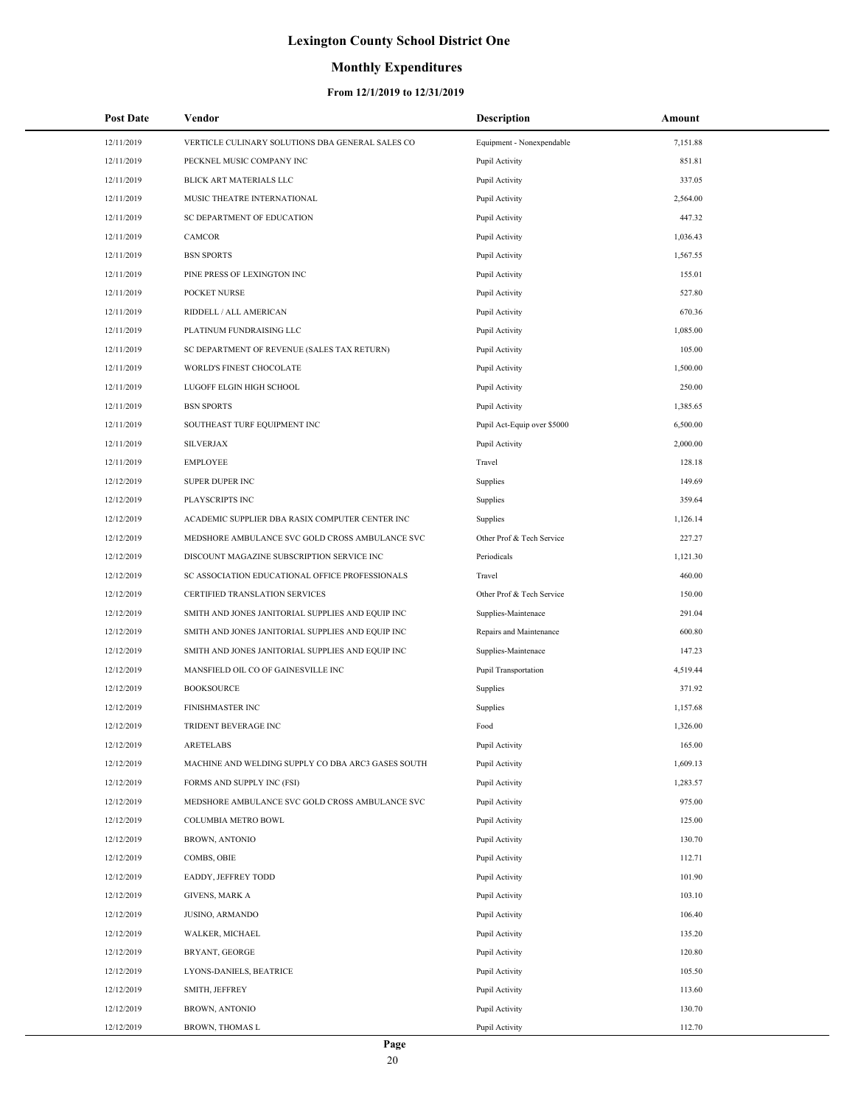## **Monthly Expenditures**

| <b>Post Date</b> | Vendor                                             | <b>Description</b>          | Amount   |
|------------------|----------------------------------------------------|-----------------------------|----------|
| 12/11/2019       | VERTICLE CULINARY SOLUTIONS DBA GENERAL SALES CO   | Equipment - Nonexpendable   | 7,151.88 |
| 12/11/2019       | PECKNEL MUSIC COMPANY INC                          | Pupil Activity              | 851.81   |
| 12/11/2019       | <b>BLICK ART MATERIALS LLC</b>                     | Pupil Activity              | 337.05   |
| 12/11/2019       | MUSIC THEATRE INTERNATIONAL                        | Pupil Activity              | 2,564.00 |
| 12/11/2019       | SC DEPARTMENT OF EDUCATION                         | Pupil Activity              | 447.32   |
| 12/11/2019       | CAMCOR                                             | Pupil Activity              | 1,036.43 |
| 12/11/2019       | <b>BSN SPORTS</b>                                  | Pupil Activity              | 1,567.55 |
| 12/11/2019       | PINE PRESS OF LEXINGTON INC                        | Pupil Activity              | 155.01   |
| 12/11/2019       | POCKET NURSE                                       | Pupil Activity              | 527.80   |
| 12/11/2019       | RIDDELL / ALL AMERICAN                             | Pupil Activity              | 670.36   |
| 12/11/2019       | PLATINUM FUNDRAISING LLC                           | Pupil Activity              | 1,085.00 |
| 12/11/2019       | SC DEPARTMENT OF REVENUE (SALES TAX RETURN)        | Pupil Activity              | 105.00   |
| 12/11/2019       | WORLD'S FINEST CHOCOLATE                           | Pupil Activity              | 1,500.00 |
| 12/11/2019       | LUGOFF ELGIN HIGH SCHOOL                           | Pupil Activity              | 250.00   |
| 12/11/2019       | <b>BSN SPORTS</b>                                  | Pupil Activity              | 1,385.65 |
| 12/11/2019       | SOUTHEAST TURF EQUIPMENT INC                       | Pupil Act-Equip over \$5000 | 6,500.00 |
| 12/11/2019       | <b>SILVERJAX</b>                                   | Pupil Activity              | 2,000.00 |
| 12/11/2019       | <b>EMPLOYEE</b>                                    | Travel                      | 128.18   |
| 12/12/2019       | <b>SUPER DUPER INC</b>                             | Supplies                    | 149.69   |
| 12/12/2019       | PLAYSCRIPTS INC                                    | Supplies                    | 359.64   |
| 12/12/2019       | ACADEMIC SUPPLIER DBA RASIX COMPUTER CENTER INC    | Supplies                    | 1,126.14 |
| 12/12/2019       | MEDSHORE AMBULANCE SVC GOLD CROSS AMBULANCE SVC    | Other Prof & Tech Service   | 227.27   |
| 12/12/2019       | DISCOUNT MAGAZINE SUBSCRIPTION SERVICE INC         | Periodicals                 | 1,121.30 |
| 12/12/2019       | SC ASSOCIATION EDUCATIONAL OFFICE PROFESSIONALS    | Travel                      | 460.00   |
| 12/12/2019       | CERTIFIED TRANSLATION SERVICES                     | Other Prof & Tech Service   | 150.00   |
| 12/12/2019       | SMITH AND JONES JANITORIAL SUPPLIES AND EQUIP INC  | Supplies-Maintenace         | 291.04   |
| 12/12/2019       | SMITH AND JONES JANITORIAL SUPPLIES AND EQUIP INC  | Repairs and Maintenance     | 600.80   |
| 12/12/2019       | SMITH AND JONES JANITORIAL SUPPLIES AND EQUIP INC  | Supplies-Maintenace         | 147.23   |
| 12/12/2019       | MANSFIELD OIL CO OF GAINESVILLE INC                | <b>Pupil Transportation</b> | 4,519.44 |
| 12/12/2019       | <b>BOOKSOURCE</b>                                  | Supplies                    | 371.92   |
| 12/12/2019       | <b>FINISHMASTER INC</b>                            | Supplies                    | 1,157.68 |
| 12/12/2019       | TRIDENT BEVERAGE INC                               | Food                        | 1,326.00 |
| 12/12/2019       | <b>ARETELABS</b>                                   | Pupil Activity              | 165.00   |
| 12/12/2019       | MACHINE AND WELDING SUPPLY CO DBA ARC3 GASES SOUTH | Pupil Activity              | 1,609.13 |
| 12/12/2019       | FORMS AND SUPPLY INC (FSI)                         | Pupil Activity              | 1,283.57 |
| 12/12/2019       | MEDSHORE AMBULANCE SVC GOLD CROSS AMBULANCE SVC    | Pupil Activity              | 975.00   |
| 12/12/2019       | COLUMBIA METRO BOWL                                | Pupil Activity              | 125.00   |
| 12/12/2019       | <b>BROWN, ANTONIO</b>                              | Pupil Activity              | 130.70   |
| 12/12/2019       | COMBS, OBIE                                        | Pupil Activity              | 112.71   |
| 12/12/2019       | EADDY, JEFFREY TODD                                | Pupil Activity              | 101.90   |
| 12/12/2019       | GIVENS, MARK A                                     | Pupil Activity              | 103.10   |
| 12/12/2019       | JUSINO, ARMANDO                                    | Pupil Activity              | 106.40   |
| 12/12/2019       | WALKER, MICHAEL                                    | Pupil Activity              | 135.20   |
| 12/12/2019       | BRYANT, GEORGE                                     | Pupil Activity              | 120.80   |
| 12/12/2019       | LYONS-DANIELS, BEATRICE                            | Pupil Activity              | 105.50   |
| 12/12/2019       | SMITH, JEFFREY                                     | Pupil Activity              | 113.60   |
| 12/12/2019       | <b>BROWN, ANTONIO</b>                              | Pupil Activity              | 130.70   |
| 12/12/2019       | BROWN, THOMAS L                                    | Pupil Activity              | 112.70   |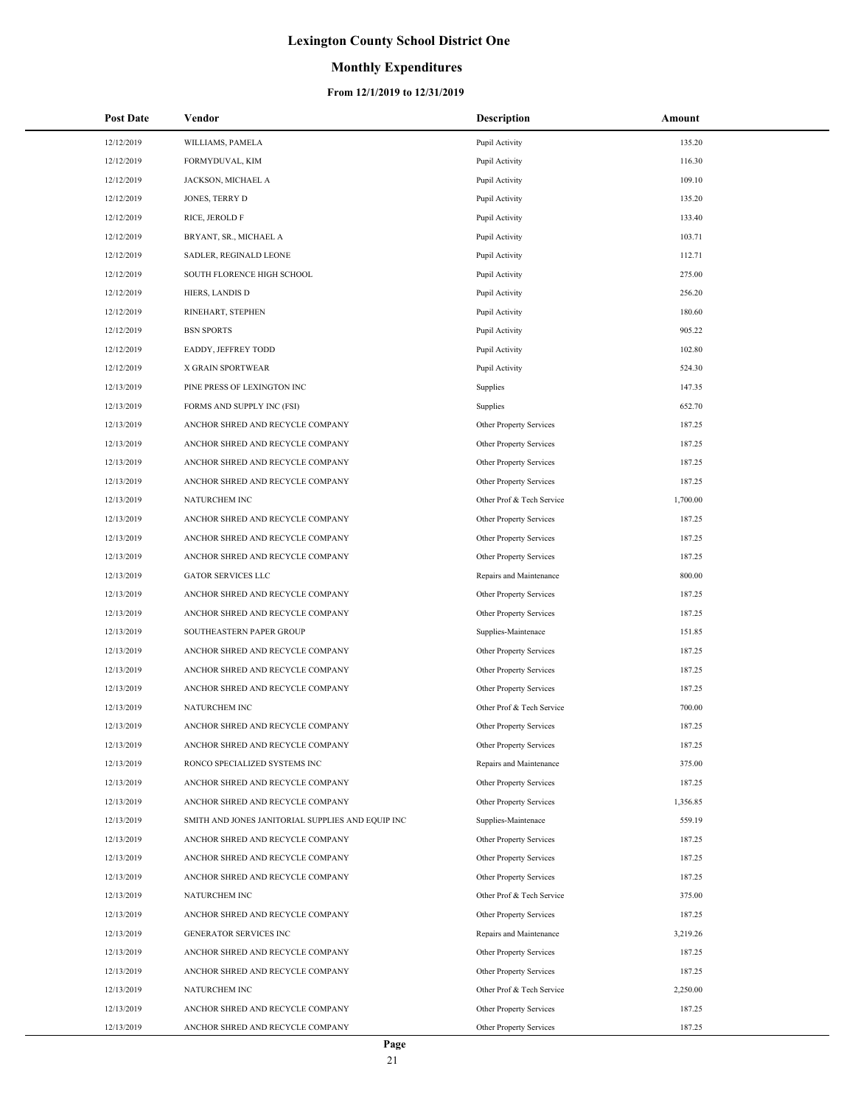## **Monthly Expenditures**

| <b>Post Date</b> | Vendor                                            | Description               | Amount   |
|------------------|---------------------------------------------------|---------------------------|----------|
| 12/12/2019       | WILLIAMS, PAMELA                                  | Pupil Activity            | 135.20   |
| 12/12/2019       | FORMYDUVAL, KIM                                   | Pupil Activity            | 116.30   |
| 12/12/2019       | JACKSON, MICHAEL A                                | Pupil Activity            | 109.10   |
| 12/12/2019       | <b>JONES, TERRY D</b>                             | Pupil Activity            | 135.20   |
| 12/12/2019       | RICE, JEROLD F                                    | Pupil Activity            | 133.40   |
| 12/12/2019       | BRYANT, SR., MICHAEL A                            | Pupil Activity            | 103.71   |
| 12/12/2019       | SADLER, REGINALD LEONE                            | Pupil Activity            | 112.71   |
| 12/12/2019       | SOUTH FLORENCE HIGH SCHOOL                        | Pupil Activity            | 275.00   |
| 12/12/2019       | HIERS, LANDIS D                                   | Pupil Activity            | 256.20   |
| 12/12/2019       | RINEHART, STEPHEN                                 | Pupil Activity            | 180.60   |
| 12/12/2019       | <b>BSN SPORTS</b>                                 | Pupil Activity            | 905.22   |
| 12/12/2019       | EADDY, JEFFREY TODD                               | Pupil Activity            | 102.80   |
| 12/12/2019       | X GRAIN SPORTWEAR                                 | Pupil Activity            | 524.30   |
| 12/13/2019       | PINE PRESS OF LEXINGTON INC                       | Supplies                  | 147.35   |
| 12/13/2019       | FORMS AND SUPPLY INC (FSI)                        | Supplies                  | 652.70   |
| 12/13/2019       | ANCHOR SHRED AND RECYCLE COMPANY                  | Other Property Services   | 187.25   |
| 12/13/2019       | ANCHOR SHRED AND RECYCLE COMPANY                  | Other Property Services   | 187.25   |
| 12/13/2019       | ANCHOR SHRED AND RECYCLE COMPANY                  | Other Property Services   | 187.25   |
| 12/13/2019       | ANCHOR SHRED AND RECYCLE COMPANY                  | Other Property Services   | 187.25   |
| 12/13/2019       | NATURCHEM INC                                     | Other Prof & Tech Service | 1,700.00 |
| 12/13/2019       | ANCHOR SHRED AND RECYCLE COMPANY                  | Other Property Services   | 187.25   |
| 12/13/2019       | ANCHOR SHRED AND RECYCLE COMPANY                  | Other Property Services   | 187.25   |
| 12/13/2019       | ANCHOR SHRED AND RECYCLE COMPANY                  | Other Property Services   | 187.25   |
| 12/13/2019       | <b>GATOR SERVICES LLC</b>                         | Repairs and Maintenance   | 800.00   |
| 12/13/2019       | ANCHOR SHRED AND RECYCLE COMPANY                  | Other Property Services   | 187.25   |
| 12/13/2019       | ANCHOR SHRED AND RECYCLE COMPANY                  | Other Property Services   | 187.25   |
| 12/13/2019       | SOUTHEASTERN PAPER GROUP                          | Supplies-Maintenace       | 151.85   |
| 12/13/2019       | ANCHOR SHRED AND RECYCLE COMPANY                  | Other Property Services   | 187.25   |
| 12/13/2019       | ANCHOR SHRED AND RECYCLE COMPANY                  | Other Property Services   | 187.25   |
| 12/13/2019       | ANCHOR SHRED AND RECYCLE COMPANY                  | Other Property Services   | 187.25   |
| 12/13/2019       | NATURCHEM INC                                     | Other Prof & Tech Service | 700.00   |
| 12/13/2019       | ANCHOR SHRED AND RECYCLE COMPANY                  | Other Property Services   | 187.25   |
| 12/13/2019       | ANCHOR SHRED AND RECYCLE COMPANY                  | Other Property Services   | 187.25   |
| 12/13/2019       | RONCO SPECIALIZED SYSTEMS INC                     | Repairs and Maintenance   | 375.00   |
| 12/13/2019       | ANCHOR SHRED AND RECYCLE COMPANY                  | Other Property Services   | 187.25   |
| 12/13/2019       | ANCHOR SHRED AND RECYCLE COMPANY                  | Other Property Services   | 1,356.85 |
| 12/13/2019       | SMITH AND JONES JANITORIAL SUPPLIES AND EQUIP INC | Supplies-Maintenace       | 559.19   |
| 12/13/2019       | ANCHOR SHRED AND RECYCLE COMPANY                  | Other Property Services   | 187.25   |
| 12/13/2019       | ANCHOR SHRED AND RECYCLE COMPANY                  | Other Property Services   | 187.25   |
| 12/13/2019       | ANCHOR SHRED AND RECYCLE COMPANY                  | Other Property Services   | 187.25   |
| 12/13/2019       | NATURCHEM INC                                     | Other Prof & Tech Service | 375.00   |
| 12/13/2019       | ANCHOR SHRED AND RECYCLE COMPANY                  | Other Property Services   | 187.25   |
| 12/13/2019       | GENERATOR SERVICES INC                            | Repairs and Maintenance   | 3,219.26 |
| 12/13/2019       | ANCHOR SHRED AND RECYCLE COMPANY                  | Other Property Services   | 187.25   |
| 12/13/2019       | ANCHOR SHRED AND RECYCLE COMPANY                  | Other Property Services   | 187.25   |
| 12/13/2019       | NATURCHEM INC                                     | Other Prof & Tech Service | 2,250.00 |
| 12/13/2019       | ANCHOR SHRED AND RECYCLE COMPANY                  | Other Property Services   | 187.25   |
| 12/13/2019       | ANCHOR SHRED AND RECYCLE COMPANY                  | Other Property Services   | 187.25   |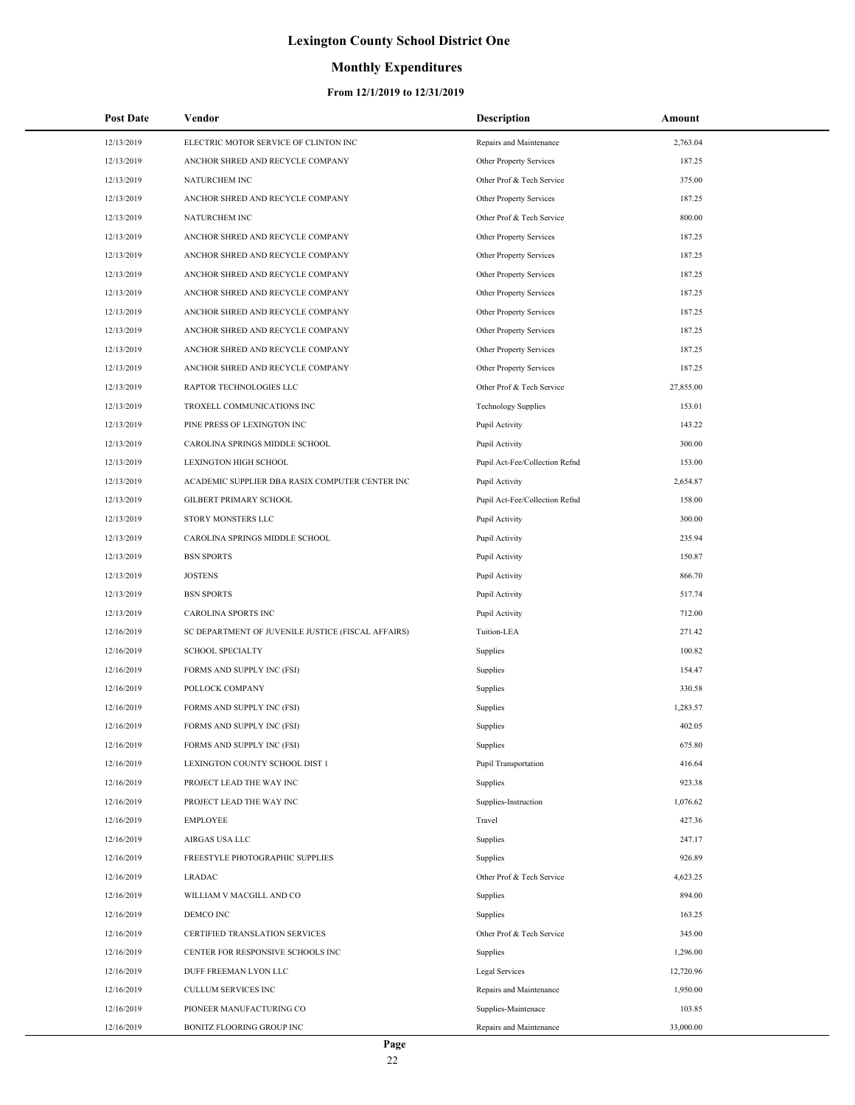## **Monthly Expenditures**

| <b>Post Date</b>         | Vendor                                             | <b>Description</b>                        | Amount                |
|--------------------------|----------------------------------------------------|-------------------------------------------|-----------------------|
| 12/13/2019               | ELECTRIC MOTOR SERVICE OF CLINTON INC              | Repairs and Maintenance                   | 2,763.04              |
| 12/13/2019               | ANCHOR SHRED AND RECYCLE COMPANY                   | Other Property Services                   | 187.25                |
| 12/13/2019               | <b>NATURCHEM INC</b>                               | Other Prof & Tech Service                 | 375.00                |
| 12/13/2019               | ANCHOR SHRED AND RECYCLE COMPANY                   | Other Property Services                   | 187.25                |
| 12/13/2019               | NATURCHEM INC                                      | Other Prof & Tech Service                 | 800.00                |
| 12/13/2019               | ANCHOR SHRED AND RECYCLE COMPANY                   | Other Property Services                   | 187.25                |
| 12/13/2019               | ANCHOR SHRED AND RECYCLE COMPANY                   | Other Property Services                   | 187.25                |
| 12/13/2019               | ANCHOR SHRED AND RECYCLE COMPANY                   | Other Property Services                   | 187.25                |
| 12/13/2019               | ANCHOR SHRED AND RECYCLE COMPANY                   | Other Property Services                   | 187.25                |
| 12/13/2019               | ANCHOR SHRED AND RECYCLE COMPANY                   | Other Property Services                   | 187.25                |
| 12/13/2019               | ANCHOR SHRED AND RECYCLE COMPANY                   | Other Property Services                   | 187.25                |
| 12/13/2019               | ANCHOR SHRED AND RECYCLE COMPANY                   | Other Property Services                   | 187.25                |
| 12/13/2019               | ANCHOR SHRED AND RECYCLE COMPANY                   | Other Property Services                   | 187.25                |
| 12/13/2019               | RAPTOR TECHNOLOGIES LLC                            | Other Prof & Tech Service                 | 27,855.00             |
| 12/13/2019               | TROXELL COMMUNICATIONS INC                         | <b>Technology Supplies</b>                | 153.01                |
| 12/13/2019               | PINE PRESS OF LEXINGTON INC                        | Pupil Activity                            | 143.22                |
| 12/13/2019               | CAROLINA SPRINGS MIDDLE SCHOOL                     | Pupil Activity                            | 300.00                |
| 12/13/2019               | <b>LEXINGTON HIGH SCHOOL</b>                       | Pupil Act-Fee/Collection Refnd            | 153.00                |
| 12/13/2019               | ACADEMIC SUPPLIER DBA RASIX COMPUTER CENTER INC    | Pupil Activity                            | 2,654.87              |
| 12/13/2019               | GILBERT PRIMARY SCHOOL                             | Pupil Act-Fee/Collection Refnd            | 158.00                |
| 12/13/2019               | STORY MONSTERS LLC                                 | Pupil Activity                            | 300.00                |
| 12/13/2019               | CAROLINA SPRINGS MIDDLE SCHOOL                     | Pupil Activity                            | 235.94                |
| 12/13/2019               | <b>BSN SPORTS</b>                                  | Pupil Activity                            | 150.87                |
| 12/13/2019               | <b>JOSTENS</b>                                     | Pupil Activity                            | 866.70                |
| 12/13/2019               | <b>BSN SPORTS</b>                                  | Pupil Activity                            | 517.74                |
| 12/13/2019               | CAROLINA SPORTS INC                                | Pupil Activity                            | 712.00                |
| 12/16/2019               | SC DEPARTMENT OF JUVENILE JUSTICE (FISCAL AFFAIRS) | Tuition-LEA                               | 271.42                |
| 12/16/2019               | <b>SCHOOL SPECIALTY</b>                            | Supplies                                  | 100.82                |
| 12/16/2019               | FORMS AND SUPPLY INC (FSI)                         | Supplies                                  | 154.47                |
| 12/16/2019               | POLLOCK COMPANY                                    | Supplies                                  | 330.58                |
| 12/16/2019               | FORMS AND SUPPLY INC (FSI)                         | Supplies                                  | 1,283.57              |
| 12/16/2019               | FORMS AND SUPPLY INC (FSI)                         | Supplies                                  | 402.05                |
| 12/16/2019               | FORMS AND SUPPLY INC (FSI)                         | Supplies                                  | 675.80                |
| 12/16/2019               | LEXINGTON COUNTY SCHOOL DIST 1                     | Pupil Transportation                      | 416.64                |
| 12/16/2019               | PROJECT LEAD THE WAY INC                           | Supplies                                  | 923.38                |
| 12/16/2019               | PROJECT LEAD THE WAY INC                           | Supplies-Instruction                      | 1,076.62              |
| 12/16/2019               | <b>EMPLOYEE</b>                                    | Travel                                    | 427.36                |
| 12/16/2019               | AIRGAS USA LLC                                     | Supplies                                  | 247.17                |
| 12/16/2019               | FREESTYLE PHOTOGRAPHIC SUPPLIES                    | Supplies                                  | 926.89                |
| 12/16/2019               | <b>LRADAC</b>                                      | Other Prof & Tech Service                 | 4,623.25              |
| 12/16/2019               | WILLIAM V MACGILL AND CO                           | Supplies                                  | 894.00                |
| 12/16/2019               | DEMCO INC                                          | Supplies                                  | 163.25                |
| 12/16/2019               | CERTIFIED TRANSLATION SERVICES                     | Other Prof & Tech Service                 | 345.00                |
| 12/16/2019               | CENTER FOR RESPONSIVE SCHOOLS INC                  | Supplies                                  | 1,296.00              |
| 12/16/2019<br>12/16/2019 | DUFF FREEMAN LYON LLC<br>CULLUM SERVICES INC       | Legal Services<br>Repairs and Maintenance | 12,720.96<br>1,950.00 |
| 12/16/2019               | PIONEER MANUFACTURING CO                           | Supplies-Maintenace                       | 103.85                |
| 12/16/2019               | BONITZ FLOORING GROUP INC                          | Repairs and Maintenance                   | 33,000.00             |
|                          |                                                    |                                           |                       |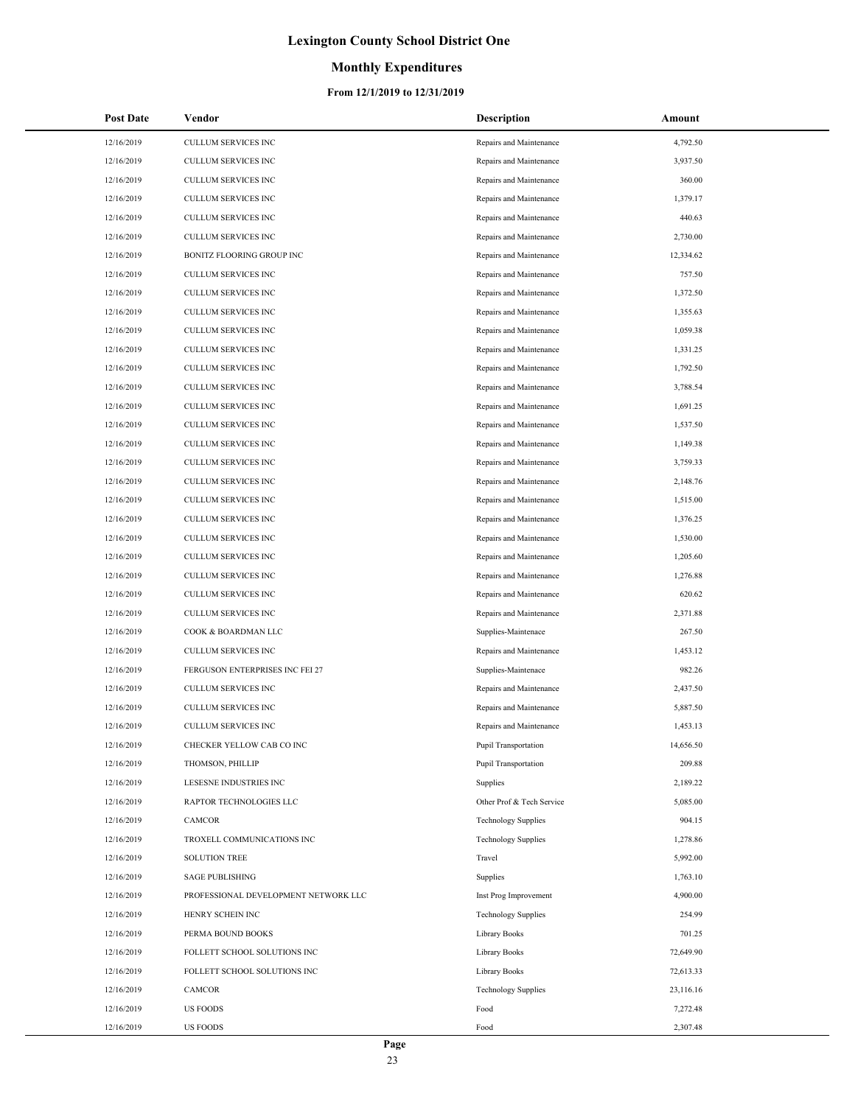## **Monthly Expenditures**

| <b>Post Date</b> | Vendor                               | <b>Description</b>          | Amount    |
|------------------|--------------------------------------|-----------------------------|-----------|
| 12/16/2019       | <b>CULLUM SERVICES INC</b>           | Repairs and Maintenance     | 4,792.50  |
| 12/16/2019       | CULLUM SERVICES INC                  | Repairs and Maintenance     | 3,937.50  |
| 12/16/2019       | <b>CULLUM SERVICES INC</b>           | Repairs and Maintenance     | 360.00    |
| 12/16/2019       | CULLUM SERVICES INC                  | Repairs and Maintenance     | 1,379.17  |
| 12/16/2019       | CULLUM SERVICES INC                  | Repairs and Maintenance     | 440.63    |
| 12/16/2019       | CULLUM SERVICES INC                  | Repairs and Maintenance     | 2,730.00  |
| 12/16/2019       | BONITZ FLOORING GROUP INC            | Repairs and Maintenance     | 12,334.62 |
| 12/16/2019       | CULLUM SERVICES INC                  | Repairs and Maintenance     | 757.50    |
| 12/16/2019       | CULLUM SERVICES INC                  | Repairs and Maintenance     | 1,372.50  |
| 12/16/2019       | <b>CULLUM SERVICES INC</b>           | Repairs and Maintenance     | 1,355.63  |
| 12/16/2019       | <b>CULLUM SERVICES INC</b>           | Repairs and Maintenance     | 1,059.38  |
| 12/16/2019       | CULLUM SERVICES INC                  | Repairs and Maintenance     | 1,331.25  |
| 12/16/2019       | CULLUM SERVICES INC                  | Repairs and Maintenance     | 1,792.50  |
| 12/16/2019       | CULLUM SERVICES INC                  | Repairs and Maintenance     | 3,788.54  |
| 12/16/2019       | <b>CULLUM SERVICES INC</b>           | Repairs and Maintenance     | 1,691.25  |
| 12/16/2019       | CULLUM SERVICES INC                  | Repairs and Maintenance     | 1,537.50  |
| 12/16/2019       | CULLUM SERVICES INC                  | Repairs and Maintenance     | 1,149.38  |
| 12/16/2019       | <b>CULLUM SERVICES INC</b>           | Repairs and Maintenance     | 3,759.33  |
| 12/16/2019       | <b>CULLUM SERVICES INC</b>           | Repairs and Maintenance     | 2,148.76  |
| 12/16/2019       | CULLUM SERVICES INC                  | Repairs and Maintenance     | 1,515.00  |
| 12/16/2019       | CULLUM SERVICES INC                  | Repairs and Maintenance     | 1,376.25  |
| 12/16/2019       | CULLUM SERVICES INC                  | Repairs and Maintenance     | 1,530.00  |
| 12/16/2019       | <b>CULLUM SERVICES INC</b>           | Repairs and Maintenance     | 1,205.60  |
| 12/16/2019       | CULLUM SERVICES INC                  | Repairs and Maintenance     | 1,276.88  |
| 12/16/2019       | CULLUM SERVICES INC                  | Repairs and Maintenance     | 620.62    |
| 12/16/2019       | CULLUM SERVICES INC                  | Repairs and Maintenance     | 2,371.88  |
| 12/16/2019       | COOK & BOARDMAN LLC                  | Supplies-Maintenace         | 267.50    |
| 12/16/2019       | <b>CULLUM SERVICES INC</b>           | Repairs and Maintenance     | 1,453.12  |
| 12/16/2019       | FERGUSON ENTERPRISES INC FEI 27      | Supplies-Maintenace         | 982.26    |
| 12/16/2019       | <b>CULLUM SERVICES INC</b>           | Repairs and Maintenance     | 2,437.50  |
| 12/16/2019       | <b>CULLUM SERVICES INC</b>           | Repairs and Maintenance     | 5,887.50  |
| 12/16/2019       | <b>CULLUM SERVICES INC</b>           | Repairs and Maintenance     | 1,453.13  |
| 12/16/2019       | CHECKER YELLOW CAB CO INC            | <b>Pupil Transportation</b> | 14,656.50 |
| 12/16/2019       | THOMSON, PHILLIP                     | <b>Pupil Transportation</b> | 209.88    |
| 12/16/2019       | LESESNE INDUSTRIES INC               | Supplies                    | 2,189.22  |
| 12/16/2019       | RAPTOR TECHNOLOGIES LLC              | Other Prof & Tech Service   | 5,085.00  |
| 12/16/2019       | CAMCOR                               | <b>Technology Supplies</b>  | 904.15    |
| 12/16/2019       | TROXELL COMMUNICATIONS INC           | <b>Technology Supplies</b>  | 1,278.86  |
| 12/16/2019       | <b>SOLUTION TREE</b>                 | Travel                      | 5,992.00  |
| 12/16/2019       | <b>SAGE PUBLISHING</b>               | Supplies                    | 1,763.10  |
| 12/16/2019       | PROFESSIONAL DEVELOPMENT NETWORK LLC | Inst Prog Improvement       | 4,900.00  |
| 12/16/2019       | HENRY SCHEIN INC                     | <b>Technology Supplies</b>  | 254.99    |
| 12/16/2019       | PERMA BOUND BOOKS                    | Library Books               | 701.25    |
| 12/16/2019       | FOLLETT SCHOOL SOLUTIONS INC         | Library Books               | 72,649.90 |
| 12/16/2019       | FOLLETT SCHOOL SOLUTIONS INC         | Library Books               | 72,613.33 |
| 12/16/2019       | CAMCOR                               | <b>Technology Supplies</b>  | 23,116.16 |
| 12/16/2019       | <b>US FOODS</b>                      | Food                        | 7,272.48  |
| 12/16/2019       | <b>US FOODS</b>                      | Food                        | 2,307.48  |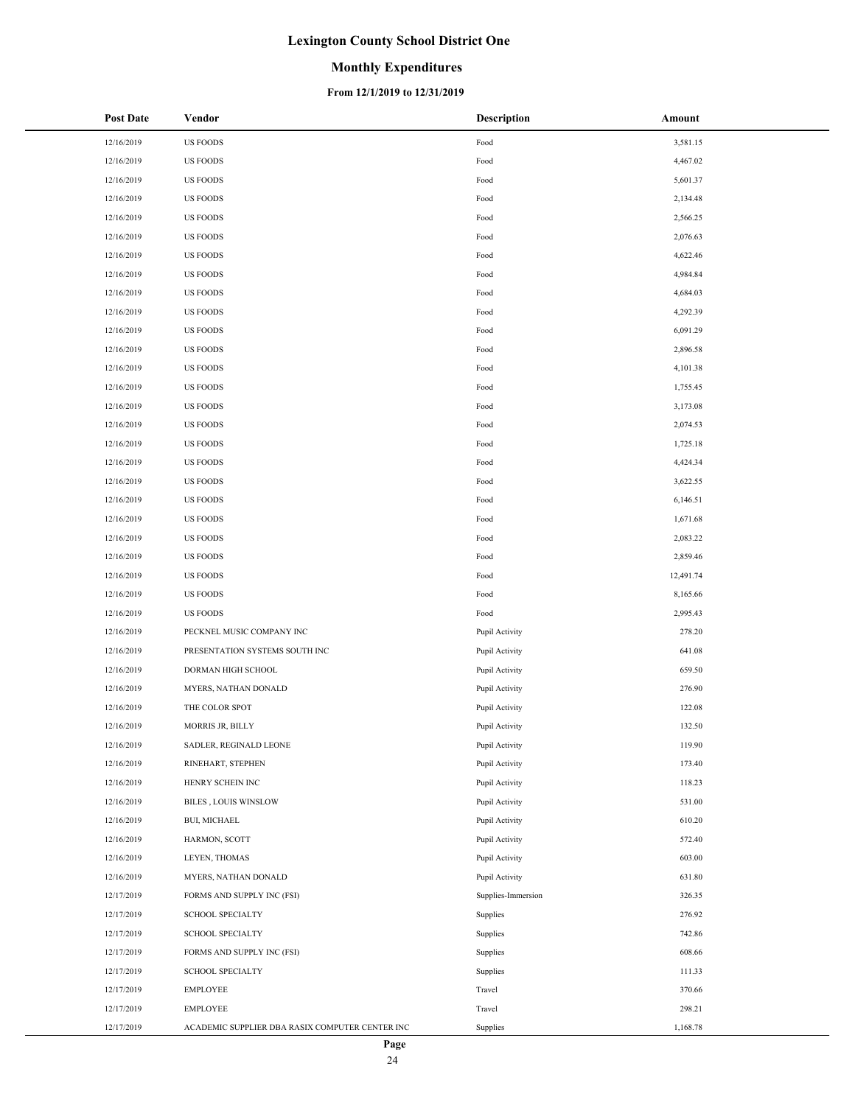## **Monthly Expenditures**

| <b>Post Date</b> | Vendor                                          | <b>Description</b> | Amount    |
|------------------|-------------------------------------------------|--------------------|-----------|
| 12/16/2019       | <b>US FOODS</b>                                 | Food               | 3,581.15  |
| 12/16/2019       | <b>US FOODS</b>                                 | Food               | 4,467.02  |
| 12/16/2019       | US FOODS                                        | Food               | 5,601.37  |
| 12/16/2019       | US FOODS                                        | Food               | 2,134.48  |
| 12/16/2019       | US FOODS                                        | Food               | 2,566.25  |
| 12/16/2019       | <b>US FOODS</b>                                 | Food               | 2,076.63  |
| 12/16/2019       | US FOODS                                        | Food               | 4,622.46  |
| 12/16/2019       | <b>US FOODS</b>                                 | Food               | 4,984.84  |
| 12/16/2019       | US FOODS                                        | Food               | 4,684.03  |
| 12/16/2019       | <b>US FOODS</b>                                 | Food               | 4,292.39  |
| 12/16/2019       | US FOODS                                        | Food               | 6,091.29  |
| 12/16/2019       | <b>US FOODS</b>                                 | Food               | 2,896.58  |
| 12/16/2019       | <b>US FOODS</b>                                 | Food               | 4,101.38  |
| 12/16/2019       | <b>US FOODS</b>                                 | Food               | 1,755.45  |
| 12/16/2019       | <b>US FOODS</b>                                 | Food               | 3,173.08  |
| 12/16/2019       | <b>US FOODS</b>                                 | Food               | 2,074.53  |
| 12/16/2019       | <b>US FOODS</b>                                 | Food               | 1,725.18  |
| 12/16/2019       | <b>US FOODS</b>                                 | Food               | 4,424.34  |
| 12/16/2019       | <b>US FOODS</b>                                 | Food               | 3,622.55  |
| 12/16/2019       | <b>US FOODS</b>                                 | Food               | 6,146.51  |
| 12/16/2019       | <b>US FOODS</b>                                 | Food               | 1,671.68  |
| 12/16/2019       | <b>US FOODS</b>                                 | Food               | 2,083.22  |
| 12/16/2019       | US FOODS                                        | Food               | 2,859.46  |
| 12/16/2019       | US FOODS                                        | Food               | 12,491.74 |
| 12/16/2019       | <b>US FOODS</b>                                 | Food               | 8,165.66  |
| 12/16/2019       | <b>US FOODS</b>                                 | Food               | 2,995.43  |
| 12/16/2019       | PECKNEL MUSIC COMPANY INC                       | Pupil Activity     | 278.20    |
| 12/16/2019       | PRESENTATION SYSTEMS SOUTH INC                  | Pupil Activity     | 641.08    |
| 12/16/2019       | DORMAN HIGH SCHOOL                              | Pupil Activity     | 659.50    |
| 12/16/2019       | MYERS, NATHAN DONALD                            | Pupil Activity     | 276.90    |
| 12/16/2019       | THE COLOR SPOT                                  | Pupil Activity     | 122.08    |
| 12/16/2019       | <b>MORRIS JR, BILLY</b>                         | Pupil Activity     | 132.50    |
| 12/16/2019       | SADLER, REGINALD LEONE                          | Pupil Activity     | 119.90    |
| 12/16/2019       | RINEHART, STEPHEN                               | Pupil Activity     | 173.40    |
| 12/16/2019       | HENRY SCHEIN INC                                | Pupil Activity     | 118.23    |
| 12/16/2019       | <b>BILES, LOUIS WINSLOW</b>                     | Pupil Activity     | 531.00    |
| 12/16/2019       | <b>BUI, MICHAEL</b>                             | Pupil Activity     | 610.20    |
| 12/16/2019       | HARMON, SCOTT                                   | Pupil Activity     | 572.40    |
| 12/16/2019       | LEYEN, THOMAS                                   | Pupil Activity     | 603.00    |
| 12/16/2019       | MYERS, NATHAN DONALD                            | Pupil Activity     | 631.80    |
| 12/17/2019       | FORMS AND SUPPLY INC (FSI)                      | Supplies-Immersion | 326.35    |
| 12/17/2019       | <b>SCHOOL SPECIALTY</b>                         | Supplies           | 276.92    |
| 12/17/2019       | <b>SCHOOL SPECIALTY</b>                         | Supplies           | 742.86    |
| 12/17/2019       | FORMS AND SUPPLY INC (FSI)                      | Supplies           | 608.66    |
| 12/17/2019       | SCHOOL SPECIALTY                                | Supplies           | 111.33    |
| 12/17/2019       | EMPLOYEE                                        | Travel             | 370.66    |
| 12/17/2019       | EMPLOYEE                                        | Travel             | 298.21    |
| 12/17/2019       | ACADEMIC SUPPLIER DBA RASIX COMPUTER CENTER INC | Supplies           | 1,168.78  |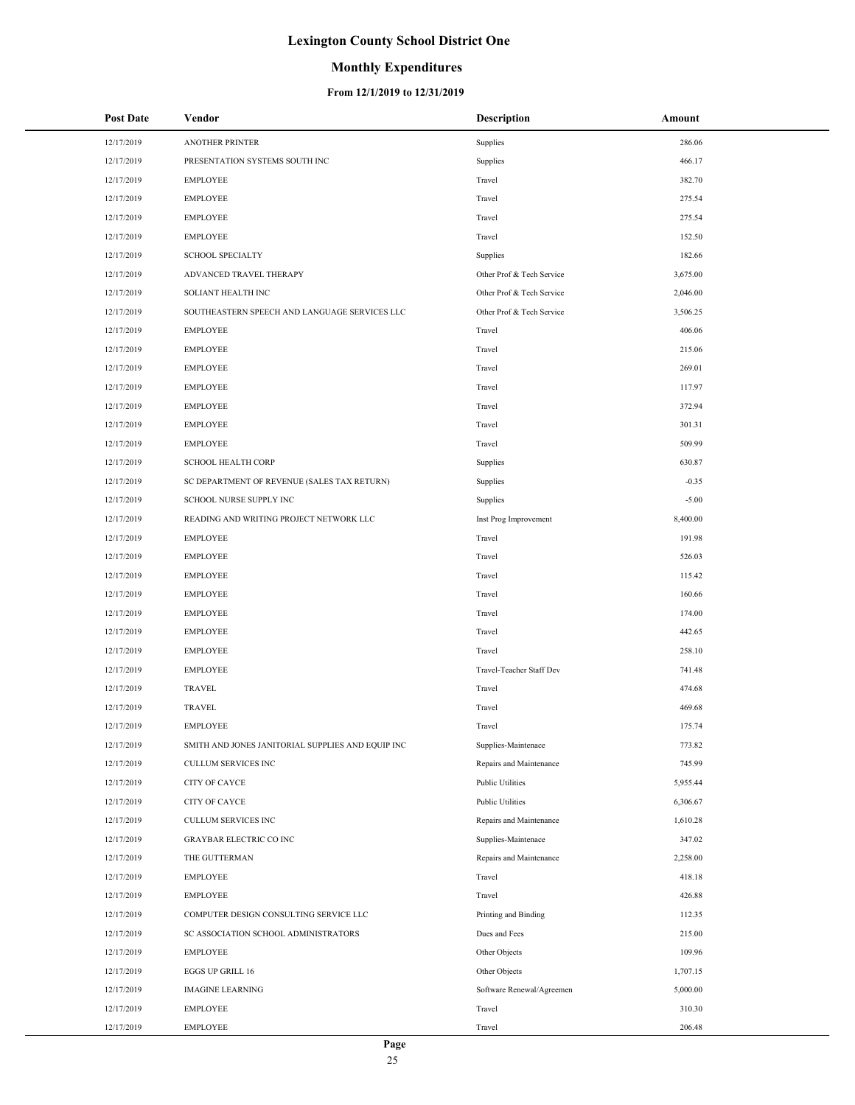## **Monthly Expenditures**

| <b>Post Date</b> | Vendor                                            | <b>Description</b>        | Amount   |
|------------------|---------------------------------------------------|---------------------------|----------|
| 12/17/2019       | <b>ANOTHER PRINTER</b>                            | Supplies                  | 286.06   |
| 12/17/2019       | PRESENTATION SYSTEMS SOUTH INC                    | Supplies                  | 466.17   |
| 12/17/2019       | <b>EMPLOYEE</b>                                   | Travel                    | 382.70   |
| 12/17/2019       | <b>EMPLOYEE</b>                                   | Travel                    | 275.54   |
| 12/17/2019       | <b>EMPLOYEE</b>                                   | Travel                    | 275.54   |
| 12/17/2019       | <b>EMPLOYEE</b>                                   | Travel                    | 152.50   |
| 12/17/2019       | <b>SCHOOL SPECIALTY</b>                           | Supplies                  | 182.66   |
| 12/17/2019       | ADVANCED TRAVEL THERAPY                           | Other Prof & Tech Service | 3,675.00 |
| 12/17/2019       | SOLIANT HEALTH INC                                | Other Prof & Tech Service | 2,046.00 |
| 12/17/2019       | SOUTHEASTERN SPEECH AND LANGUAGE SERVICES LLC     | Other Prof & Tech Service | 3,506.25 |
| 12/17/2019       | <b>EMPLOYEE</b>                                   | Travel                    | 406.06   |
| 12/17/2019       | <b>EMPLOYEE</b>                                   | Travel                    | 215.06   |
| 12/17/2019       | <b>EMPLOYEE</b>                                   | Travel                    | 269.01   |
| 12/17/2019       | <b>EMPLOYEE</b>                                   | Travel                    | 117.97   |
| 12/17/2019       | <b>EMPLOYEE</b>                                   | Travel                    | 372.94   |
| 12/17/2019       | <b>EMPLOYEE</b>                                   | Travel                    | 301.31   |
| 12/17/2019       | <b>EMPLOYEE</b>                                   | Travel                    | 509.99   |
| 12/17/2019       | <b>SCHOOL HEALTH CORP</b>                         | Supplies                  | 630.87   |
| 12/17/2019       | SC DEPARTMENT OF REVENUE (SALES TAX RETURN)       | Supplies                  | $-0.35$  |
| 12/17/2019       | SCHOOL NURSE SUPPLY INC                           | Supplies                  | $-5.00$  |
| 12/17/2019       | READING AND WRITING PROJECT NETWORK LLC           | Inst Prog Improvement     | 8,400.00 |
| 12/17/2019       | <b>EMPLOYEE</b>                                   | Travel                    | 191.98   |
| 12/17/2019       | <b>EMPLOYEE</b>                                   | Travel                    | 526.03   |
| 12/17/2019       | <b>EMPLOYEE</b>                                   | Travel                    | 115.42   |
| 12/17/2019       | <b>EMPLOYEE</b>                                   | Travel                    | 160.66   |
| 12/17/2019       | <b>EMPLOYEE</b>                                   | Travel                    | 174.00   |
| 12/17/2019       | <b>EMPLOYEE</b>                                   | Travel                    | 442.65   |
| 12/17/2019       | <b>EMPLOYEE</b>                                   | Travel                    | 258.10   |
| 12/17/2019       | EMPLOYEE                                          | Travel-Teacher Staff Dev  | 741.48   |
| 12/17/2019       | TRAVEL                                            | Travel                    | 474.68   |
| 12/17/2019       | <b>TRAVEL</b>                                     | Travel                    | 469.68   |
| 12/17/2019       | <b>EMPLOYEE</b>                                   | Travel                    | 175.74   |
| 12/17/2019       | SMITH AND JONES JANITORIAL SUPPLIES AND EQUIP INC | Supplies-Maintenace       | 773.82   |
| 12/17/2019       | <b>CULLUM SERVICES INC</b>                        | Repairs and Maintenance   | 745.99   |
| 12/17/2019       | CITY OF CAYCE                                     | Public Utilities          | 5,955.44 |
| 12/17/2019       | CITY OF CAYCE                                     | Public Utilities          | 6,306.67 |
| 12/17/2019       | <b>CULLUM SERVICES INC</b>                        | Repairs and Maintenance   | 1,610.28 |
| 12/17/2019       | <b>GRAYBAR ELECTRIC CO INC</b>                    | Supplies-Maintenace       | 347.02   |
| 12/17/2019       | THE GUTTERMAN                                     | Repairs and Maintenance   | 2,258.00 |
| 12/17/2019       | <b>EMPLOYEE</b>                                   | Travel                    | 418.18   |
| 12/17/2019       | <b>EMPLOYEE</b>                                   | Travel                    | 426.88   |
| 12/17/2019       | COMPUTER DESIGN CONSULTING SERVICE LLC            | Printing and Binding      | 112.35   |
| 12/17/2019       | SC ASSOCIATION SCHOOL ADMINISTRATORS              | Dues and Fees             | 215.00   |
| 12/17/2019       | <b>EMPLOYEE</b>                                   | Other Objects             | 109.96   |
| 12/17/2019       | EGGS UP GRILL 16                                  | Other Objects             | 1,707.15 |
| 12/17/2019       | <b>IMAGINE LEARNING</b>                           | Software Renewal/Agreemen | 5,000.00 |
| 12/17/2019       | <b>EMPLOYEE</b>                                   | Travel                    | 310.30   |
| 12/17/2019       | <b>EMPLOYEE</b>                                   | Travel                    | 206.48   |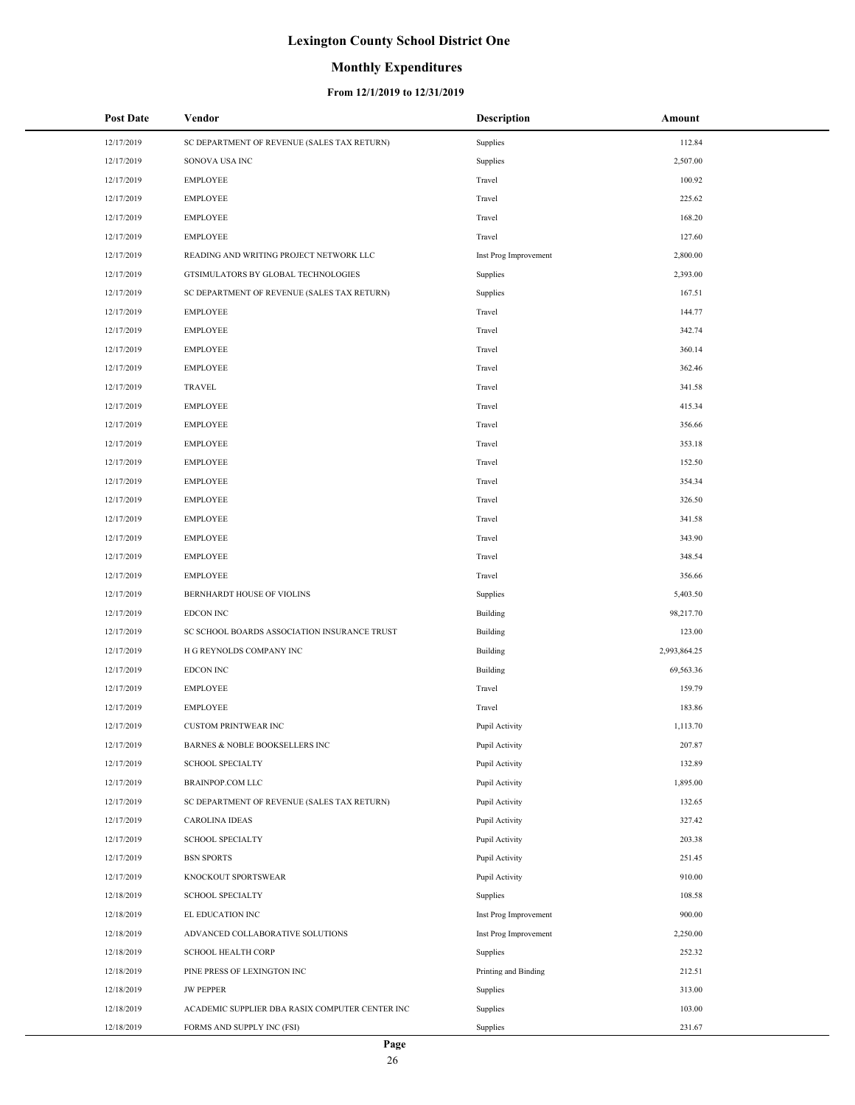#### **Monthly Expenditures**

| <b>Post Date</b>         | Vendor                                          | <b>Description</b>               | Amount           |
|--------------------------|-------------------------------------------------|----------------------------------|------------------|
| 12/17/2019               | SC DEPARTMENT OF REVENUE (SALES TAX RETURN)     | Supplies                         | 112.84           |
| 12/17/2019               | SONOVA USA INC                                  | Supplies                         | 2,507.00         |
| 12/17/2019               | <b>EMPLOYEE</b>                                 | Travel                           | 100.92           |
| 12/17/2019               | <b>EMPLOYEE</b>                                 | Travel                           | 225.62           |
| 12/17/2019               | <b>EMPLOYEE</b>                                 | Travel                           | 168.20           |
| 12/17/2019               | <b>EMPLOYEE</b>                                 | Travel                           | 127.60           |
| 12/17/2019               | READING AND WRITING PROJECT NETWORK LLC         | Inst Prog Improvement            | 2,800.00         |
| 12/17/2019               | GTSIMULATORS BY GLOBAL TECHNOLOGIES             | Supplies                         | 2,393.00         |
| 12/17/2019               | SC DEPARTMENT OF REVENUE (SALES TAX RETURN)     | Supplies                         | 167.51           |
| 12/17/2019               | <b>EMPLOYEE</b>                                 | Travel                           | 144.77           |
| 12/17/2019               | <b>EMPLOYEE</b>                                 | Travel                           | 342.74           |
| 12/17/2019               | <b>EMPLOYEE</b>                                 | Travel                           | 360.14           |
| 12/17/2019               | <b>EMPLOYEE</b>                                 | Travel                           | 362.46           |
| 12/17/2019               | <b>TRAVEL</b>                                   | Travel                           | 341.58           |
| 12/17/2019               | <b>EMPLOYEE</b>                                 | Travel                           | 415.34           |
| 12/17/2019               | <b>EMPLOYEE</b>                                 | Travel                           | 356.66           |
| 12/17/2019               | <b>EMPLOYEE</b>                                 | Travel                           | 353.18           |
| 12/17/2019               | <b>EMPLOYEE</b>                                 | Travel                           | 152.50           |
| 12/17/2019               | <b>EMPLOYEE</b>                                 | Travel                           | 354.34           |
| 12/17/2019               | <b>EMPLOYEE</b>                                 | Travel                           | 326.50           |
| 12/17/2019               | <b>EMPLOYEE</b>                                 | Travel                           | 341.58           |
| 12/17/2019               | <b>EMPLOYEE</b>                                 | Travel                           | 343.90           |
| 12/17/2019               | <b>EMPLOYEE</b>                                 | Travel                           | 348.54           |
| 12/17/2019               | <b>EMPLOYEE</b>                                 | Travel                           | 356.66           |
| 12/17/2019               | BERNHARDT HOUSE OF VIOLINS                      | Supplies                         | 5,403.50         |
| 12/17/2019               | EDCON INC                                       | Building                         | 98,217.70        |
| 12/17/2019               | SC SCHOOL BOARDS ASSOCIATION INSURANCE TRUST    | Building                         | 123.00           |
| 12/17/2019               | H G REYNOLDS COMPANY INC                        | Building                         | 2,993,864.25     |
| 12/17/2019               | EDCON INC                                       | Building                         | 69,563.36        |
| 12/17/2019               | <b>EMPLOYEE</b>                                 | Travel                           | 159.79           |
| 12/17/2019               | <b>EMPLOYEE</b>                                 | Travel                           | 183.86           |
| 12/17/2019               | <b>CUSTOM PRINTWEAR INC</b>                     | Pupil Activity                   | 1,113.70         |
| 12/17/2019               | BARNES & NOBLE BOOKSELLERS INC                  | Pupil Activity                   | 207.87           |
| 12/17/2019               | <b>SCHOOL SPECIALTY</b>                         | Pupil Activity                   | 132.89           |
| 12/17/2019               | <b>BRAINPOP.COM LLC</b>                         | Pupil Activity                   | 1,895.00         |
| 12/17/2019               | SC DEPARTMENT OF REVENUE (SALES TAX RETURN)     | Pupil Activity                   | 132.65           |
| 12/17/2019               | <b>CAROLINA IDEAS</b>                           | Pupil Activity                   | 327.42           |
| 12/17/2019               | <b>SCHOOL SPECIALTY</b>                         | Pupil Activity                   | 203.38           |
| 12/17/2019               | <b>BSN SPORTS</b>                               | Pupil Activity                   | 251.45           |
| 12/17/2019               | KNOCKOUT SPORTSWEAR                             | Pupil Activity                   | 910.00           |
| 12/18/2019               | <b>SCHOOL SPECIALTY</b>                         | Supplies                         | 108.58           |
| 12/18/2019               | EL EDUCATION INC                                | Inst Prog Improvement            | 900.00           |
| 12/18/2019               | ADVANCED COLLABORATIVE SOLUTIONS                | Inst Prog Improvement            | 2,250.00         |
| 12/18/2019               | <b>SCHOOL HEALTH CORP</b>                       | Supplies                         | 252.32           |
| 12/18/2019<br>12/18/2019 | PINE PRESS OF LEXINGTON INC<br><b>JW PEPPER</b> | Printing and Binding<br>Supplies | 212.51<br>313.00 |
| 12/18/2019               | ACADEMIC SUPPLIER DBA RASIX COMPUTER CENTER INC | Supplies                         | 103.00           |
| 12/18/2019               | FORMS AND SUPPLY INC (FSI)                      | Supplies                         | 231.67           |
|                          |                                                 |                                  |                  |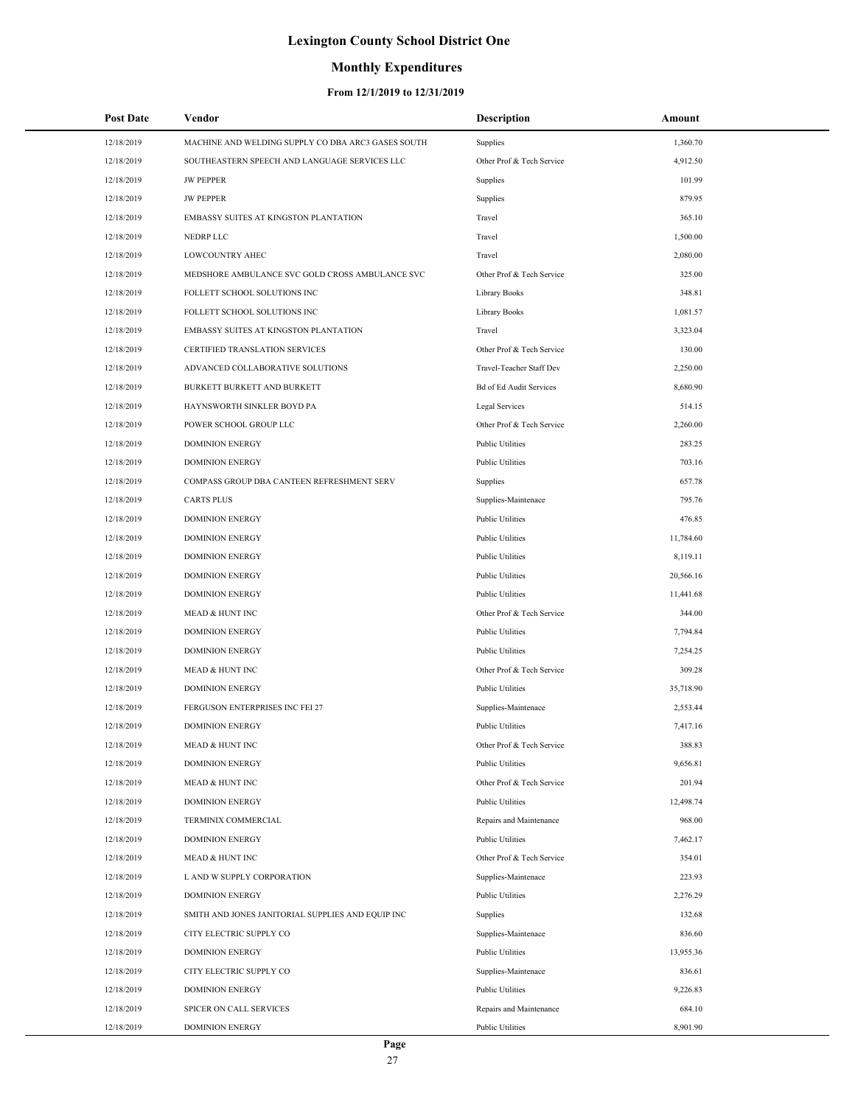## **Monthly Expenditures**

| <b>Post Date</b> | Vendor                                             | <b>Description</b>        | Amount    |
|------------------|----------------------------------------------------|---------------------------|-----------|
| 12/18/2019       | MACHINE AND WELDING SUPPLY CO DBA ARC3 GASES SOUTH | Supplies                  | 1,360.70  |
| 12/18/2019       | SOUTHEASTERN SPEECH AND LANGUAGE SERVICES LLC      | Other Prof & Tech Service | 4,912.50  |
| 12/18/2019       | <b>JW PEPPER</b>                                   | Supplies                  | 101.99    |
| 12/18/2019       | <b>JW PEPPER</b>                                   | Supplies                  | 879.95    |
| 12/18/2019       | EMBASSY SUITES AT KINGSTON PLANTATION              | Travel                    | 365.10    |
| 12/18/2019       | NEDRP LLC                                          | Travel                    | 1,500.00  |
| 12/18/2019       | LOWCOUNTRY AHEC                                    | Travel                    | 2,080.00  |
| 12/18/2019       | MEDSHORE AMBULANCE SVC GOLD CROSS AMBULANCE SVC    | Other Prof & Tech Service | 325.00    |
| 12/18/2019       | FOLLETT SCHOOL SOLUTIONS INC                       | Library Books             | 348.81    |
| 12/18/2019       | FOLLETT SCHOOL SOLUTIONS INC                       | Library Books             | 1,081.57  |
| 12/18/2019       | EMBASSY SUITES AT KINGSTON PLANTATION              | Travel                    | 3,323.04  |
| 12/18/2019       | CERTIFIED TRANSLATION SERVICES                     | Other Prof & Tech Service | 130.00    |
| 12/18/2019       | ADVANCED COLLABORATIVE SOLUTIONS                   | Travel-Teacher Staff Dev  | 2,250.00  |
| 12/18/2019       | BURKETT BURKETT AND BURKETT                        | Bd of Ed Audit Services   | 8,680.90  |
| 12/18/2019       | HAYNSWORTH SINKLER BOYD PA                         | Legal Services            | 514.15    |
| 12/18/2019       | POWER SCHOOL GROUP LLC                             | Other Prof & Tech Service | 2,260.00  |
| 12/18/2019       | <b>DOMINION ENERGY</b>                             | <b>Public Utilities</b>   | 283.25    |
| 12/18/2019       | <b>DOMINION ENERGY</b>                             | <b>Public Utilities</b>   | 703.16    |
| 12/18/2019       | COMPASS GROUP DBA CANTEEN REFRESHMENT SERV         | Supplies                  | 657.78    |
| 12/18/2019       | <b>CARTS PLUS</b>                                  | Supplies-Maintenace       | 795.76    |
| 12/18/2019       | <b>DOMINION ENERGY</b>                             | <b>Public Utilities</b>   | 476.85    |
| 12/18/2019       | <b>DOMINION ENERGY</b>                             | <b>Public Utilities</b>   | 11,784.60 |
| 12/18/2019       | <b>DOMINION ENERGY</b>                             | <b>Public Utilities</b>   | 8,119.11  |
| 12/18/2019       | <b>DOMINION ENERGY</b>                             | <b>Public Utilities</b>   | 20,566.16 |
| 12/18/2019       | <b>DOMINION ENERGY</b>                             | <b>Public Utilities</b>   | 11,441.68 |
| 12/18/2019       | <b>MEAD &amp; HUNT INC</b>                         | Other Prof & Tech Service | 344.00    |
| 12/18/2019       | <b>DOMINION ENERGY</b>                             | <b>Public Utilities</b>   | 7,794.84  |
| 12/18/2019       | <b>DOMINION ENERGY</b>                             | <b>Public Utilities</b>   | 7,254.25  |
| 12/18/2019       | <b>MEAD &amp; HUNT INC</b>                         | Other Prof & Tech Service | 309.28    |
| 12/18/2019       | <b>DOMINION ENERGY</b>                             | <b>Public Utilities</b>   | 35,718.90 |
| 12/18/2019       | FERGUSON ENTERPRISES INC FEI 27                    | Supplies-Maintenace       | 2,553.44  |
| 12/18/2019       | <b>DOMINION ENERGY</b>                             | <b>Public Utilities</b>   | 7,417.16  |
| 12/18/2019       | MEAD & HUNT INC                                    | Other Prof & Tech Service | 388.83    |
| 12/18/2019       | <b>DOMINION ENERGY</b>                             | Public Utilities          | 9,656.81  |
| 12/18/2019       | <b>MEAD &amp; HUNT INC</b>                         | Other Prof & Tech Service | 201.94    |
| 12/18/2019       | <b>DOMINION ENERGY</b>                             | Public Utilities          | 12,498.74 |
| 12/18/2019       | TERMINIX COMMERCIAL                                | Repairs and Maintenance   | 968.00    |
| 12/18/2019       | <b>DOMINION ENERGY</b>                             | Public Utilities          | 7,462.17  |
| 12/18/2019       | <b>MEAD &amp; HUNT INC</b>                         | Other Prof & Tech Service | 354.01    |
| 12/18/2019       | L AND W SUPPLY CORPORATION                         | Supplies-Maintenace       | 223.93    |
| 12/18/2019       | <b>DOMINION ENERGY</b>                             | <b>Public Utilities</b>   | 2,276.29  |
| 12/18/2019       | SMITH AND JONES JANITORIAL SUPPLIES AND EQUIP INC  | Supplies                  | 132.68    |
| 12/18/2019       | CITY ELECTRIC SUPPLY CO                            | Supplies-Maintenace       | 836.60    |
| 12/18/2019       | <b>DOMINION ENERGY</b>                             | <b>Public Utilities</b>   | 13,955.36 |
| 12/18/2019       | CITY ELECTRIC SUPPLY CO                            | Supplies-Maintenace       | 836.61    |
| 12/18/2019       | <b>DOMINION ENERGY</b>                             | <b>Public Utilities</b>   | 9,226.83  |
| 12/18/2019       | SPICER ON CALL SERVICES                            | Repairs and Maintenance   | 684.10    |
| 12/18/2019       | <b>DOMINION ENERGY</b>                             | Public Utilities          | 8,901.90  |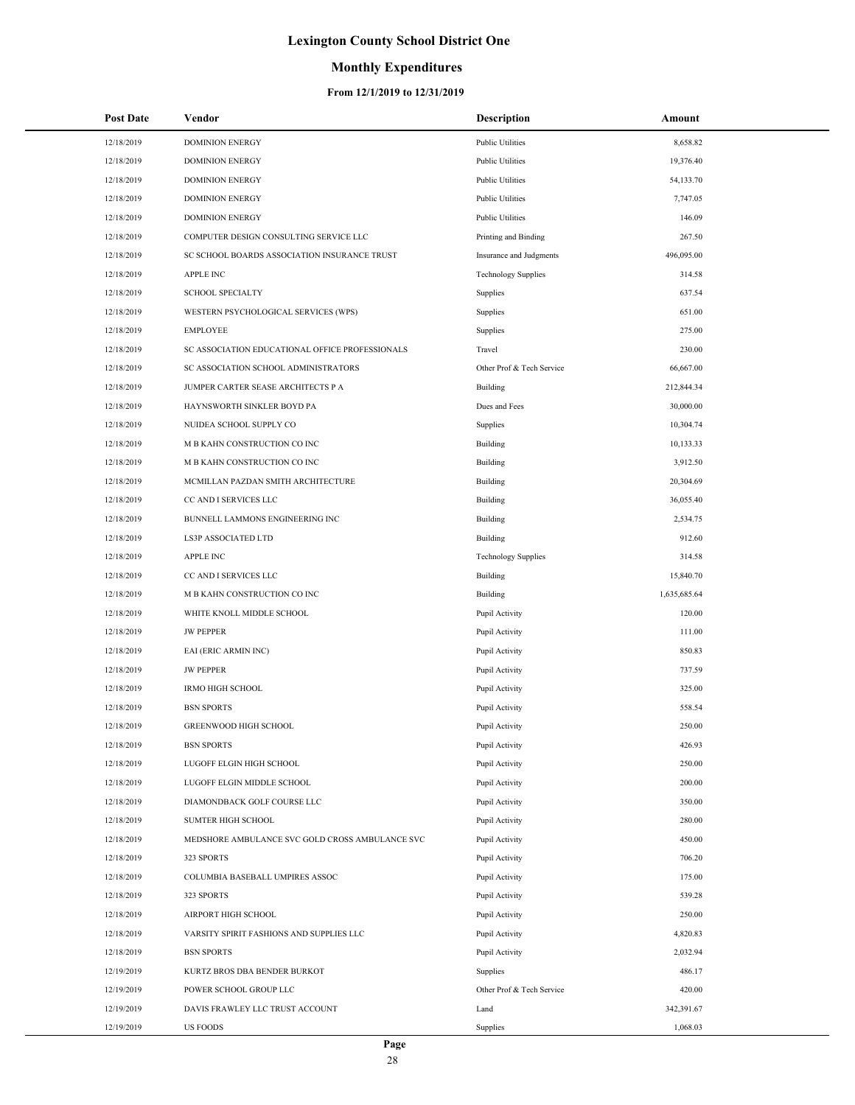## **Monthly Expenditures**

| <b>Post Date</b> | Vendor                                          | Description                | Amount       |
|------------------|-------------------------------------------------|----------------------------|--------------|
| 12/18/2019       | <b>DOMINION ENERGY</b>                          | <b>Public Utilities</b>    | 8,658.82     |
| 12/18/2019       | <b>DOMINION ENERGY</b>                          | <b>Public Utilities</b>    | 19,376.40    |
| 12/18/2019       | <b>DOMINION ENERGY</b>                          | <b>Public Utilities</b>    | 54,133.70    |
| 12/18/2019       | <b>DOMINION ENERGY</b>                          | <b>Public Utilities</b>    | 7,747.05     |
| 12/18/2019       | <b>DOMINION ENERGY</b>                          | <b>Public Utilities</b>    | 146.09       |
| 12/18/2019       | COMPUTER DESIGN CONSULTING SERVICE LLC          | Printing and Binding       | 267.50       |
| 12/18/2019       | SC SCHOOL BOARDS ASSOCIATION INSURANCE TRUST    | Insurance and Judgments    | 496,095.00   |
| 12/18/2019       | APPLE INC                                       | <b>Technology Supplies</b> | 314.58       |
| 12/18/2019       | <b>SCHOOL SPECIALTY</b>                         | Supplies                   | 637.54       |
| 12/18/2019       | WESTERN PSYCHOLOGICAL SERVICES (WPS)            | Supplies                   | 651.00       |
| 12/18/2019       | <b>EMPLOYEE</b>                                 | Supplies                   | 275.00       |
| 12/18/2019       | SC ASSOCIATION EDUCATIONAL OFFICE PROFESSIONALS | Travel                     | 230.00       |
| 12/18/2019       | SC ASSOCIATION SCHOOL ADMINISTRATORS            | Other Prof & Tech Service  | 66,667.00    |
| 12/18/2019       | JUMPER CARTER SEASE ARCHITECTS P A              | Building                   | 212,844.34   |
| 12/18/2019       | HAYNSWORTH SINKLER BOYD PA                      | Dues and Fees              | 30,000.00    |
| 12/18/2019       | NUIDEA SCHOOL SUPPLY CO                         | Supplies                   | 10,304.74    |
| 12/18/2019       | M B KAHN CONSTRUCTION CO INC                    | Building                   | 10,133.33    |
| 12/18/2019       | M B KAHN CONSTRUCTION CO INC                    | Building                   | 3,912.50     |
| 12/18/2019       | MCMILLAN PAZDAN SMITH ARCHITECTURE              | Building                   | 20,304.69    |
| 12/18/2019       | CC AND I SERVICES LLC                           | Building                   | 36,055.40    |
| 12/18/2019       | BUNNELL LAMMONS ENGINEERING INC                 | Building                   | 2,534.75     |
| 12/18/2019       | LS3P ASSOCIATED LTD                             | Building                   | 912.60       |
| 12/18/2019       | <b>APPLE INC</b>                                | <b>Technology Supplies</b> | 314.58       |
| 12/18/2019       | CC AND I SERVICES LLC                           | Building                   | 15,840.70    |
| 12/18/2019       | M B KAHN CONSTRUCTION CO INC                    | Building                   | 1,635,685.64 |
| 12/18/2019       | WHITE KNOLL MIDDLE SCHOOL                       | Pupil Activity             | 120.00       |
| 12/18/2019       | <b>JW PEPPER</b>                                | Pupil Activity             | 111.00       |
| 12/18/2019       | EAI (ERIC ARMIN INC)                            | Pupil Activity             | 850.83       |
| 12/18/2019       | <b>JW PEPPER</b>                                | Pupil Activity             | 737.59       |
| 12/18/2019       | <b>IRMO HIGH SCHOOL</b>                         | Pupil Activity             | 325.00       |
| 12/18/2019       | <b>BSN SPORTS</b>                               | Pupil Activity             | 558.54       |
| 12/18/2019       | <b>GREENWOOD HIGH SCHOOL</b>                    | Pupil Activity             | 250.00       |
| 12/18/2019       | <b>BSN SPORTS</b>                               | Pupil Activity             | 426.93       |
| 12/18/2019       | LUGOFF ELGIN HIGH SCHOOL                        | Pupil Activity             | 250.00       |
| 12/18/2019       | LUGOFF ELGIN MIDDLE SCHOOL                      | Pupil Activity             | 200.00       |
| 12/18/2019       | DIAMONDBACK GOLF COURSE LLC                     | Pupil Activity             | 350.00       |
| 12/18/2019       | <b>SUMTER HIGH SCHOOL</b>                       | Pupil Activity             | 280.00       |
| 12/18/2019       | MEDSHORE AMBULANCE SVC GOLD CROSS AMBULANCE SVC | Pupil Activity             | 450.00       |
| 12/18/2019       | 323 SPORTS                                      | Pupil Activity             | 706.20       |
| 12/18/2019       | COLUMBIA BASEBALL UMPIRES ASSOC                 | Pupil Activity             | 175.00       |
| 12/18/2019       | 323 SPORTS                                      | Pupil Activity             | 539.28       |
| 12/18/2019       | AIRPORT HIGH SCHOOL                             | Pupil Activity             | 250.00       |
| 12/18/2019       | VARSITY SPIRIT FASHIONS AND SUPPLIES LLC        | Pupil Activity             | 4,820.83     |
| 12/18/2019       | <b>BSN SPORTS</b>                               | Pupil Activity             | 2,032.94     |
| 12/19/2019       | KURTZ BROS DBA BENDER BURKOT                    | Supplies                   | 486.17       |
| 12/19/2019       | POWER SCHOOL GROUP LLC                          | Other Prof & Tech Service  | 420.00       |
| 12/19/2019       | DAVIS FRAWLEY LLC TRUST ACCOUNT                 | Land                       | 342,391.67   |
| 12/19/2019       | <b>US FOODS</b>                                 | Supplies                   | 1,068.03     |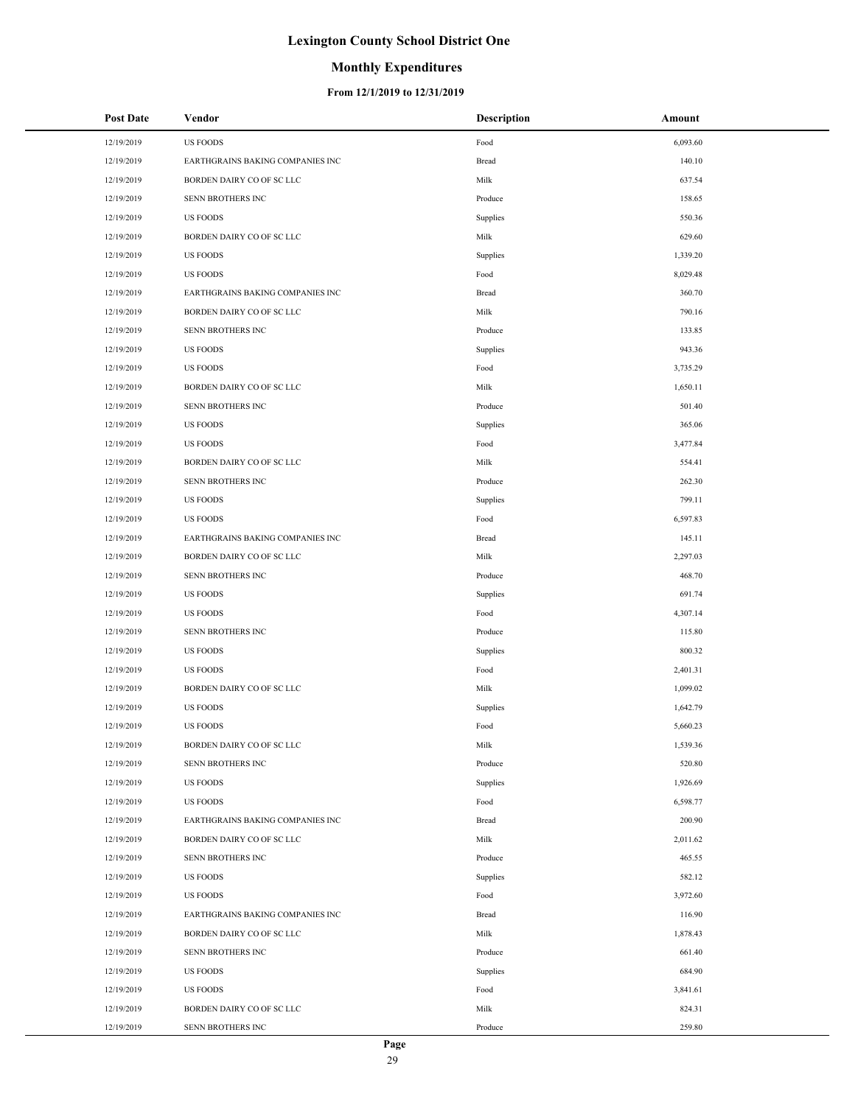## **Monthly Expenditures**

| <b>Post Date</b> | Vendor                           | <b>Description</b> | Amount   |
|------------------|----------------------------------|--------------------|----------|
| 12/19/2019       | <b>US FOODS</b>                  | Food               | 6,093.60 |
| 12/19/2019       | EARTHGRAINS BAKING COMPANIES INC | Bread              | 140.10   |
| 12/19/2019       | BORDEN DAIRY CO OF SC LLC        | Milk               | 637.54   |
| 12/19/2019       | SENN BROTHERS INC                | Produce            | 158.65   |
| 12/19/2019       | <b>US FOODS</b>                  | Supplies           | 550.36   |
| 12/19/2019       | BORDEN DAIRY CO OF SC LLC        | Milk               | 629.60   |
| 12/19/2019       | <b>US FOODS</b>                  | Supplies           | 1,339.20 |
| 12/19/2019       | <b>US FOODS</b>                  | Food               | 8,029.48 |
| 12/19/2019       | EARTHGRAINS BAKING COMPANIES INC | Bread              | 360.70   |
| 12/19/2019       | BORDEN DAIRY CO OF SC LLC        | Milk               | 790.16   |
| 12/19/2019       | SENN BROTHERS INC                | Produce            | 133.85   |
| 12/19/2019       | <b>US FOODS</b>                  | Supplies           | 943.36   |
| 12/19/2019       | <b>US FOODS</b>                  | Food               | 3,735.29 |
| 12/19/2019       | BORDEN DAIRY CO OF SC LLC        | Milk               | 1,650.11 |
| 12/19/2019       | SENN BROTHERS INC                | Produce            | 501.40   |
| 12/19/2019       | <b>US FOODS</b>                  | Supplies           | 365.06   |
| 12/19/2019       | <b>US FOODS</b>                  | Food               | 3,477.84 |
| 12/19/2019       | BORDEN DAIRY CO OF SC LLC        | Milk               | 554.41   |
| 12/19/2019       | SENN BROTHERS INC                | Produce            | 262.30   |
| 12/19/2019       | <b>US FOODS</b>                  | Supplies           | 799.11   |
| 12/19/2019       | <b>US FOODS</b>                  | Food               | 6,597.83 |
| 12/19/2019       | EARTHGRAINS BAKING COMPANIES INC | Bread              | 145.11   |
| 12/19/2019       | BORDEN DAIRY CO OF SC LLC        | Milk               | 2,297.03 |
| 12/19/2019       | SENN BROTHERS INC                | Produce            | 468.70   |
| 12/19/2019       | <b>US FOODS</b>                  | Supplies           | 691.74   |
| 12/19/2019       | <b>US FOODS</b>                  | Food               | 4,307.14 |
| 12/19/2019       | SENN BROTHERS INC                | Produce            | 115.80   |
| 12/19/2019       | <b>US FOODS</b>                  | Supplies           | 800.32   |
| 12/19/2019       | <b>US FOODS</b>                  | Food               | 2,401.31 |
| 12/19/2019       | BORDEN DAIRY CO OF SC LLC        | Milk               | 1,099.02 |
| 12/19/2019       | <b>US FOODS</b>                  | Supplies           | 1,642.79 |
| 12/19/2019       | <b>US FOODS</b>                  | Food               | 5,660.23 |
| 12/19/2019       | BORDEN DAIRY CO OF SC LLC        | Milk               | 1,539.36 |
| 12/19/2019       | SENN BROTHERS INC                | Produce            | 520.80   |
| 12/19/2019       | <b>US FOODS</b>                  | Supplies           | 1,926.69 |
| 12/19/2019       | <b>US FOODS</b>                  | Food               | 6,598.77 |
| 12/19/2019       | EARTHGRAINS BAKING COMPANIES INC | Bread              | 200.90   |
| 12/19/2019       | BORDEN DAIRY CO OF SC LLC        | Milk               | 2,011.62 |
| 12/19/2019       | SENN BROTHERS INC                | Produce            | 465.55   |
| 12/19/2019       | <b>US FOODS</b>                  | Supplies           | 582.12   |
| 12/19/2019       | <b>US FOODS</b>                  | Food               | 3,972.60 |
| 12/19/2019       | EARTHGRAINS BAKING COMPANIES INC | Bread              | 116.90   |
| 12/19/2019       | BORDEN DAIRY CO OF SC LLC        | Milk               | 1,878.43 |
| 12/19/2019       | SENN BROTHERS INC                | Produce            | 661.40   |
| 12/19/2019       | <b>US FOODS</b>                  | Supplies           | 684.90   |
| 12/19/2019       | <b>US FOODS</b>                  | Food               | 3,841.61 |
| 12/19/2019       | BORDEN DAIRY CO OF SC LLC        | Milk               | 824.31   |
| 12/19/2019       | SENN BROTHERS INC                | Produce            | 259.80   |
|                  |                                  |                    |          |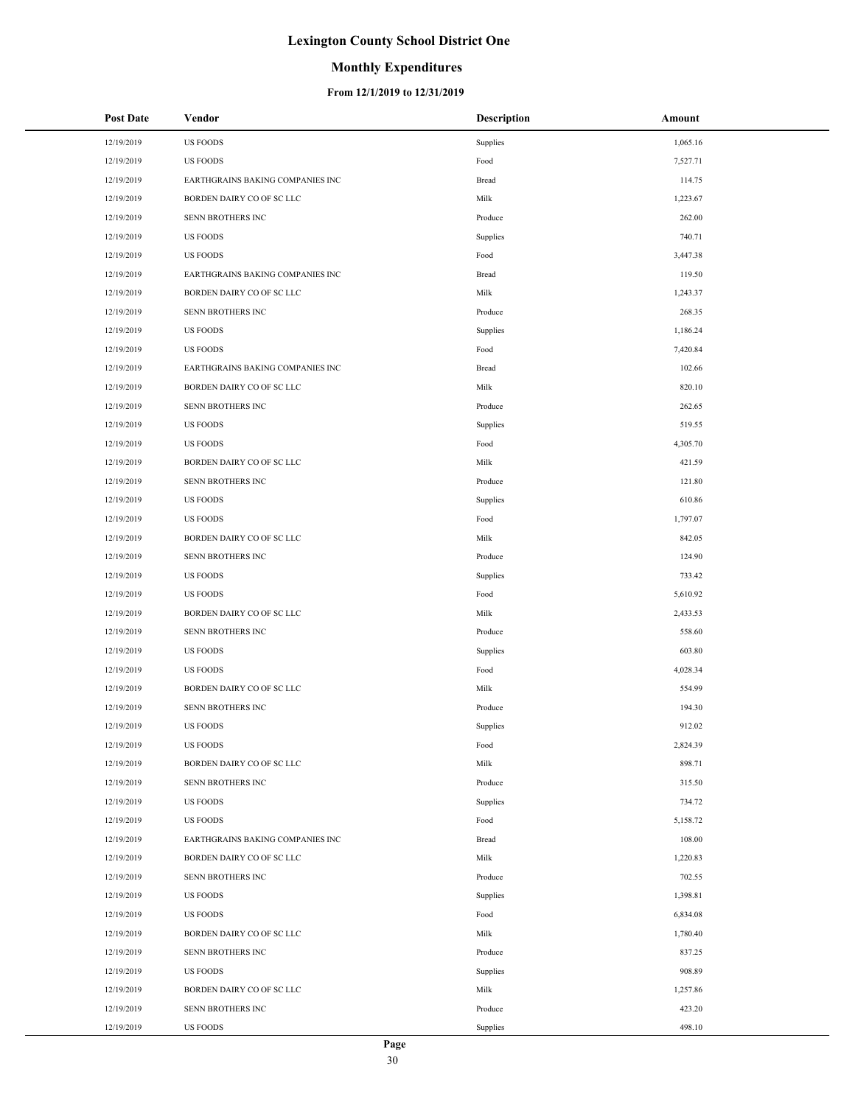#### **Monthly Expenditures**

| <b>Post Date</b> | Vendor                           | <b>Description</b> | Amount   |
|------------------|----------------------------------|--------------------|----------|
| 12/19/2019       | <b>US FOODS</b>                  | Supplies           | 1,065.16 |
| 12/19/2019       | <b>US FOODS</b>                  | Food               | 7,527.71 |
| 12/19/2019       | EARTHGRAINS BAKING COMPANIES INC | Bread              | 114.75   |
| 12/19/2019       | BORDEN DAIRY CO OF SC LLC        | Milk               | 1,223.67 |
| 12/19/2019       | SENN BROTHERS INC                | Produce            | 262.00   |
| 12/19/2019       | <b>US FOODS</b>                  | Supplies           | 740.71   |
| 12/19/2019       | <b>US FOODS</b>                  | Food               | 3,447.38 |
| 12/19/2019       | EARTHGRAINS BAKING COMPANIES INC | Bread              | 119.50   |
| 12/19/2019       | BORDEN DAIRY CO OF SC LLC        | Milk               | 1,243.37 |
| 12/19/2019       | SENN BROTHERS INC                | Produce            | 268.35   |
| 12/19/2019       | <b>US FOODS</b>                  | Supplies           | 1,186.24 |
| 12/19/2019       | <b>US FOODS</b>                  | Food               | 7,420.84 |
| 12/19/2019       | EARTHGRAINS BAKING COMPANIES INC | Bread              | 102.66   |
| 12/19/2019       | BORDEN DAIRY CO OF SC LLC        | Milk               | 820.10   |
| 12/19/2019       | SENN BROTHERS INC                | Produce            | 262.65   |
| 12/19/2019       | <b>US FOODS</b>                  | Supplies           | 519.55   |
| 12/19/2019       | <b>US FOODS</b>                  | Food               | 4,305.70 |
| 12/19/2019       | BORDEN DAIRY CO OF SC LLC        | Milk               | 421.59   |
| 12/19/2019       | SENN BROTHERS INC                | Produce            | 121.80   |
| 12/19/2019       | <b>US FOODS</b>                  | Supplies           | 610.86   |
| 12/19/2019       | <b>US FOODS</b>                  | Food               | 1,797.07 |
| 12/19/2019       | BORDEN DAIRY CO OF SC LLC        | Milk               | 842.05   |
| 12/19/2019       | SENN BROTHERS INC                | Produce            | 124.90   |
| 12/19/2019       | <b>US FOODS</b>                  | Supplies           | 733.42   |
| 12/19/2019       | <b>US FOODS</b>                  | Food               | 5,610.92 |
| 12/19/2019       | BORDEN DAIRY CO OF SC LLC        | Milk               | 2,433.53 |
| 12/19/2019       | SENN BROTHERS INC                | Produce            | 558.60   |
| 12/19/2019       | <b>US FOODS</b>                  | Supplies           | 603.80   |
| 12/19/2019       | <b>US FOODS</b>                  | Food               | 4,028.34 |
| 12/19/2019       | BORDEN DAIRY CO OF SC LLC        | Milk               | 554.99   |
| 12/19/2019       | SENN BROTHERS INC                | Produce            | 194.30   |
| 12/19/2019       | <b>US FOODS</b>                  | Supplies           | 912.02   |
| 12/19/2019       | <b>US FOODS</b>                  | Food               | 2,824.39 |
| 12/19/2019       | BORDEN DAIRY CO OF SC LLC        | Milk               | 898.71   |
| 12/19/2019       | SENN BROTHERS INC                | Produce            | 315.50   |
| 12/19/2019       | <b>US FOODS</b>                  | Supplies           | 734.72   |
| 12/19/2019       | <b>US FOODS</b>                  | Food               | 5,158.72 |
| 12/19/2019       | EARTHGRAINS BAKING COMPANIES INC | Bread              | 108.00   |
| 12/19/2019       | BORDEN DAIRY CO OF SC LLC        | Milk               | 1,220.83 |
| 12/19/2019       | SENN BROTHERS INC                | Produce            | 702.55   |
| 12/19/2019       | <b>US FOODS</b>                  | Supplies           | 1,398.81 |
| 12/19/2019       | <b>US FOODS</b>                  | Food               | 6,834.08 |
| 12/19/2019       | BORDEN DAIRY CO OF SC LLC        | Milk               | 1,780.40 |
| 12/19/2019       | SENN BROTHERS INC                | Produce            | 837.25   |
| 12/19/2019       | <b>US FOODS</b>                  | Supplies           | 908.89   |
| 12/19/2019       | BORDEN DAIRY CO OF SC LLC        | Milk               | 1,257.86 |
| 12/19/2019       | SENN BROTHERS INC                | Produce            | 423.20   |
| 12/19/2019       | <b>US FOODS</b>                  | Supplies           | 498.10   |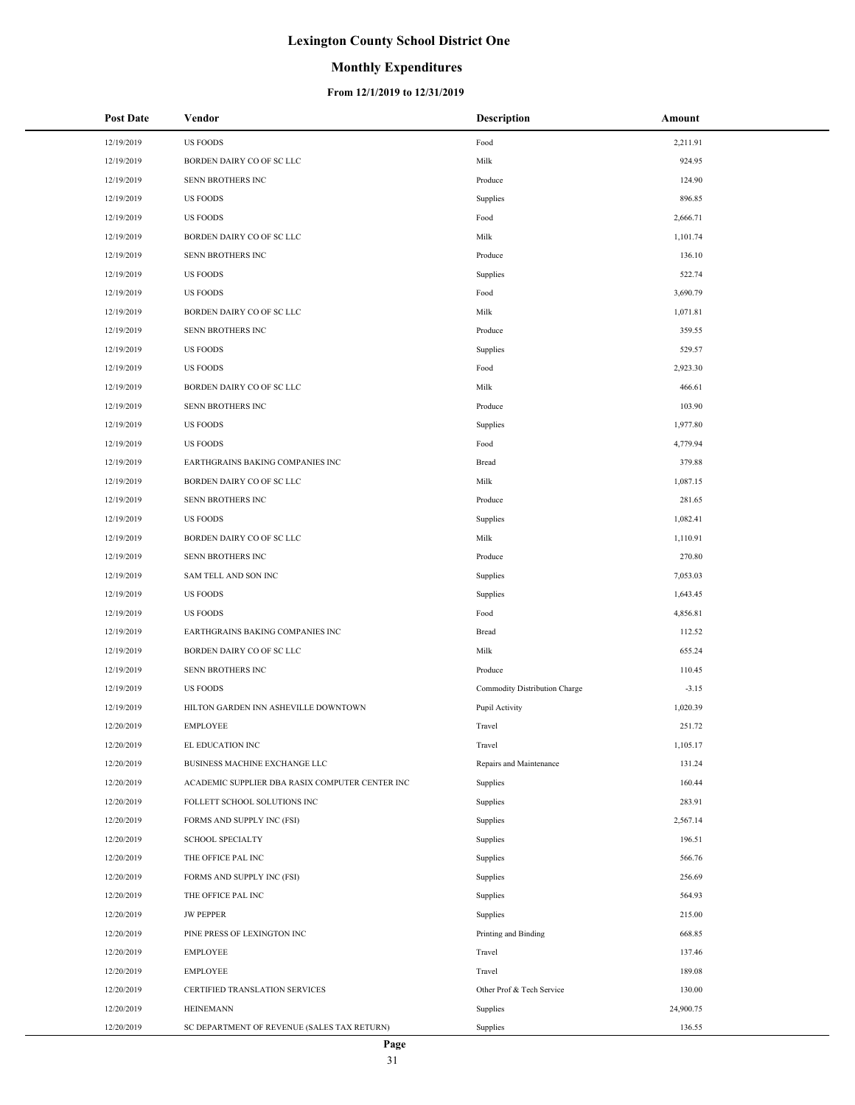## **Monthly Expenditures**

|                                                                                     | Amount  |
|-------------------------------------------------------------------------------------|---------|
| 12/19/2019<br><b>US FOODS</b><br>Food<br>2,211.91                                   |         |
| 924.95<br>12/19/2019<br>BORDEN DAIRY CO OF SC LLC<br>Milk                           |         |
| 12/19/2019<br>SENN BROTHERS INC<br>Produce<br>124.90                                |         |
| 12/19/2019<br><b>US FOODS</b><br>Supplies<br>896.85                                 |         |
| 12/19/2019<br><b>US FOODS</b><br>Food<br>2,666.71                                   |         |
| 12/19/2019<br>BORDEN DAIRY CO OF SC LLC<br>Milk<br>1,101.74                         |         |
| 12/19/2019<br><b>SENN BROTHERS INC</b><br>Produce<br>136.10                         |         |
| 12/19/2019<br><b>US FOODS</b><br>Supplies<br>522.74                                 |         |
| 12/19/2019<br><b>US FOODS</b><br>Food<br>3,690.79                                   |         |
| 12/19/2019<br>BORDEN DAIRY CO OF SC LLC<br>Milk<br>1,071.81                         |         |
| 12/19/2019<br>SENN BROTHERS INC<br>Produce<br>359.55                                |         |
| 12/19/2019<br><b>US FOODS</b><br>Supplies<br>529.57                                 |         |
| 12/19/2019<br><b>US FOODS</b><br>Food<br>2,923.30                                   |         |
| 12/19/2019<br>BORDEN DAIRY CO OF SC LLC<br>Milk<br>466.61                           |         |
| 12/19/2019<br>SENN BROTHERS INC<br>Produce<br>103.90                                |         |
| 12/19/2019<br><b>US FOODS</b><br>Supplies<br>1,977.80                               |         |
| 12/19/2019<br><b>US FOODS</b><br>Food<br>4,779.94                                   |         |
| 12/19/2019<br>EARTHGRAINS BAKING COMPANIES INC<br>Bread<br>379.88                   |         |
| 12/19/2019<br>BORDEN DAIRY CO OF SC LLC<br>Milk<br>1,087.15                         |         |
| 12/19/2019<br>SENN BROTHERS INC<br>Produce<br>281.65                                |         |
| 12/19/2019<br><b>US FOODS</b><br>Supplies<br>1,082.41                               |         |
| 12/19/2019<br>BORDEN DAIRY CO OF SC LLC<br>Milk<br>1,110.91                         |         |
| 12/19/2019<br>SENN BROTHERS INC<br>Produce<br>270.80                                |         |
| 12/19/2019<br>SAM TELL AND SON INC<br>Supplies<br>7,053.03                          |         |
| 12/19/2019<br><b>US FOODS</b><br>Supplies<br>1,643.45                               |         |
| 12/19/2019<br><b>US FOODS</b><br>Food<br>4,856.81                                   |         |
| 12/19/2019<br>EARTHGRAINS BAKING COMPANIES INC<br>112.52<br>Bread                   |         |
| 12/19/2019<br>BORDEN DAIRY CO OF SC LLC<br>Milk<br>655.24                           |         |
| 12/19/2019<br><b>SENN BROTHERS INC</b><br>Produce<br>110.45                         |         |
| 12/19/2019<br><b>US FOODS</b><br>Commodity Distribution Charge                      | $-3.15$ |
| 12/19/2019<br>HILTON GARDEN INN ASHEVILLE DOWNTOWN<br>Pupil Activity<br>1,020.39    |         |
| 12/20/2019<br><b>EMPLOYEE</b><br>Travel<br>251.72                                   |         |
| 12/20/2019<br>EL EDUCATION INC<br>Travel<br>1,105.17                                |         |
| 131.24<br>12/20/2019<br>BUSINESS MACHINE EXCHANGE LLC<br>Repairs and Maintenance    |         |
| 160.44<br>12/20/2019<br>ACADEMIC SUPPLIER DBA RASIX COMPUTER CENTER INC<br>Supplies |         |
| 12/20/2019<br>FOLLETT SCHOOL SOLUTIONS INC<br>Supplies<br>283.91                    |         |
| 12/20/2019<br>FORMS AND SUPPLY INC (FSI)<br>Supplies<br>2,567.14                    |         |
| 12/20/2019<br><b>SCHOOL SPECIALTY</b><br>Supplies<br>196.51                         |         |
| 12/20/2019<br>THE OFFICE PAL INC<br>Supplies<br>566.76                              |         |
| 12/20/2019<br>FORMS AND SUPPLY INC (FSI)<br>Supplies<br>256.69                      |         |
| 12/20/2019<br>THE OFFICE PAL INC<br>Supplies<br>564.93                              |         |
| 12/20/2019<br><b>JW PEPPER</b><br>Supplies<br>215.00                                |         |
| 12/20/2019<br>PINE PRESS OF LEXINGTON INC<br>Printing and Binding<br>668.85         |         |
| 12/20/2019<br><b>EMPLOYEE</b><br>Travel<br>137.46                                   |         |
| 12/20/2019<br><b>EMPLOYEE</b><br>Travel<br>189.08                                   |         |
| 12/20/2019<br>CERTIFIED TRANSLATION SERVICES<br>Other Prof & Tech Service<br>130.00 |         |
| 12/20/2019<br><b>HEINEMANN</b><br>Supplies<br>24,900.75                             |         |
| 12/20/2019<br>SC DEPARTMENT OF REVENUE (SALES TAX RETURN)<br>Supplies<br>136.55     |         |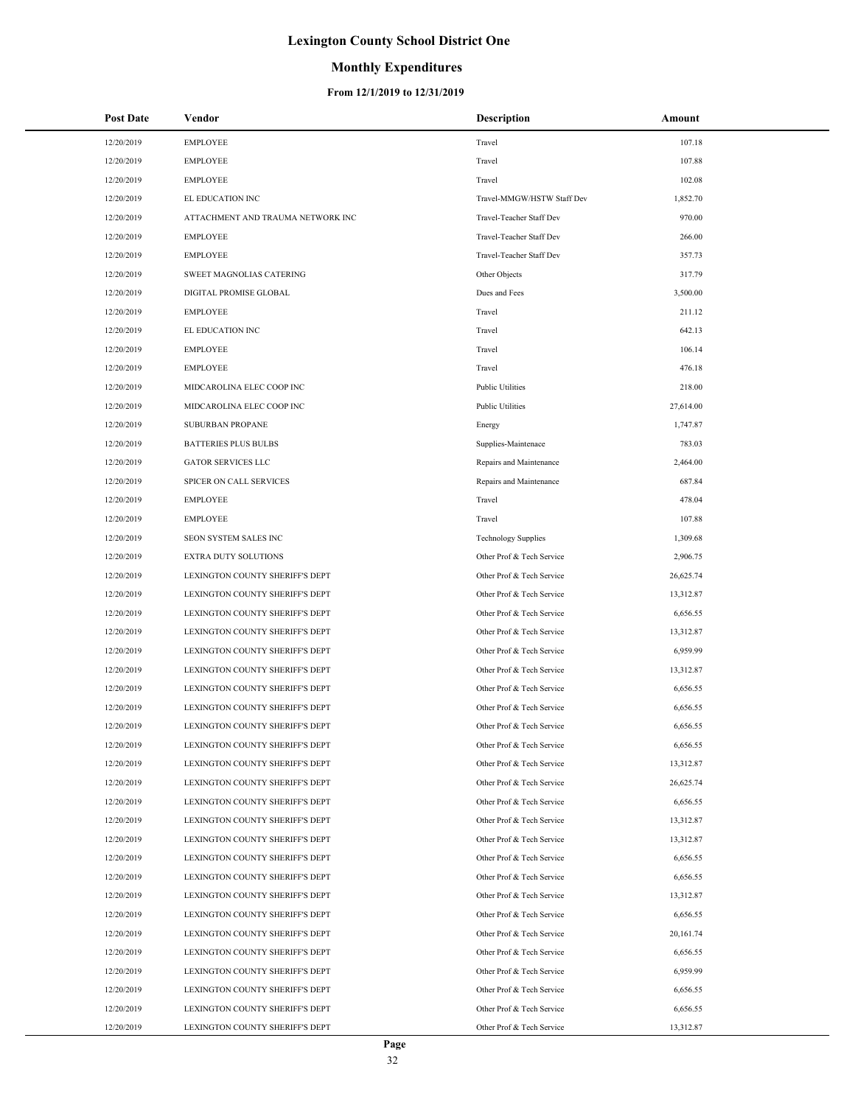## **Monthly Expenditures**

| Post Date  | Vendor                            | <b>Description</b>         | Amount    |
|------------|-----------------------------------|----------------------------|-----------|
| 12/20/2019 | <b>EMPLOYEE</b>                   | Travel                     | 107.18    |
| 12/20/2019 | <b>EMPLOYEE</b>                   | Travel                     | 107.88    |
| 12/20/2019 | <b>EMPLOYEE</b>                   | Travel                     | 102.08    |
| 12/20/2019 | EL EDUCATION INC                  | Travel-MMGW/HSTW Staff Dev | 1,852.70  |
| 12/20/2019 | ATTACHMENT AND TRAUMA NETWORK INC | Travel-Teacher Staff Dev   | 970.00    |
| 12/20/2019 | <b>EMPLOYEE</b>                   | Travel-Teacher Staff Dev   | 266.00    |
| 12/20/2019 | <b>EMPLOYEE</b>                   | Travel-Teacher Staff Dev   | 357.73    |
| 12/20/2019 | SWEET MAGNOLIAS CATERING          | Other Objects              | 317.79    |
| 12/20/2019 | DIGITAL PROMISE GLOBAL            | Dues and Fees              | 3,500.00  |
| 12/20/2019 | <b>EMPLOYEE</b>                   | Travel                     | 211.12    |
| 12/20/2019 | EL EDUCATION INC                  | Travel                     | 642.13    |
| 12/20/2019 | <b>EMPLOYEE</b>                   | Travel                     | 106.14    |
| 12/20/2019 | <b>EMPLOYEE</b>                   | Travel                     | 476.18    |
| 12/20/2019 | MIDCAROLINA ELEC COOP INC         | <b>Public Utilities</b>    | 218.00    |
| 12/20/2019 | MIDCAROLINA ELEC COOP INC         | <b>Public Utilities</b>    | 27,614.00 |
| 12/20/2019 | <b>SUBURBAN PROPANE</b>           | Energy                     | 1,747.87  |
| 12/20/2019 | <b>BATTERIES PLUS BULBS</b>       | Supplies-Maintenace        | 783.03    |
| 12/20/2019 | <b>GATOR SERVICES LLC</b>         | Repairs and Maintenance    | 2,464.00  |
| 12/20/2019 | SPICER ON CALL SERVICES           | Repairs and Maintenance    | 687.84    |
| 12/20/2019 | <b>EMPLOYEE</b>                   | Travel                     | 478.04    |
| 12/20/2019 | <b>EMPLOYEE</b>                   | Travel                     | 107.88    |
| 12/20/2019 | SEON SYSTEM SALES INC             | <b>Technology Supplies</b> | 1,309.68  |
| 12/20/2019 | EXTRA DUTY SOLUTIONS              | Other Prof & Tech Service  | 2,906.75  |
| 12/20/2019 | LEXINGTON COUNTY SHERIFF'S DEPT   | Other Prof & Tech Service  | 26,625.74 |
| 12/20/2019 | LEXINGTON COUNTY SHERIFF'S DEPT   | Other Prof & Tech Service  | 13,312.87 |
| 12/20/2019 | LEXINGTON COUNTY SHERIFF'S DEPT   | Other Prof & Tech Service  | 6,656.55  |
| 12/20/2019 | LEXINGTON COUNTY SHERIFF'S DEPT   | Other Prof & Tech Service  | 13,312.87 |
| 12/20/2019 | LEXINGTON COUNTY SHERIFF'S DEPT   | Other Prof & Tech Service  | 6,959.99  |
| 12/20/2019 | LEXINGTON COUNTY SHERIFF'S DEPT   | Other Prof & Tech Service  | 13,312.87 |
| 12/20/2019 | LEXINGTON COUNTY SHERIFF'S DEPT   | Other Prof & Tech Service  | 6,656.55  |
| 12/20/2019 | LEXINGTON COUNTY SHERIFF'S DEPT   | Other Prof & Tech Service  | 6,656.55  |
| 12/20/2019 | LEXINGTON COUNTY SHERIFF'S DEPT   | Other Prof & Tech Service  | 6,656.55  |
| 12/20/2019 | LEXINGTON COUNTY SHERIFF'S DEPT   | Other Prof & Tech Service  | 6,656.55  |
| 12/20/2019 | LEXINGTON COUNTY SHERIFF'S DEPT   | Other Prof & Tech Service  | 13,312.87 |
| 12/20/2019 | LEXINGTON COUNTY SHERIFF'S DEPT   | Other Prof & Tech Service  | 26,625.74 |
| 12/20/2019 | LEXINGTON COUNTY SHERIFF'S DEPT   | Other Prof & Tech Service  | 6,656.55  |
| 12/20/2019 | LEXINGTON COUNTY SHERIFF'S DEPT   | Other Prof & Tech Service  | 13,312.87 |
| 12/20/2019 | LEXINGTON COUNTY SHERIFF'S DEPT   | Other Prof & Tech Service  | 13,312.87 |
| 12/20/2019 | LEXINGTON COUNTY SHERIFF'S DEPT   | Other Prof & Tech Service  | 6,656.55  |
| 12/20/2019 | LEXINGTON COUNTY SHERIFF'S DEPT   | Other Prof & Tech Service  | 6,656.55  |
| 12/20/2019 | LEXINGTON COUNTY SHERIFF'S DEPT   | Other Prof & Tech Service  | 13,312.87 |
| 12/20/2019 | LEXINGTON COUNTY SHERIFF'S DEPT   | Other Prof & Tech Service  | 6,656.55  |
| 12/20/2019 | LEXINGTON COUNTY SHERIFF'S DEPT   | Other Prof & Tech Service  | 20,161.74 |
| 12/20/2019 | LEXINGTON COUNTY SHERIFF'S DEPT   | Other Prof & Tech Service  | 6,656.55  |
| 12/20/2019 | LEXINGTON COUNTY SHERIFF'S DEPT   | Other Prof & Tech Service  | 6,959.99  |
| 12/20/2019 | LEXINGTON COUNTY SHERIFF'S DEPT   | Other Prof & Tech Service  | 6,656.55  |
| 12/20/2019 | LEXINGTON COUNTY SHERIFF'S DEPT   | Other Prof & Tech Service  | 6,656.55  |
| 12/20/2019 | LEXINGTON COUNTY SHERIFF'S DEPT   | Other Prof & Tech Service  | 13,312.87 |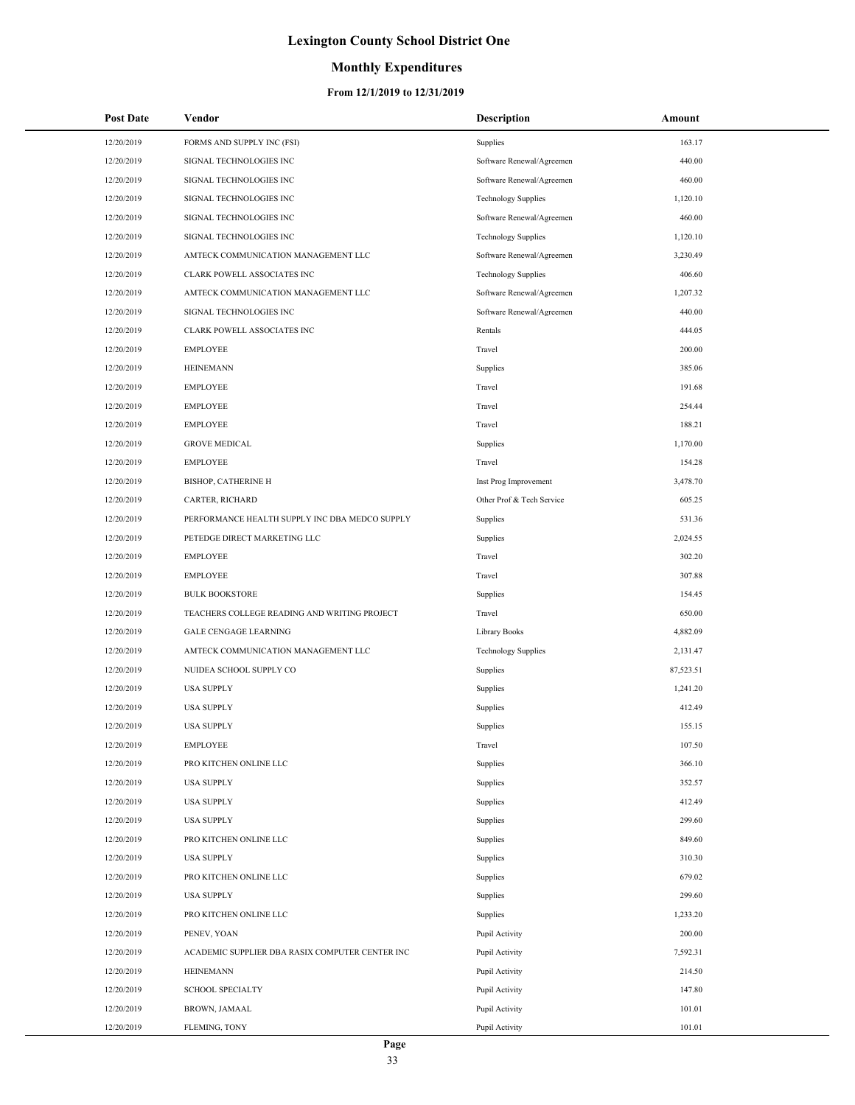## **Monthly Expenditures**

| Post Date  | Vendor                                          | <b>Description</b>         | Amount    |
|------------|-------------------------------------------------|----------------------------|-----------|
| 12/20/2019 | FORMS AND SUPPLY INC (FSI)                      | Supplies                   | 163.17    |
| 12/20/2019 | SIGNAL TECHNOLOGIES INC                         | Software Renewal/Agreemen  | 440.00    |
| 12/20/2019 | SIGNAL TECHNOLOGIES INC                         | Software Renewal/Agreemen  | 460.00    |
| 12/20/2019 | SIGNAL TECHNOLOGIES INC                         | <b>Technology Supplies</b> | 1,120.10  |
| 12/20/2019 | SIGNAL TECHNOLOGIES INC                         | Software Renewal/Agreemen  | 460.00    |
| 12/20/2019 | SIGNAL TECHNOLOGIES INC                         | <b>Technology Supplies</b> | 1,120.10  |
| 12/20/2019 | AMTECK COMMUNICATION MANAGEMENT LLC             | Software Renewal/Agreemen  | 3,230.49  |
| 12/20/2019 | CLARK POWELL ASSOCIATES INC                     | <b>Technology Supplies</b> | 406.60    |
| 12/20/2019 | AMTECK COMMUNICATION MANAGEMENT LLC             | Software Renewal/Agreemen  | 1,207.32  |
| 12/20/2019 | SIGNAL TECHNOLOGIES INC                         | Software Renewal/Agreemen  | 440.00    |
| 12/20/2019 | CLARK POWELL ASSOCIATES INC                     | Rentals                    | 444.05    |
| 12/20/2019 | <b>EMPLOYEE</b>                                 | Travel                     | 200.00    |
| 12/20/2019 | <b>HEINEMANN</b>                                | Supplies                   | 385.06    |
| 12/20/2019 | <b>EMPLOYEE</b>                                 | Travel                     | 191.68    |
| 12/20/2019 | <b>EMPLOYEE</b>                                 | Travel                     | 254.44    |
| 12/20/2019 | <b>EMPLOYEE</b>                                 | Travel                     | 188.21    |
| 12/20/2019 | <b>GROVE MEDICAL</b>                            | Supplies                   | 1,170.00  |
| 12/20/2019 | <b>EMPLOYEE</b>                                 | Travel                     | 154.28    |
| 12/20/2019 | <b>BISHOP, CATHERINE H</b>                      | Inst Prog Improvement      | 3,478.70  |
| 12/20/2019 | CARTER, RICHARD                                 | Other Prof & Tech Service  | 605.25    |
| 12/20/2019 | PERFORMANCE HEALTH SUPPLY INC DBA MEDCO SUPPLY  | Supplies                   | 531.36    |
| 12/20/2019 | PETEDGE DIRECT MARKETING LLC                    | Supplies                   | 2,024.55  |
| 12/20/2019 | <b>EMPLOYEE</b>                                 | Travel                     | 302.20    |
| 12/20/2019 | <b>EMPLOYEE</b>                                 | Travel                     | 307.88    |
| 12/20/2019 | <b>BULK BOOKSTORE</b>                           | Supplies                   | 154.45    |
| 12/20/2019 | TEACHERS COLLEGE READING AND WRITING PROJECT    | Travel                     | 650.00    |
| 12/20/2019 | <b>GALE CENGAGE LEARNING</b>                    | Library Books              | 4,882.09  |
| 12/20/2019 | AMTECK COMMUNICATION MANAGEMENT LLC             | <b>Technology Supplies</b> | 2,131.47  |
| 12/20/2019 | NUIDEA SCHOOL SUPPLY CO                         | Supplies                   | 87,523.51 |
| 12/20/2019 | <b>USA SUPPLY</b>                               | Supplies                   | 1,241.20  |
| 12/20/2019 | <b>USA SUPPLY</b>                               | Supplies                   | 412.49    |
| 12/20/2019 | <b>USA SUPPLY</b>                               | Supplies                   | 155.15    |
| 12/20/2019 | <b>EMPLOYEE</b>                                 | Travel                     | 107.50    |
| 12/20/2019 | PRO KITCHEN ONLINE LLC                          | Supplies                   | 366.10    |
| 12/20/2019 | <b>USA SUPPLY</b>                               | Supplies                   | 352.57    |
| 12/20/2019 | <b>USA SUPPLY</b>                               | Supplies                   | 412.49    |
| 12/20/2019 | <b>USA SUPPLY</b>                               | Supplies                   | 299.60    |
| 12/20/2019 | PRO KITCHEN ONLINE LLC                          | Supplies                   | 849.60    |
| 12/20/2019 | <b>USA SUPPLY</b>                               | Supplies                   | 310.30    |
| 12/20/2019 | PRO KITCHEN ONLINE LLC                          | Supplies                   | 679.02    |
| 12/20/2019 | <b>USA SUPPLY</b>                               | Supplies                   | 299.60    |
| 12/20/2019 | PRO KITCHEN ONLINE LLC                          | Supplies                   | 1,233.20  |
| 12/20/2019 | PENEV, YOAN                                     | Pupil Activity             | 200.00    |
| 12/20/2019 | ACADEMIC SUPPLIER DBA RASIX COMPUTER CENTER INC | Pupil Activity             | 7,592.31  |
| 12/20/2019 | <b>HEINEMANN</b>                                | Pupil Activity             | 214.50    |
| 12/20/2019 | <b>SCHOOL SPECIALTY</b>                         | Pupil Activity             | 147.80    |
| 12/20/2019 | BROWN, JAMAAL                                   | Pupil Activity             | 101.01    |
| 12/20/2019 | FLEMING, TONY                                   | Pupil Activity             | 101.01    |